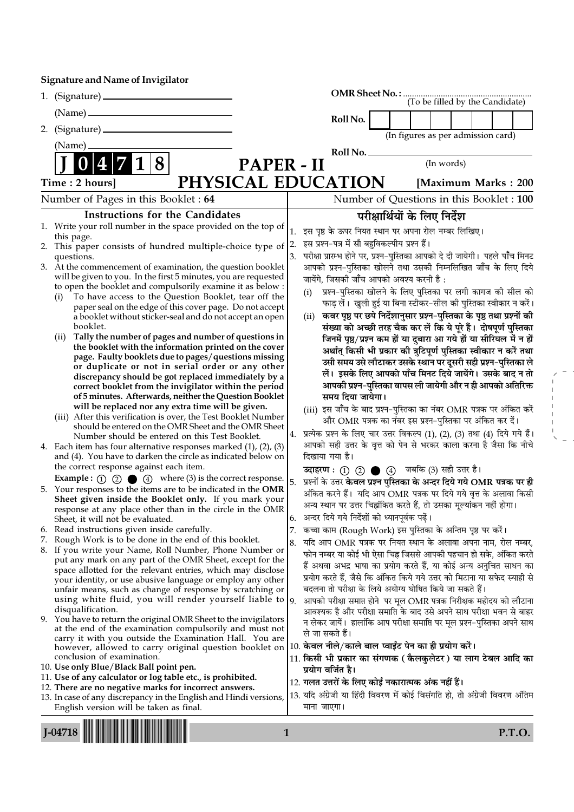## Signature and Name of Invigilator

|    | 1. (Signature)                                                                                                                            |                                          | $\begin{minipage}{.4\linewidth} \textbf{OMR Sheet No.}: \textcolor{red}{\textbf{50.1}} \textbf{3.1} \textbf{3.1} \textbf{4.1} \textbf{5.1} \textbf{6.1} \textbf{7.1} \textbf{8.1} \textbf{8.1} \textbf{9.1} \textbf{10.1} \textbf{11.1} \textbf{12.1} \textbf{13.1} \textbf{13.1} \textbf{14.1} \textbf{15.1} \textbf{16.1} \textbf{17.1} \textbf{18.1} \textbf{19.1} \textbf{19.1} \textbf$ |  |                               |  |            |  |                                    |                     |
|----|-------------------------------------------------------------------------------------------------------------------------------------------|------------------------------------------|----------------------------------------------------------------------------------------------------------------------------------------------------------------------------------------------------------------------------------------------------------------------------------------------------------------------------------------------------------------------------------------------|--|-------------------------------|--|------------|--|------------------------------------|---------------------|
|    | $(Name)$ —                                                                                                                                |                                          | Roll No.                                                                                                                                                                                                                                                                                                                                                                                     |  |                               |  |            |  |                                    |                     |
|    |                                                                                                                                           |                                          |                                                                                                                                                                                                                                                                                                                                                                                              |  |                               |  |            |  | (In figures as per admission card) |                     |
|    | (Name)                                                                                                                                    |                                          |                                                                                                                                                                                                                                                                                                                                                                                              |  |                               |  |            |  |                                    |                     |
|    | 8                                                                                                                                         |                                          | Roll No. __                                                                                                                                                                                                                                                                                                                                                                                  |  |                               |  | (In words) |  |                                    |                     |
|    | <b>PAPER - II</b>                                                                                                                         |                                          |                                                                                                                                                                                                                                                                                                                                                                                              |  |                               |  |            |  |                                    |                     |
|    | PHYSICAL EDUCATION<br>Time: 2 hours]                                                                                                      |                                          |                                                                                                                                                                                                                                                                                                                                                                                              |  |                               |  |            |  |                                    | [Maximum Marks: 200 |
|    | Number of Pages in this Booklet: 64                                                                                                       | Number of Questions in this Booklet: 100 |                                                                                                                                                                                                                                                                                                                                                                                              |  |                               |  |            |  |                                    |                     |
|    | <b>Instructions for the Candidates</b>                                                                                                    |                                          |                                                                                                                                                                                                                                                                                                                                                                                              |  | परीक्षार्थियों के लिए निर्देश |  |            |  |                                    |                     |
|    | 1. Write your roll number in the space provided on the top of                                                                             | 1.                                       | इस पृष्ठ के ऊपर नियत स्थान पर अपना रोल नम्बर लिखिए।                                                                                                                                                                                                                                                                                                                                          |  |                               |  |            |  |                                    |                     |
| 2. | this page.<br>This paper consists of hundred multiple-choice type of                                                                      | 2.                                       | इस प्रश्न-पत्र में सौ बहुविकल्पीय प्रश्न हैं।                                                                                                                                                                                                                                                                                                                                                |  |                               |  |            |  |                                    |                     |
|    | questions.                                                                                                                                | 3.                                       | परीक्षा प्रारम्भ होने पर, प्रश्न–पुस्तिका आपको दे दी जायेगी। पहले पाँच मिनट                                                                                                                                                                                                                                                                                                                  |  |                               |  |            |  |                                    |                     |
|    | 3. At the commencement of examination, the question booklet                                                                               |                                          | आपको प्रश्न-पुस्तिका खोलने तथा उसकी निम्नलिखित जाँच के लिए दिये                                                                                                                                                                                                                                                                                                                              |  |                               |  |            |  |                                    |                     |
|    | will be given to you. In the first 5 minutes, you are requested<br>to open the booklet and compulsorily examine it as below :             |                                          | जायेंगे, जिसकी जाँच आपको अवश्य करनी है :                                                                                                                                                                                                                                                                                                                                                     |  |                               |  |            |  |                                    |                     |
|    | To have access to the Question Booklet, tear off the<br>(i)                                                                               |                                          | प्रश्न-पुस्तिका खोलने के लिए पुस्तिका पर लगी कागज की सील को<br>(i)                                                                                                                                                                                                                                                                                                                           |  |                               |  |            |  |                                    |                     |
|    | paper seal on the edge of this cover page. Do not accept                                                                                  |                                          | फाड़ लें।  खुली हुई या बिना स्टीकर–सील की पुस्तिका स्वीकार न करें।                                                                                                                                                                                                                                                                                                                           |  |                               |  |            |  |                                    |                     |
|    | a booklet without sticker-seal and do not accept an open                                                                                  |                                          | कवर पृष्ठ पर छपे निर्देशानुसार प्रश्न-पुस्तिका के पृष्ठ तथा प्रश्नों की<br>(ii)                                                                                                                                                                                                                                                                                                              |  |                               |  |            |  |                                    |                     |
|    | booklet.<br>Tally the number of pages and number of questions in<br>(ii)                                                                  |                                          | संख्या को अच्छी तरह चैक कर लें कि ये पूरे हैं। दोषपूर्ण पुस्तिका                                                                                                                                                                                                                                                                                                                             |  |                               |  |            |  |                                    |                     |
|    | the booklet with the information printed on the cover                                                                                     |                                          | जिनमें पृष्ठ/प्रश्न कम हों या दुबारा आ गये हों या सीरियल में न हों<br>अर्थात् किसी भी प्रकार की त्रुटिपूर्ण पुस्तिका स्वीकार न करें तथा                                                                                                                                                                                                                                                      |  |                               |  |            |  |                                    |                     |
|    | page. Faulty booklets due to pages/questions missing                                                                                      |                                          | उसी समय उसे लौटाकर उसके स्थान पर दूसरी सही प्रश्न-पुस्तिका ले                                                                                                                                                                                                                                                                                                                                |  |                               |  |            |  |                                    |                     |
|    | or duplicate or not in serial order or any other                                                                                          |                                          | लें। इसके लिए आपको पाँच मिनट दिये जायेंगे। उसके बाद न तो                                                                                                                                                                                                                                                                                                                                     |  |                               |  |            |  |                                    |                     |
|    | discrepancy should be got replaced immediately by a<br>correct booklet from the invigilator within the period                             |                                          | आपकी प्रश्न-पुस्तिका वापस ली जायेगी और न ही आपको अतिरिक्त                                                                                                                                                                                                                                                                                                                                    |  |                               |  |            |  |                                    |                     |
|    | of 5 minutes. Afterwards, neither the Question Booklet                                                                                    |                                          | समय दिया जायेगा।                                                                                                                                                                                                                                                                                                                                                                             |  |                               |  |            |  |                                    |                     |
|    | will be replaced nor any extra time will be given.                                                                                        |                                          | (iii) इस जाँच के बाद प्रश्न-पुस्तिका का नंबर OMR पत्रक पर अंकित करें                                                                                                                                                                                                                                                                                                                         |  |                               |  |            |  |                                    |                     |
|    | (iii) After this verification is over, the Test Booklet Number<br>should be entered on the OMR Sheet and the OMR Sheet                    |                                          | और OMR पत्रक का नंबर इस प्रश्न-पुस्तिका पर अंकित कर दें।                                                                                                                                                                                                                                                                                                                                     |  |                               |  |            |  |                                    |                     |
|    | Number should be entered on this Test Booklet.                                                                                            |                                          | 4. प्रत्येक प्रश्न के लिए चार उत्तर विकल्प (1), (2), (3) तथा (4) दिये गये हैं।                                                                                                                                                                                                                                                                                                               |  |                               |  |            |  |                                    |                     |
|    | 4. Each item has four alternative responses marked $(1)$ , $(2)$ , $(3)$                                                                  |                                          | आपको सही उत्तर के वृत्त को पेन से भरकर काला करना है जैसा कि नीचे                                                                                                                                                                                                                                                                                                                             |  |                               |  |            |  |                                    |                     |
|    | and (4). You have to darken the circle as indicated below on                                                                              |                                          | दिखाया गया है।                                                                                                                                                                                                                                                                                                                                                                               |  |                               |  |            |  |                                    |                     |
|    | the correct response against each item.                                                                                                   |                                          | उदाहरण: 1 2 ● 4 जबकि (3) सही उत्तर है।                                                                                                                                                                                                                                                                                                                                                       |  |                               |  |            |  |                                    |                     |
|    | <b>Example:</b> (1) (2) $\bullet$ (4) where (3) is the correct response.<br>5. Your responses to the items are to be indicated in the OMR | 5.                                       | प्रश्नों के उत्तर <b>केवल प्रश्न पुस्तिका के अन्दर दिये गये OMR पत्रक पर ही</b>                                                                                                                                                                                                                                                                                                              |  |                               |  |            |  |                                    |                     |
|    | Sheet given inside the Booklet only. If you mark your                                                                                     |                                          | अंकित करने हैं।  यदि आप OMR  पत्रक पर दिये गये वृत्त के अलावा किसी                                                                                                                                                                                                                                                                                                                           |  |                               |  |            |  |                                    |                     |
|    | response at any place other than in the circle in the OMR                                                                                 |                                          | अन्य स्थान पर उत्तर चिह्नांकित करते हैं, तो उसका मूल्यांकन नहीं होगा।                                                                                                                                                                                                                                                                                                                        |  |                               |  |            |  |                                    |                     |
|    | Sheet, it will not be evaluated.                                                                                                          |                                          | 6.   अन्दर दिये गये निर्देशों को ध्यानपूर्वक पढ़ें।                                                                                                                                                                                                                                                                                                                                          |  |                               |  |            |  |                                    |                     |
| 6. | Read instructions given inside carefully.<br>7. Rough Work is to be done in the end of this booklet.                                      | 7.                                       | कच्चा काम (Rough Work) इस पुस्तिका के अन्तिम पृष्ठ पर करें।                                                                                                                                                                                                                                                                                                                                  |  |                               |  |            |  |                                    |                     |
|    | 8. If you write your Name, Roll Number, Phone Number or                                                                                   | 8.                                       | यदि आप OMR पत्रक पर नियत स्थान के अलावा अपना नाम, रोल नम्बर,<br>फोन नम्बर या कोई भी ऐसा चिह्न जिससे आपकी पहचान हो सके, अंकित करते                                                                                                                                                                                                                                                            |  |                               |  |            |  |                                    |                     |
|    | put any mark on any part of the OMR Sheet, except for the                                                                                 |                                          | हैं अथवा अभद्र भाषा का प्रयोग करते हैं, या कोई अन्य अनुचित साधन का                                                                                                                                                                                                                                                                                                                           |  |                               |  |            |  |                                    |                     |
|    | space allotted for the relevant entries, which may disclose                                                                               |                                          | प्रयोग करते हैं, जैसे कि अंकित किये गये उत्तर को मिटाना या सफेद स्याही से                                                                                                                                                                                                                                                                                                                    |  |                               |  |            |  |                                    |                     |
|    | your identity, or use abusive language or employ any other<br>unfair means, such as change of response by scratching or                   |                                          | बदलना तो परीक्षा के लिये अयोग्य घोषित किये जा सकते हैं।                                                                                                                                                                                                                                                                                                                                      |  |                               |  |            |  |                                    |                     |
|    | using white fluid, you will render yourself liable to $ 9$ .                                                                              |                                          | आपको परीक्षा समाप्त होने  पर मूल OMR पत्रक निरीक्षक महोदय को लौटाना                                                                                                                                                                                                                                                                                                                          |  |                               |  |            |  |                                    |                     |
|    | disqualification.                                                                                                                         |                                          | आवश्यक है और परीक्षा समाप्ति के बाद उसे अपने साथ परीक्षा भवन से बाहर                                                                                                                                                                                                                                                                                                                         |  |                               |  |            |  |                                    |                     |
|    | 9. You have to return the original OMR Sheet to the invigilators<br>at the end of the examination compulsorily and must not               |                                          | न लेकर जायें।  हालांकि आप परीक्षा समाप्ति पर मूल प्रश्न–पुस्तिका अपने साथ                                                                                                                                                                                                                                                                                                                    |  |                               |  |            |  |                                    |                     |
|    | carry it with you outside the Examination Hall. You are                                                                                   |                                          | ले जा सकते हैं।                                                                                                                                                                                                                                                                                                                                                                              |  |                               |  |            |  |                                    |                     |
|    | however, allowed to carry original question booklet on                                                                                    |                                          | $ 10$ . केवल नीले/काले बाल प्वाईंट पेन का ही प्रयोग करें।                                                                                                                                                                                                                                                                                                                                    |  |                               |  |            |  |                                    |                     |
|    | conclusion of examination.<br>10. Use only Blue/Black Ball point pen.                                                                     |                                          | 11. किसी भी प्रकार का संगणक (कैलकुलेटर) या लाग टेबल आदि का<br>प्रयोग वर्जित है।                                                                                                                                                                                                                                                                                                              |  |                               |  |            |  |                                    |                     |
|    | 11. Use of any calculator or log table etc., is prohibited.                                                                               |                                          | 12. गलत उत्तरों के लिए कोई नकारात्मक अंक नहीं हैं।                                                                                                                                                                                                                                                                                                                                           |  |                               |  |            |  |                                    |                     |
|    | 12. There are no negative marks for incorrect answers.                                                                                    |                                          | 13. यदि अंग्रेजी या हिंदी विवरण में कोई विसंगति हो, तो अंग्रेजी विवरण अंतिम                                                                                                                                                                                                                                                                                                                  |  |                               |  |            |  |                                    |                     |
|    | 13. In case of any discrepancy in the English and Hindi versions,<br>English version will be taken as final.                              |                                          | माना जाएगा।                                                                                                                                                                                                                                                                                                                                                                                  |  |                               |  |            |  |                                    |                     |
|    |                                                                                                                                           |                                          |                                                                                                                                                                                                                                                                                                                                                                                              |  |                               |  |            |  |                                    |                     |

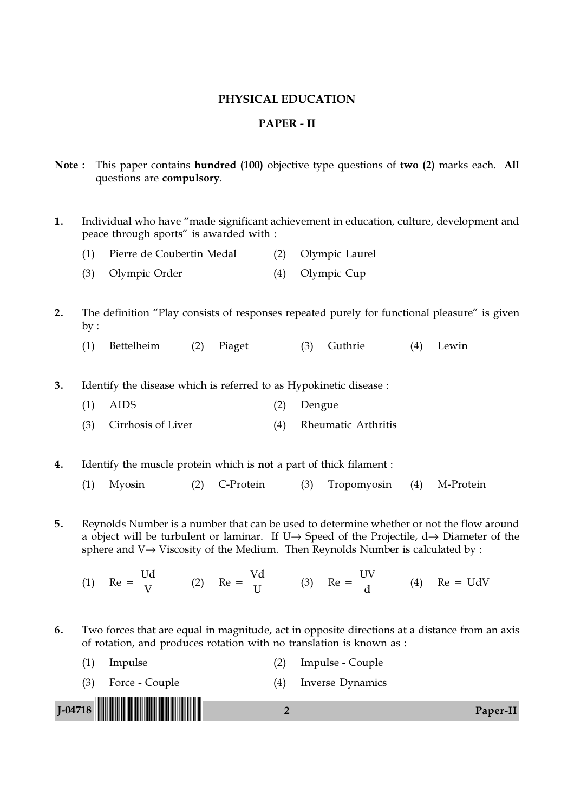#### PHYSICAL EDUCATION

## PAPER - II

- Note : This paper contains hundred (100) objective type questions of two (2) marks each. All questions are compulsory.
- 1. Individual who have "made significant achievement in education, culture, development and peace through sports" is awarded with :
	- (1) Pierre de Coubertin Medal (2) Olympic Laurel
	- (3) Olympic Order (4) Olympic Cup
- 2. The definition "Play consists of responses repeated purely for functional pleasure" is given  $by:$ 
	- (1) Bettelheim (2) Piaget (3) Guthrie (4) Lewin

3. Identify the disease which is referred to as Hypokinetic disease :

- (1) AIDS (2) Dengue
- (3) Cirrhosis of Liver (4) Rheumatic Arthritis

4. Identify the muscle protein which is not a part of thick filament :

- (1) Myosin (2) C-Protein (3) Tropomyosin (4) M-Protein
- 5. Reynolds Number is a number that can be used to determine whether or not the flow around a object will be turbulent or laminar. If U $\rightarrow$  Speed of the Projectile, d $\rightarrow$  Diameter of the sphere and V→ Viscosity of the Medium. Then Reynolds Number is calculated by :
	- $(1)$  Re = Ud  $\frac{\partial \mathbf{L}}{\partial \mathbf{V}}$  (2) Re = Vd  $\frac{1}{U}$  (3) Re = UV  $\frac{d}{d}$  (4) Re = UdV
- 6. Two forces that are equal in magnitude, act in opposite directions at a distance from an axis of rotation, and produces rotation with no translation is known as :
- J-04718 !J-04718-PAPER-II! <sup>2</sup> Paper-II (1) Impulse (2) Impulse - Couple (3) Force - Couple (4) Inverse Dynamics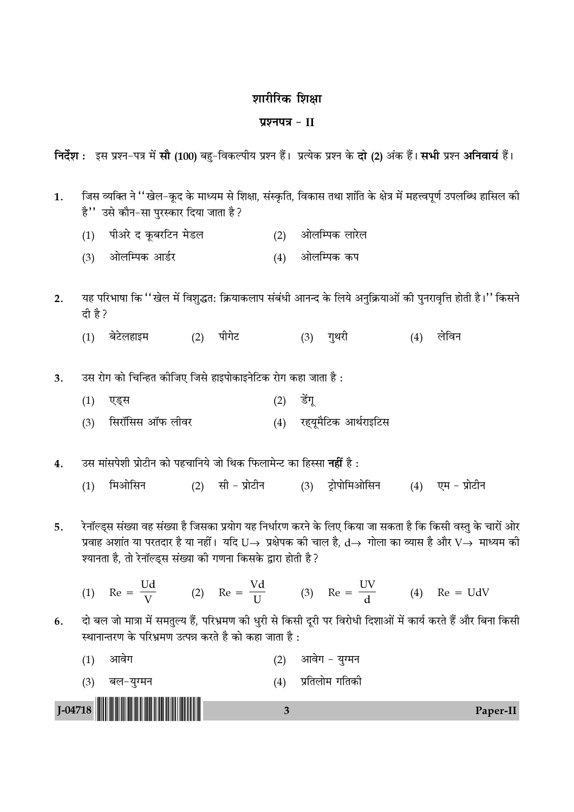# शारीरिक शिक्षा

# प्रश्नपत्र $-II$

निर्देश : इस प्रश्न-पत्र में सौ (100) बह-विकल्पीय प्रश्न हैं। प्रत्येक प्रश्न के दो (2) अंक हैं। सभी प्रश्न अनिवार्य हैं।

- जिस व्यक्ति ने ''खेल-कूद के माध्यम से शिक्षा, संस्कृति, विकास तथा शांति के क्षेत्र में महत्त्वपूर्ण उपलब्धि हासिल की 1. है'' उसे कौन-सा पुरस्कार दिया जाता है?
	- (1) पीअरे द कूबरटिन मेडल (2) ओलम्पिक लारेल
	- (3) ओलम्पिक आर्डर (4) ओलम्पिक कप

यह परिभाषा कि ''खेल में विशुद्धत: क्रियाकलाप संबंधी आनन्द के लिये अनुक्रियाओं की पुनरावृत्ति होती है।'' किसने  $2.$ दी है?

- $(1)$  बेटेलहाइम (2) पीगेट (3) गुथरी  $(4)$  लेविन
- उस रोग को चिन्हित कीजिए जिसे हाइपोकाइनेटिक रोग कहा जाता है:  $3.$ 
	- $(2)$  डेंग (1) एड्स
	- (4) रहयूमैटिक आर्थराइटिस (3) सिरॉसिस ऑफ लीवर

उस मांसपेशी प्रोटीन को पहचानिये जो थिक फिलामेन्ट का हिस्सा **नहीं** है :  $\overline{4}$ .

- $(2)$  सी प्रोटीन  $(3)$  ट्रोपोमिओसिन  $(4)$  एम प्रोटीन  $(1)$  मिओसिन
- रेनॉल्ड्स संख्या वह संख्या है जिसका प्रयोग यह निर्धारण करने के लिए किया जा सकता है कि किसी वस्तु के चारों ओर 5. प्रवाह अशांत या परतदार है या नहीं। यदि U $\rightarrow$  प्रक्षेपक की चाल है, d $\rightarrow$  गोला का व्यास है और V $\rightarrow$  माध्यम की श्यानता है, तो रेनॉल्ड्स संख्या की गणना किसके द्वारा होती है?
	- (1) Re =  $\frac{Ud}{V}$  (2) Re =  $\frac{Vd}{H}$  (3) Re =  $\frac{UV}{d}$  (4) Re = UdV
- दो बल जो मात्रा में समतुल्य हैं, परिभ्रमण की धुरी से किसी दूरी पर विरोधी दिशाओं में कार्य करते हैं और बिना किसी 6. स्थानान्तरण के परिभ्रमण उत्पन्न करते है को कहा जाता है :

 $\overline{3}$ 

- (1) आवेग (2) आवेग - युग्मन
- (4) प्रतिलोम गतिकी (3) बल-युग्मन

 $J-04718$ 

Paper-II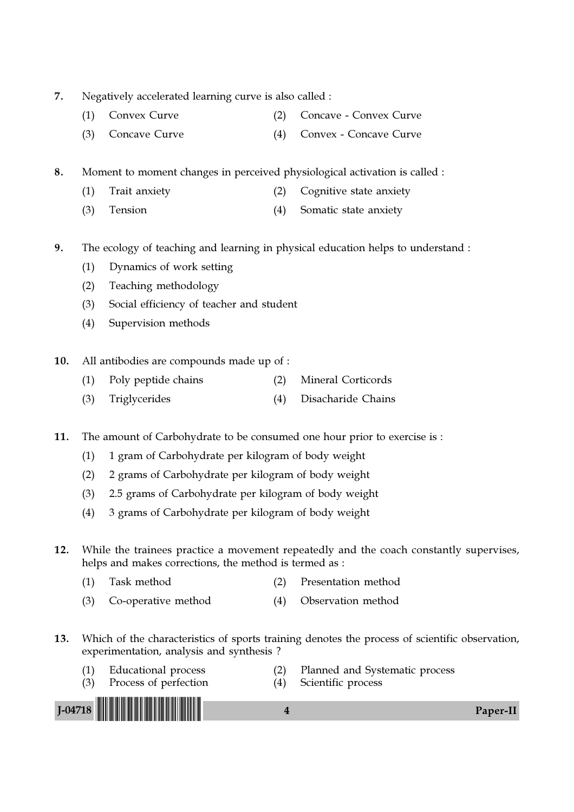- 7. Negatively accelerated learning curve is also called :
	- (1) Convex Curve (2) Concave Convex Curve
	- (3) Concave Curve (4) Convex Concave Curve

8. Moment to moment changes in perceived physiological activation is called :

- (1) Trait anxiety (2) Cognitive state anxiety
- (3) Tension (4) Somatic state anxiety
- 9. The ecology of teaching and learning in physical education helps to understand :
	- (1) Dynamics of work setting
	- (2) Teaching methodology
	- (3) Social efficiency of teacher and student
	- (4) Supervision methods
- 10. All antibodies are compounds made up of :
	- (1) Poly peptide chains (2) Mineral Corticords
	- (3) Triglycerides (4) Disacharide Chains

11. The amount of Carbohydrate to be consumed one hour prior to exercise is :

- (1) 1 gram of Carbohydrate per kilogram of body weight
- (2) 2 grams of Carbohydrate per kilogram of body weight
- (3) 2.5 grams of Carbohydrate per kilogram of body weight
- (4) 3 grams of Carbohydrate per kilogram of body weight
- 12. While the trainees practice a movement repeatedly and the coach constantly supervises, helps and makes corrections, the method is termed as :
	- (1) Task method (2) Presentation method
	- (3) Co-operative method (4) Observation method
- 13. Which of the characteristics of sports training denotes the process of scientific observation, experimentation, analysis and synthesis ?
	- (1) Educational process (2) Planned and Systematic process
		-
- J-04718  $\begin{array}{|c|c|c|c|c|}\hline \rule{0pt}{1ex} \rule{0pt}{1ex} \rule{0pt}{1ex} \rule{0pt}{1ex} \rule{0pt}{1ex} \rule{0pt}{1ex} \rule{0pt}{1ex} \rule{0pt}{1ex} \rule{0pt}{1ex} \rule{0pt}{1ex} \rule{0pt}{1ex} \rule{0pt}{1ex} \rule{0pt}{1ex} \rule{0pt}{1ex} \rule{0pt}{1ex} \rule{0pt}{1ex} \rule{0pt}{1ex} \rule{0pt}{1ex} \rule{0pt}{1ex} \rule{0pt}{1ex} \rule{0pt}{1ex} \rule{0$
- (3) Process of perfection (4) Scientific process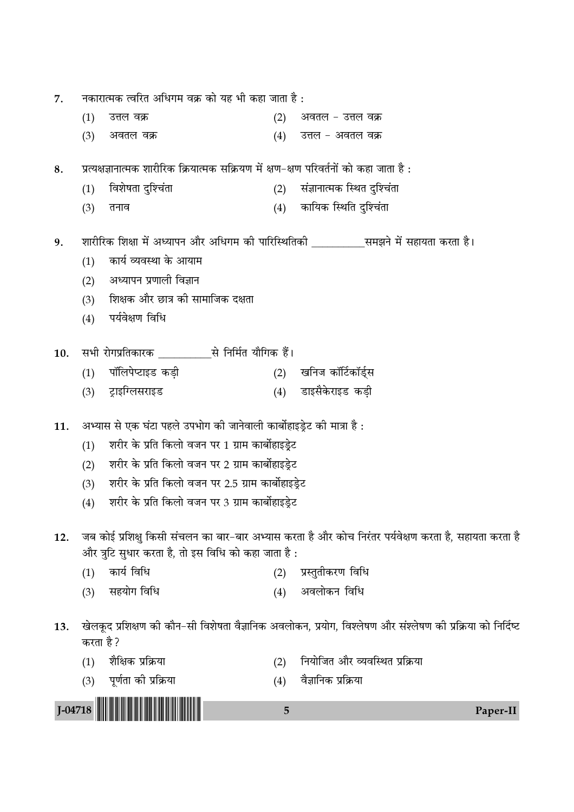| J-04718 |                                                    |                                                                                         | 5   | Paper-II                                                                                                    |  |  |  |
|---------|----------------------------------------------------|-----------------------------------------------------------------------------------------|-----|-------------------------------------------------------------------------------------------------------------|--|--|--|
|         | (3)                                                | पूर्णता की प्रक्रिया                                                                    | (4) | वैज्ञानिक प्रक्रिया                                                                                         |  |  |  |
|         | (1)                                                | शैक्षिक प्रक्रिया                                                                       | (2) | नियोजित और व्यवस्थित प्रक्रिया                                                                              |  |  |  |
|         | करता है ?                                          |                                                                                         |     |                                                                                                             |  |  |  |
| 13.     |                                                    |                                                                                         |     | खेलकूद प्रशिक्षण की कौन–सी विशेषता वैज्ञानिक अवलोकन, प्रयोग, विश्लेषण और संश्लेषण की प्रक्रिया को निर्दिष्ट |  |  |  |
|         | (3)                                                | सहयोग विधि                                                                              | (4) | अवलोकन विधि                                                                                                 |  |  |  |
|         | (1)                                                | कार्य विधि                                                                              | (2) | प्रस्तुतीकरण विधि                                                                                           |  |  |  |
|         |                                                    | और त्रुटि सुधार करता है, तो इस विधि को कहा जाता है :                                    |     |                                                                                                             |  |  |  |
| 12.     |                                                    |                                                                                         |     | जब कोई प्रशिक्षु किसी संचलन का बार-बार अभ्यास करता है और कोच निरंतर पर्यवेक्षण करता है, सहायता करता है      |  |  |  |
|         | (4)                                                | शरीर के प्रति किलो वजन पर 3 ग्राम कार्बोहाइड्रेट                                        |     |                                                                                                             |  |  |  |
|         | (3)                                                | शरीर के प्रति किलो वजन पर 2.5 ग्राम कार्बोहाइड्रेट                                      |     |                                                                                                             |  |  |  |
|         | (2)                                                | शरीर के प्रति किलो वजन पर 2 ग्राम कार्बोहाइड्रेट                                        |     |                                                                                                             |  |  |  |
|         | (1)                                                | शरीर के प्रति किलो वजन पर 1 ग्राम कार्बोहाइड्रेट                                        |     |                                                                                                             |  |  |  |
| 11.     |                                                    | अभ्यास से एक घंटा पहले उपभोग की जानेवाली कार्बोहाइड्रेट की मात्रा है :                  |     |                                                                                                             |  |  |  |
|         | (3)                                                | ट्राइग्लिसराइड                                                                          | (4) | डाइसैकेराइड कड़ी                                                                                            |  |  |  |
|         | (1)                                                | पॉलिपेप्टाइड कड़ी                                                                       | (2) | खनिज कॉर्टिकॉर्ड्स                                                                                          |  |  |  |
| 10.     |                                                    |                                                                                         |     |                                                                                                             |  |  |  |
|         |                                                    |                                                                                         |     |                                                                                                             |  |  |  |
|         | (4)                                                | पर्यवेक्षण विधि                                                                         |     |                                                                                                             |  |  |  |
|         | (2)<br>(3)                                         | शिक्षक और छात्र की सामाजिक दक्षता                                                       |     |                                                                                                             |  |  |  |
|         | (1)                                                | कार्य व्यवस्था के आयाम<br>अध्यापन प्रणाली विज्ञान                                       |     |                                                                                                             |  |  |  |
| 9.      |                                                    |                                                                                         |     | शारीरिक शिक्षा में अध्यापन और अधिगम की पारिस्थितिकी _____________ समझने में सहायता करता है।                 |  |  |  |
|         | (3)                                                | तनाव                                                                                    |     | (4) कायिक स्थिति दुश्चिंता                                                                                  |  |  |  |
|         | (1)                                                | विशेषता दुश्चिंता                                                                       | (2) | संज्ञानात्मक स्थित दुश्चिंता                                                                                |  |  |  |
| 8.      |                                                    | प्रत्यक्षज्ञानात्मक शारीरिक क्रियात्मक सक्रियण में क्षण-क्षण परिवर्तनों को कहा जाता है: |     |                                                                                                             |  |  |  |
|         | (3)                                                | अवतल वक्र                                                                               | (4) | उत्तल – अवतल वक्र                                                                                           |  |  |  |
|         | (1)                                                | उत्तल वक्र                                                                              | (2) | अवतल – उत्तल वक्र                                                                                           |  |  |  |
| 7.      | नकारात्मक त्वरित अधिगम वक्र को यह भी कहा जाता है : |                                                                                         |     |                                                                                                             |  |  |  |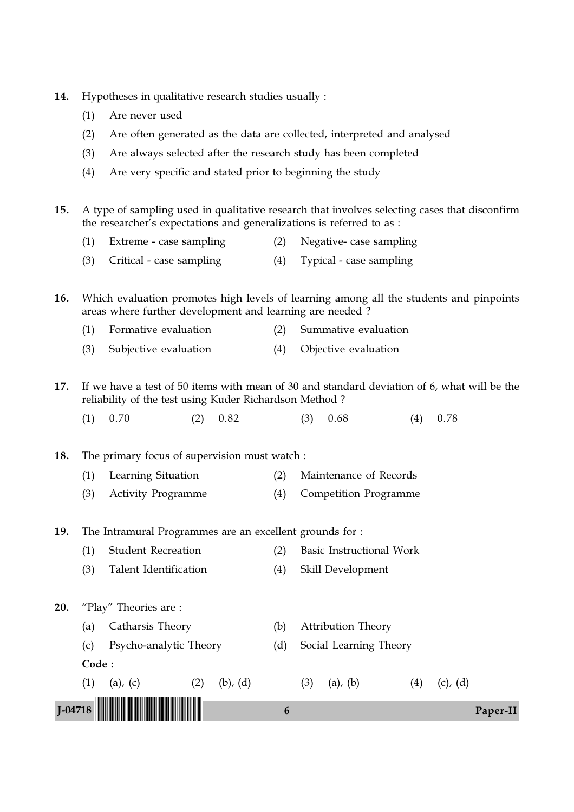- 14. Hypotheses in qualitative research studies usually :
	- (1) Are never used
	- (2) Are often generated as the data are collected, interpreted and analysed
	- (3) Are always selected after the research study has been completed
	- (4) Are very specific and stated prior to beginning the study

15. A type of sampling used in qualitative research that involves selecting cases that disconfirm the researcher's expectations and generalizations is referred to as :

- (1) Extreme case sampling (2) Negative- case sampling
- (3) Critical case sampling (4) Typical case sampling

16. Which evaluation promotes high levels of learning among all the students and pinpoints areas where further development and learning are needed ?

- (1) Formative evaluation (2) Summative evaluation
- (3) Subjective evaluation (4) Objective evaluation
- 17. If we have a test of 50 items with mean of 30 and standard deviation of 6, what will be the reliability of the test using Kuder Richardson Method ?
	- (1)  $0.70$  (2)  $0.82$  (3)  $0.68$  (4)  $0.78$
- 18. The primary focus of supervision must watch :
	- (1) Learning Situation (2) Maintenance of Records
	- (3) Activity Programme (4) Competition Programme

19. The Intramural Programmes are an excellent grounds for :

- (1) Student Recreation (2) Basic Instructional Work
- (3) Talent Identification (4) Skill Development

20. "Play" Theories are :

- (a) Catharsis Theory (b) Attribution Theory
- (c) Psycho-analytic Theory (d) Social Learning Theory
- Code :
- J-04718  $\begin{array}{|c|c|c|c|c|}\hline \rule{0pt}{1ex}\rule{0pt}{1ex}\rule{0pt}{1ex}\rule{0pt}{1ex}\rule{0pt}{1ex}\rule{0pt}{1ex}\rule{0pt}{1ex}\rule{0pt}{1ex}\rule{0pt}{1ex}\rule{0pt}{1ex}\rule{0pt}{1ex}\rule{0pt}{1ex}\rule{0pt}{1ex}\rule{0pt}{1ex}\rule{0pt}{1ex}\rule{0pt}{1ex}\rule{0pt}{1ex}\rule{0pt}{1ex}\rule{0pt}{1ex}\rule{0pt}{1ex}\rule{0pt}{1ex}\rule{0pt}{1ex}\rule{0pt}{1ex}\rule{0pt}{1ex}\$
- - (1) (a), (c) (2) (b), (d) (3) (a), (b) (4) (c), (d)
		-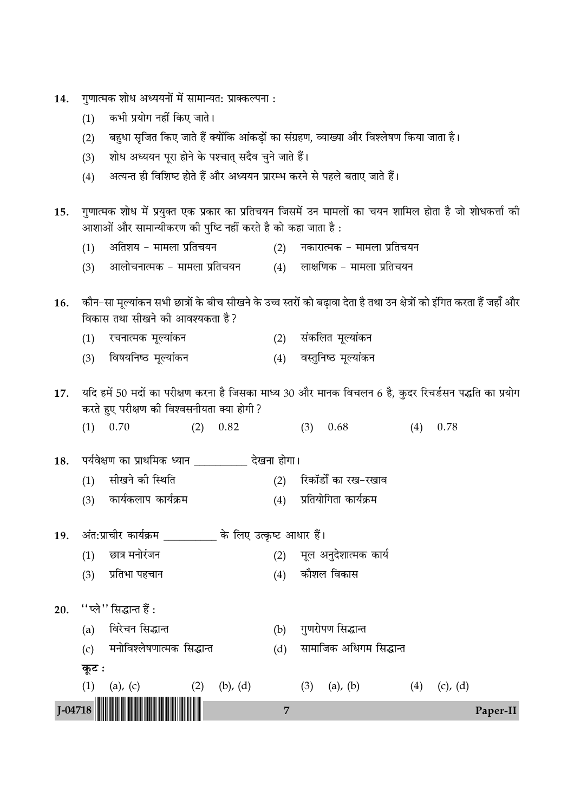| 14. |  |  | ंगुणात्मक शोध अध्ययनों में सामान्यत: प्राक्कल्पना : |  |
|-----|--|--|-----------------------------------------------------|--|
|     |  |  |                                                     |  |

- कभी प्रयोग नहीं किए जाते।  $(1)$
- बहुधा सृजित किए जाते हैं क्योंकि आंकड़ों का संग्रहण, व्याख्या और विश्लेषण किया जाता है।  $(2)$
- शोध अध्ययन पूरा होने के पश्चात् सदैव चुने जाते हैं।  $(3)$
- अत्यन्त ही विशिष्ट होते हैं और अध्ययन प्रारम्भ करने से पहले बताए जाते हैं।  $(4)$
- गुणात्मक शोध में प्रयुक्त एक प्रकार का प्रतिचयन जिसमें उन मामलों का चयन शामिल होता है जो शोधकर्त्ता की 15. आशाओं और सामान्यीकरण की पुष्टि नहीं करते है को कहा जाता है :
	- (1) अतिशय मामला प्रतिचयन (2) नकारात्मक - मामला प्रतिचयन
	- आलोचनात्मक मामला प्रतिचयन  $(4)$  लाक्षणिक – मामला प्रतिचयन  $(3)$

कौन–सा मूल्यांकन सभी छात्रों के बीच सीखने के उच्च स्तरों को बढ़ावा देता है तथा उन क्षेत्रों को इंगित करता हैं जहाँ और 16. विकास तथा सीखने की आवश्यकता है?

- रचनात्मक मूल्यांकन (2) संकलित मूल्यांकन  $(1)$
- (3) विषयनिष्ठ मूल्यांकन (4) वस्तुनिष्ठ मूल्यांकन

यदि हमें 50 मदों का परीक्षण करना है जिसका माध्य 30 और मानक विचलन 6 है, कुदर रिचर्डसन पद्धति का प्रयोग 17. करते हुए परीक्षण की विश्वसनीयता क्या होगी ?

 $(1)$  0.70  $(2)$  0.82  $(3)$  0.68  $(4)$  0.78

पर्यवेक्षण का प्राथमिक ध्यान \_\_\_\_\_\_\_\_\_\_ देखना होगा। 18.

- सीखने की स्थिति (2) रिकॉर्डों का रख-रखाव  $(1)$
- कार्यकलाप कार्यक्रम (4) प्रतियोगिता कार्यक्रम  $(3)$

#### अंत:प्राचीर कार्यक्रम \_\_\_\_\_\_\_\_\_\_ के लिए उत्कृष्ट आधार हैं। 19.

- छात्र मनोरंजन मूल अनुदेशात्मक कार्य  $(1)$  $(2)$
- प्रतिभा पहचान (4) कौशल विकास  $(3)$
- $"$ प्ले $"$  सिद्धान्त हैं: 20.
	- (a) विरेचन सिद्धान्त
	- (c) मनोविश्लेषणात्मक सिद्धान्त
	- कूट :

 $J - 04718$ 

सामाजिक अधिगम सिद्धान्त  $(d)$ 

(b) गुणरोपण सिद्धान्त

- $(1)$  (a), (c)  $(2)$  $(b)$ ,  $(d)$  $(3)$  (a), (b)  $(4)$  (c), (d)
	- $\overline{7}$ Paper-II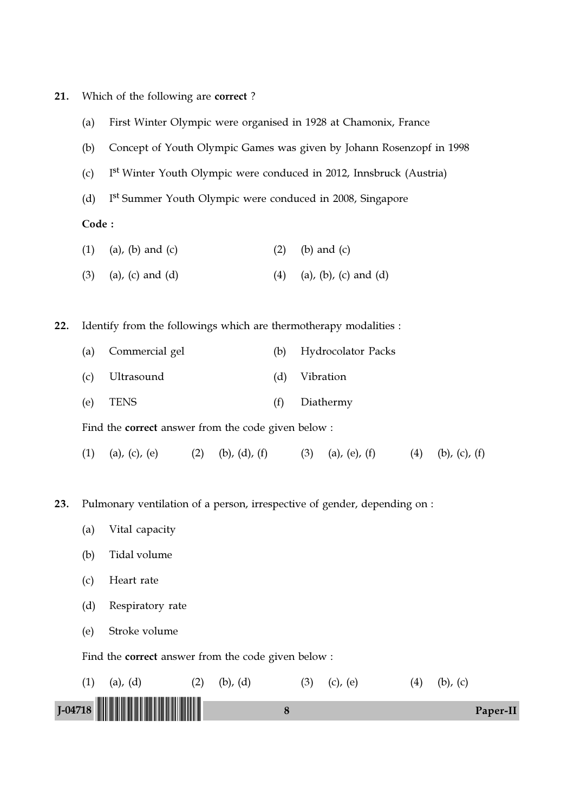- 21. Which of the following are correct ?
	- (a) First Winter Olympic were organised in 1928 at Chamonix, France
	- (b) Concept of Youth Olympic Games was given by Johann Rosenzopf in 1998
	- $(c)$ I<sup>st</sup> Winter Youth Olympic were conduced in 2012, Innsbruck (Austria)
	- $(d)$ I<sup>st</sup> Summer Youth Olympic were conduced in 2008, Singapore

Code :

- (1) (a), (b) and (c)  $(2)$  (b) and (c)
- (3) (a), (c) and (d) (4) (a), (b), (c) and (d)

22. Identify from the followings which are thermotherapy modalities :

- (a) Commercial gel (b) Hydrocolator Packs
- (c) Ultrasound (d) Vibration
- (e) TENS (f) Diathermy

Find the correct answer from the code given below :

- (1) (a), (c), (e) (2) (b), (d), (f) (3) (a), (e), (f) (4) (b), (c), (f)
- 23. Pulmonary ventilation of a person, irrespective of gender, depending on :
	- (a) Vital capacity
	- (b) Tidal volume
	- (c) Heart rate
	- (d) Respiratory rate
	- (e) Stroke volume

Find the correct answer from the code given below :

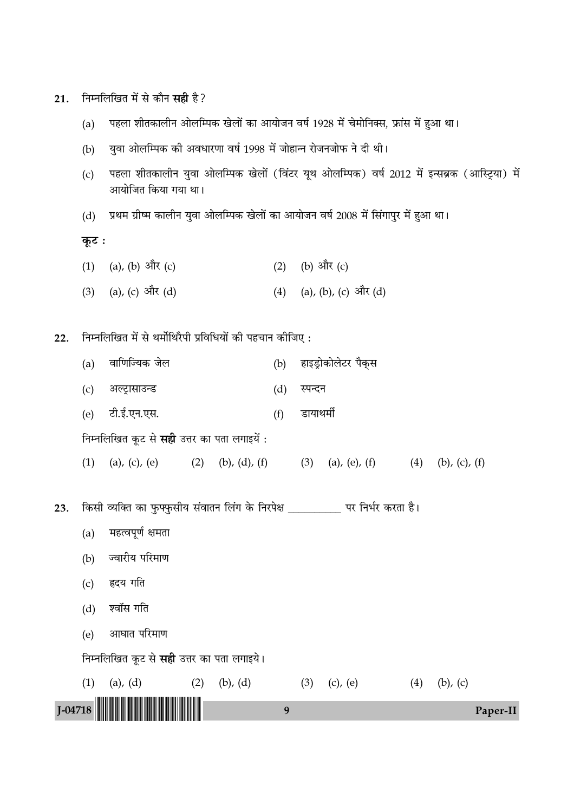| 21.     |                                                           |                                                                                                                    | निम्नलिखित में से कौन <b>सही</b> है? |                             |     |           |                          |     |                       |          |
|---------|-----------------------------------------------------------|--------------------------------------------------------------------------------------------------------------------|--------------------------------------|-----------------------------|-----|-----------|--------------------------|-----|-----------------------|----------|
|         | (a)                                                       | पहला शीतकालीन ओलम्पिक खेलों का आयोजन वर्ष 1928 में चेमोनिक्स, फ्रांस में हुआ था।                                   |                                      |                             |     |           |                          |     |                       |          |
|         | (b)                                                       | युवा ओलम्पिक की अवधारणा वर्ष 1998 में जोहान्न रोजनजोफ ने दी थी।                                                    |                                      |                             |     |           |                          |     |                       |          |
|         | (c)                                                       | पहला शीतकालीन युवा ओलम्पिक खेलों (विंटर यूथ ओलम्पिक) वर्ष 2012 में इन्सब्रक (आस्ट्रिया) में<br>आयोजित किया गया था। |                                      |                             |     |           |                          |     |                       |          |
|         | (d)                                                       | प्रथम ग्रीष्म कालीन युवा ओलम्पिक खेलों का आयोजन वर्ष 2008 में सिंगापुर में हुआ था।                                 |                                      |                             |     |           |                          |     |                       |          |
|         | कूट :                                                     |                                                                                                                    |                                      |                             |     |           |                          |     |                       |          |
|         | (1)                                                       | (a), (b) और (c)                                                                                                    |                                      |                             | (2) |           | (b) और (c)               |     |                       |          |
|         |                                                           | $(3)$ (a), (c) और (d)                                                                                              |                                      |                             |     |           | (4) (a), (b), (c) और (d) |     |                       |          |
| 22.     | निम्नलिखित में से थर्मोथिरैपी प्रविधियों की पहचान कीजिए : |                                                                                                                    |                                      |                             |     |           |                          |     |                       |          |
|         | (a)                                                       | वाणिज्यिक जेल                                                                                                      |                                      |                             | (b) |           | हाइड्रोकोलेटर पैक्स      |     |                       |          |
|         | (c)                                                       | अल्ट्रासाउन्ड                                                                                                      |                                      |                             | (d) | स्पन्दन   |                          |     |                       |          |
|         | (e)                                                       | टी.ई.एन.एस.                                                                                                        |                                      |                             | (f) | डायाथर्मी |                          |     |                       |          |
|         |                                                           | निम्नलिखित कूट से <b>सही</b> उत्तर का पता लगाइयें :                                                                |                                      |                             |     |           |                          |     |                       |          |
|         | (1)                                                       | $(a)$ , $(c)$ , $(e)$                                                                                              |                                      | $(2)$ $(b)$ , $(d)$ , $(f)$ |     | (3)       | (a), (e), (f) $(4)$      |     | $(b)$ , $(c)$ , $(f)$ |          |
| 23.     |                                                           | किसी व्यक्ति का फुफ्फुसीय संवातन लिंग के निरपेक्ष ___________ पर निर्भर करता है।                                   |                                      |                             |     |           |                          |     |                       |          |
|         | (a)                                                       | महत्वपूर्ण क्षमता                                                                                                  |                                      |                             |     |           |                          |     |                       |          |
|         | (b)                                                       | ज्वारीय परिमाण                                                                                                     |                                      |                             |     |           |                          |     |                       |          |
|         | (c)                                                       | हृदय गति                                                                                                           |                                      |                             |     |           |                          |     |                       |          |
|         | (d)                                                       | श्वॉस गति                                                                                                          |                                      |                             |     |           |                          |     |                       |          |
|         | (e)                                                       | आघात परिमाण                                                                                                        |                                      |                             |     |           |                          |     |                       |          |
|         |                                                           | निम्नलिखित कूट से सही उत्तर का पता लगाइये।                                                                         |                                      |                             |     |           |                          |     |                       |          |
|         | (1)                                                       | $(a)$ , $(d)$                                                                                                      | (2)                                  | $(b)$ , $(d)$               |     | (3)       | $(c)$ , $(e)$            | (4) | $(b)$ , $(c)$         |          |
| J-04718 |                                                           |                                                                                                                    |                                      |                             | 9   |           |                          |     |                       | Paper-II |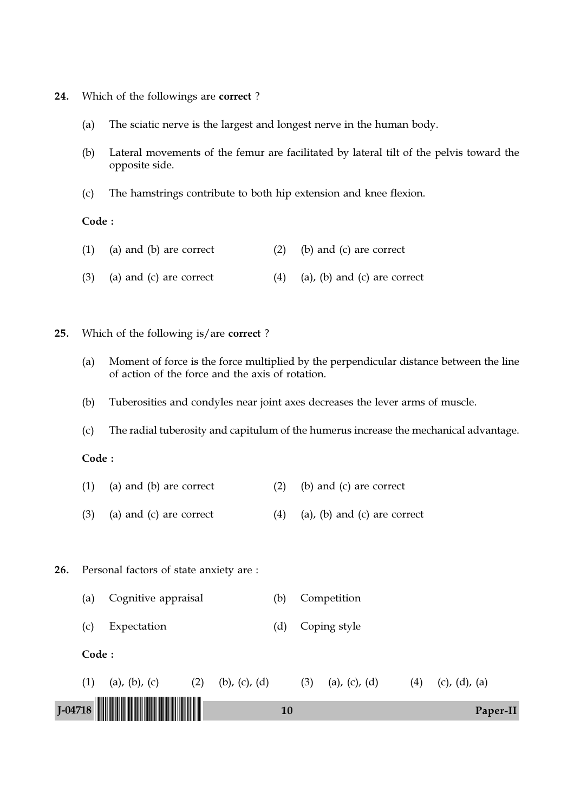- 24. Which of the followings are correct ?
	- (a) The sciatic nerve is the largest and longest nerve in the human body.
	- (b) Lateral movements of the femur are facilitated by lateral tilt of the pelvis toward the opposite side.
	- (c) The hamstrings contribute to both hip extension and knee flexion.

#### Code :

- (1) (a) and (b) are correct (2) (b) and (c) are correct
- (3) (a) and (c) are correct  $(4)$  (a), (b) and (c) are correct
- 25. Which of the following is/are correct ?
	- (a) Moment of force is the force multiplied by the perpendicular distance between the line of action of the force and the axis of rotation.
	- (b) Tuberosities and condyles near joint axes decreases the lever arms of muscle.
	- (c) The radial tuberosity and capitulum of the humerus increase the mechanical advantage.

#### Code :

- (1) (a) and (b) are correct (2) (b) and (c) are correct
- (3) (a) and (c) are correct  $(4)$  (a), (b) and (c) are correct

#### 26. Personal factors of state anxiety are :

- (a) Cognitive appraisal (b) Competition
- (c) Expectation (d) Coping style
- Code :

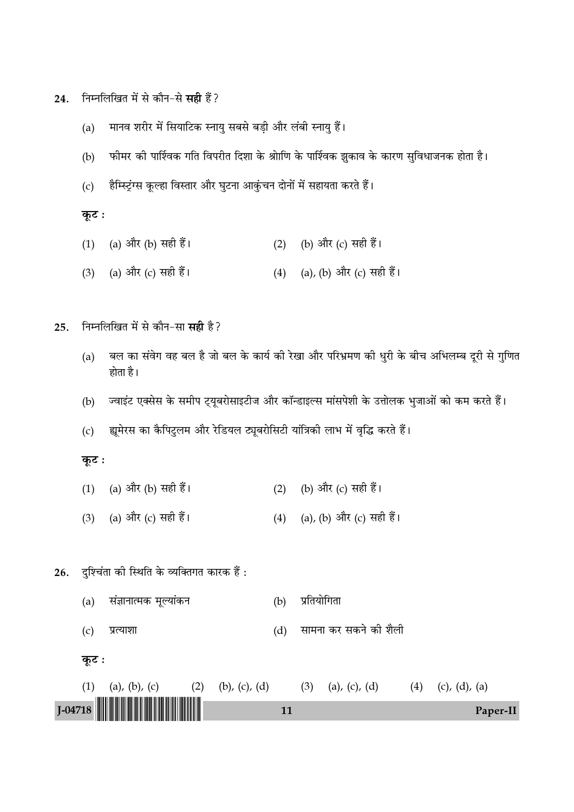- निम्नलिखित में से कौन-से **सही** हैं? 24.
	- मानव शरीर में सियाटिक स्नायु सबसे बड़ी और लंबी स्नायु हैं।  $(a)$
	- फीमर की पार्श्विक गति विपरीत दिशा के श्रोाणि के पार्श्विक झुकाव के कारण सुविधाजनक होता है।  $(b)$
	- हैम्स्ट्रिंग्स कूल्हा विस्तार और घुटना आकुंचन दोनों में सहायता करते हैं।  $(c)$

#### कूट :

- (a) और (b) सही हैं। (b) और (c) सही हैं।  $(1)$  $(2)$
- (a) और (c) सही हैं। (4) (a), (b) और (c) सही हैं।  $(3)$
- निम्नलिखित में से कौन-सा **सही** है? 25.
	- बल का संवेग वह बल है जो बल के कार्य की रेखा और परिभ्रमण की धुरी के बीच अभिलम्ब दूरी से गुणित  $(a)$ होता है।
	- ज्वाइंट एक्सेस के समीप ट्यूबरोसाइटीज और कॉन्डाइल्स मांसपेशी के उत्तोलक भुजाओं को कम करते हैं।  $(b)$
	- ह्यूमेरस का कैपिटुलम और रेडियल ट्यूबरोसिटी यांत्रिकी लाभ में वृद्धि करते हैं।  $(c)$

## कूट :

- (a) और (b) सही हैं। (2) (b) और (c) सही हैं।  $(1)$
- (3) (a) और (c) सही हैं। (4) (a), (b) और (c) सही हैं।
- दुश्चिंता की स्थिति के व्यक्तिगत कारक हैं: 26.
	- संज्ञानात्मक मूल्यांकन प्रतियोगिता  $(a)$  $(b)$ 
		- सामना कर सकने की शैली प्रत्याशा  $(d)$



 $(c)$ 

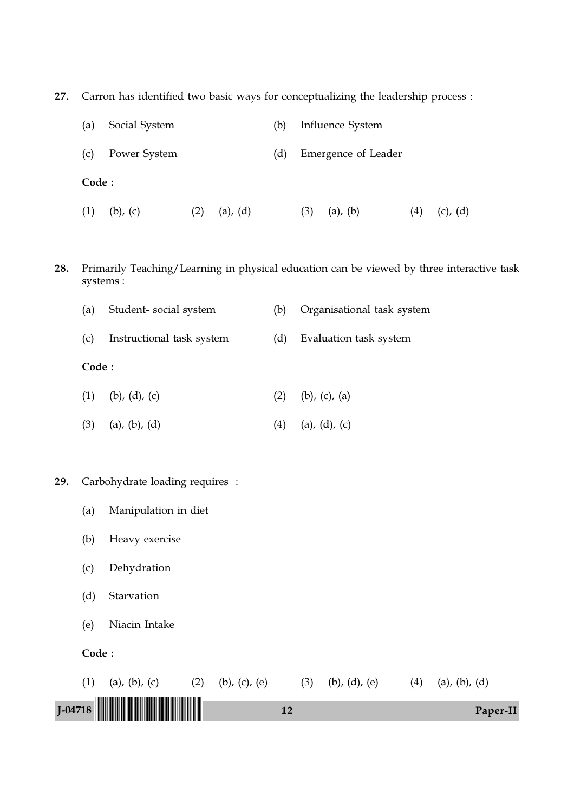27. Carron has identified two basic ways for conceptualizing the leadership process :

| (a)   | Social System |     | (b)           |     | Influence System    |               |     |               |
|-------|---------------|-----|---------------|-----|---------------------|---------------|-----|---------------|
| (c)   | Power System  |     |               | (d) | Emergence of Leader |               |     |               |
| Code: |               |     |               |     |                     |               |     |               |
| (1)   | $(b)$ , $(c)$ | (2) | $(a)$ , $(d)$ |     | (3)                 | $(a)$ , $(b)$ | (4) | $(c)$ , $(d)$ |

28. Primarily Teaching/Learning in physical education can be viewed by three interactive task systems :

| (a)   | Student-social system     | (b) | Organisational task system |
|-------|---------------------------|-----|----------------------------|
| (c)   | Instructional task system | (d) | Evaluation task system     |
| Code: |                           |     |                            |
| (1)   | (b), (d), (c)             | (2) | $(b)$ , $(c)$ , $(a)$      |
| (3)   | $(a)$ , $(b)$ , $(d)$     | (4) | $(a)$ , $(d)$ , $(c)$      |

- 29. Carbohydrate loading requires :
	- (a) Manipulation in diet
	- (b) Heavy exercise
	- (c) Dehydration
	- (d) Starvation
	- (e) Niacin Intake
	- Code :

| (a), (b), (c) | $(b)$ , $(c)$ , $(e)$ | $(b)$ , $(d)$ , $(e)$ | (a), (b), (d) |
|---------------|-----------------------|-----------------------|---------------|
|               |                       |                       |               |
| $J$ -04718    |                       |                       | Paper-II      |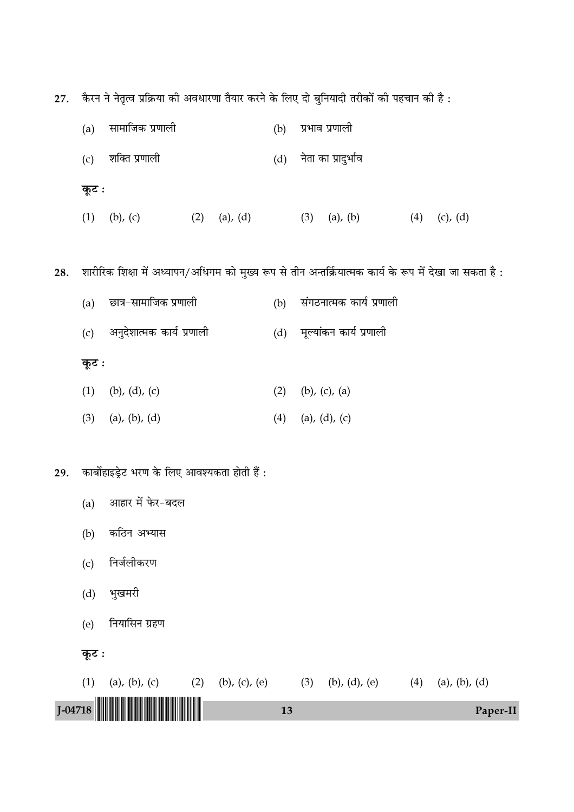27. कैरन ने नेतृत्व प्रक्रिया की अवधारणा तैयार करने के लिए दो बुनियादी तरीकों की पहचान की है :

|     | (a)   | सामाजिक प्रणाली                                                                                          |                | (b) | प्रभाव प्रणाली              |     |               |  |
|-----|-------|----------------------------------------------------------------------------------------------------------|----------------|-----|-----------------------------|-----|---------------|--|
|     | (c)   | शक्ति प्रणाली                                                                                            |                | (d) | नेता का प्रादुर्भाव         |     |               |  |
|     | कूट : |                                                                                                          |                |     |                             |     |               |  |
|     | (1)   | $(b)$ , $(c)$                                                                                            | $(2)$ (a), (d) |     | $(3)$ (a), (b)              | (4) | $(c)$ , $(d)$ |  |
|     |       |                                                                                                          |                |     |                             |     |               |  |
| 28. |       | शारीरिक शिक्षा में अध्यापन/अधिगम को मुख्य रूप से तीन अन्तर्क्रियात्मक कार्य के रूप में देखा जा सकता है : |                |     |                             |     |               |  |
|     | (a)   | छात्र-सामाजिक प्रणाली                                                                                    |                | (b) | संगठनात्मक कार्य प्रणाली    |     |               |  |
|     | (c)   | अनुदेशात्मक कार्य प्रणाली                                                                                |                |     | (d) मूल्यांकन कार्य प्रणाली |     |               |  |
|     | कूट : |                                                                                                          |                |     |                             |     |               |  |
|     | (1)   | (b), $(d)$ , $(c)$                                                                                       |                | (2) | (b), $(c)$ , $(a)$          |     |               |  |
|     | (3)   | $(a)$ , $(b)$ , $(d)$                                                                                    |                | (4) | (a), $(d)$ , $(c)$          |     |               |  |
|     |       |                                                                                                          |                |     |                             |     |               |  |
| 29. |       | कार्बोहाइड्रेट भरण के लिए आवश्यकता होती हैं:                                                             |                |     |                             |     |               |  |
|     | (a)   | आहार में फेर-बदल                                                                                         |                |     |                             |     |               |  |
|     | (b)   | कठिन अभ्यास                                                                                              |                |     |                             |     |               |  |
|     | (c)   | निर्जलीकरण                                                                                               |                |     |                             |     |               |  |
|     |       |                                                                                                          |                |     |                             |     |               |  |

- (d) भुखमरी
- (e) नियासिन ग्रहण
- $\overline{\mathbf{z}}$ :

|     | $J$ -04718    |                   | 13 |                     | Paper-II            |  |
|-----|---------------|-------------------|----|---------------------|---------------------|--|
| (1) | (a), (b), (c) | (2) (b), (c), (e) |    | $(3)$ (b), (d), (e) | $(4)$ (a), (b), (d) |  |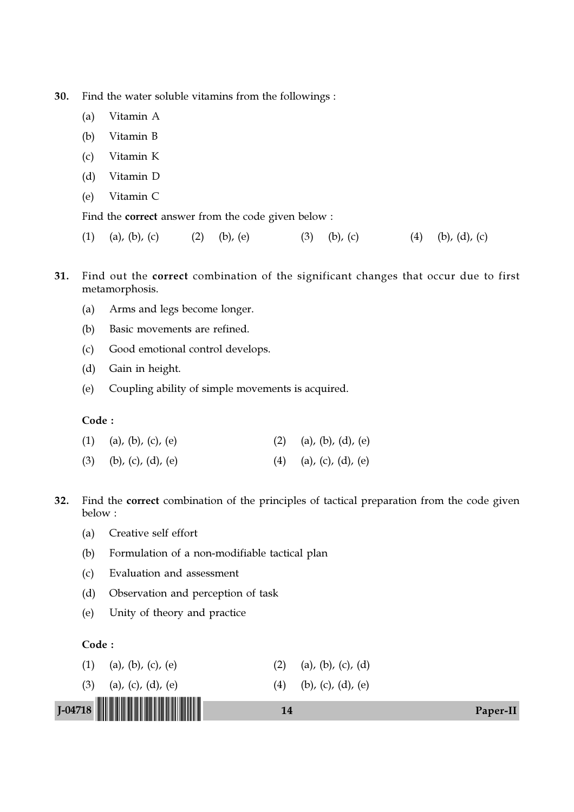30. Find the water soluble vitamins from the followings :

- (a) Vitamin A
- (b) Vitamin B
- (c) Vitamin K
- (d) Vitamin D
- (e) Vitamin C

Find the correct answer from the code given below :

- (1) (a), (b), (c) (2) (b), (e) (3) (b), (c) (4) (b), (d), (c)
- 31. Find out the correct combination of the significant changes that occur due to first metamorphosis.
	- (a) Arms and legs become longer.
	- (b) Basic movements are refined.
	- (c) Good emotional control develops.
	- (d) Gain in height.
	- (e) Coupling ability of simple movements is acquired.

#### Code :

| $(1)$ (a), (b), (c), (e) | (2) (a), (b), (d), (e) |
|--------------------------|------------------------|
| $(3)$ (b), (c), (d), (e) | (4) (a), (c), (d), (e) |

- 32. Find the correct combination of the principles of tactical preparation from the code given below :
	- (a) Creative self effort
	- (b) Formulation of a non-modifiable tactical plan
	- (c) Evaluation and assessment
	- (d) Observation and perception of task
	- (e) Unity of theory and practice

#### Code :

| $J$ -04718                | 14                     | Paper-II |
|---------------------------|------------------------|----------|
| (3)<br>(a), (c), (d), (e) | (4) (b), (c), (d), (e) |          |
| (1)<br>(a), (b), (c), (e) | (a), (b), (c), (d)     |          |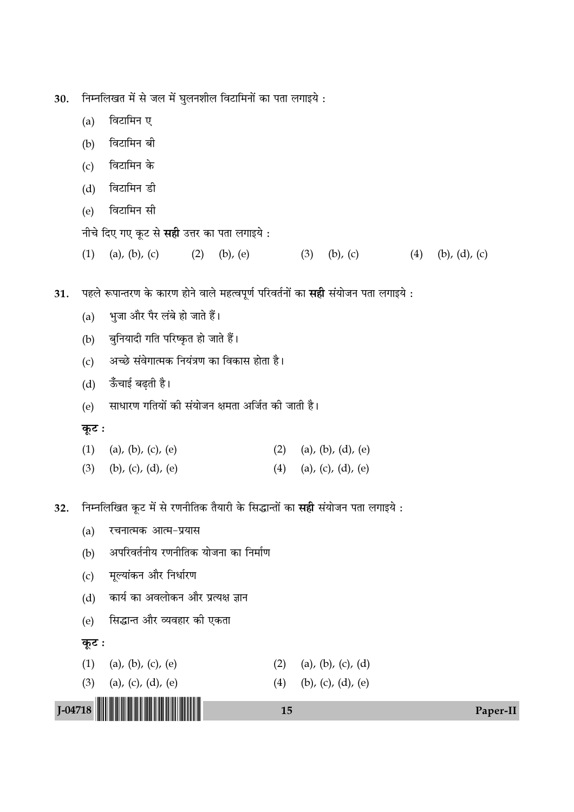निम्नलिखत में से जल में घुलनशील विटामिनों का पता लगाइये : 30.

- $(a)$ विटामिन ए
- विटामिन बी  $(b)$
- विटामिन के  $(c)$
- विटामिन डी  $(d)$
- विटामिन सी  $(e)$
- नीचे दिए गए कूट से सही उत्तर का पता लगाइये :
- $(1)$ (a), (b), (c)  $(2)$  (b), (e)  $(3)$ (b), (c) (4) (b), (d), (c)
- पहले रूपान्तरण के कारण होने वाले महत्वपूर्ण परिवर्तनों का **सही** संयोजन पता लगाइये : 31.
	- भुजा और पैर लंबे हो जाते हैं।  $(a)$
	- बुनियादी गति परिष्कृत हो जाते हैं।  $(b)$
	- अच्छे संवेगात्मक नियंत्रण का विकास होता है।  $(c)$
	- ऊँचाई बढ़ती है।  $(d)$
	- साधारण गतियों की संयोजन क्षमता अर्जित की जाती है।  $(e)$

#### कूट :

- $(1)$ (a), (b), (c), (e) (2) (a), (b), (d), (e)  $(3)$ (b), (c), (d), (e) (4) (a), (c), (d), (e)
- निम्नलिखित कूट में से रणनीतिक तैयारी के सिद्धान्तों का सही संयोजन पता लगाइये : 32.
	- रचनात्मक आत्म-प्रयास  $(a)$
	- अपरिवर्तनीय रणनीतिक योजना का निर्माण  $(b)$
	- मूल्यांकन और निर्धारण  $(c)$
	- कार्य का अवलोकन और प्रत्यक्ष ज्ञान  $(d)$
	- सिद्धान्त और व्यवहार की एकता  $(e)$

### कूट :

- (a), (b), (c), (e) (2) (a), (b), (c), (d)  $(1)$
- (a), (c), (d), (e)  $(3)$ (b), (c), (d), (e)  $(4)$



15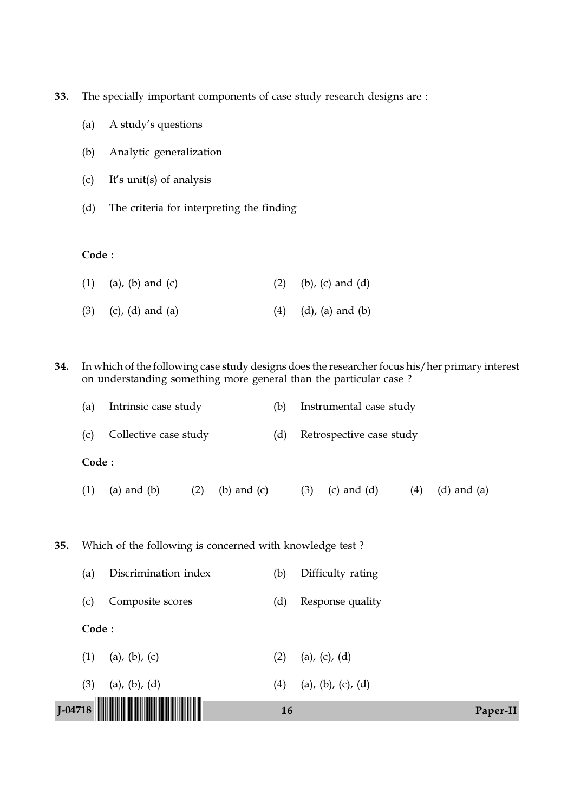33. The specially important components of case study research designs are :

- (a) A study's questions
- (b) Analytic generalization
- (c) It's unit(s) of analysis
- (d) The criteria for interpreting the finding

## Code :

| $(1)$ (a), (b) and (c) | $(2)$ (b), (c) and (d)        |
|------------------------|-------------------------------|
| $(3)$ (c), (d) and (a) | $(4)$ $(d)$ , $(a)$ and $(b)$ |

34. In which of the following case study designs does the researcher focus his/her primary interest on understanding something more general than the particular case ?

| (a) | Intrinsic case study      | (b) Instrumental case study  |
|-----|---------------------------|------------------------------|
|     | (c) Collective case study | (d) Retrospective case study |

# Code :

(1) (a) and (b) (2) (b) and (c) (3) (c) and (d) (4) (d) and (a)

35. Which of the following is concerned with knowledge test ?

| $1-04718$ $\blacksquare$ |       |                       | 16  | Paper-II           |
|--------------------------|-------|-----------------------|-----|--------------------|
| (3)                      |       | $(a)$ , $(b)$ , $(d)$ | (4) | (a), (b), (c), (d) |
| (1)                      |       | (a), (b), (c)         | (2) | (a), (c), (d)      |
|                          | Code: |                       |     |                    |
| (c)                      |       | Composite scores      | (d) | Response quality   |
| (a)                      |       | Discrimination index  | (b) | Difficulty rating  |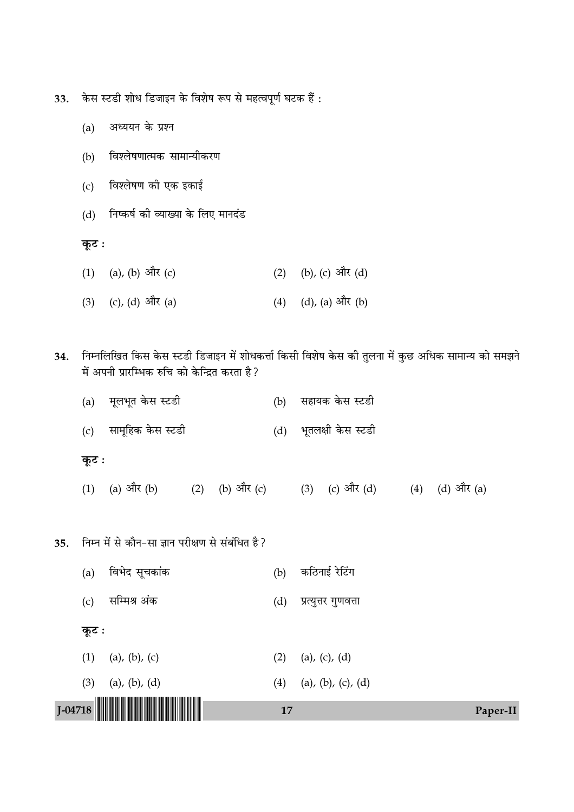केस स्टडी शोध डिजाइन के विशेष रूप से महत्वपूर्ण घटक हैं : 33.

- (a) अध्ययन के प्रश्न
- विश्लेषणात्मक सामान्यीकरण  $(b)$
- (c) विश्लेषण की एक इकाई
- (d) निष्कर्ष की व्याख्या के लिए मानदंड

कूट:

- (1) (a), (b) और (c) (2) (b), (c) और (d)
- (3) (c), (d) और (a)  $(4)$   $(d)$ ,  $(a)$  और  $(b)$
- 34. निम्नलिखित किस केस स्टडी डिजाइन में शोधकर्त्ता किसी विशेष केस की तुलना में कुछ अधिक सामान्य को समझने में अपनी प्रारम्भिक रुचि को केन्द्रित करता है?

| कूट : |                       |                        |
|-------|-----------------------|------------------------|
|       | (c) सामूहिक केस स्टडी | (d) भूतलक्षी केस स्टडी |
|       | (a) मूलभूत केस स्टडी  | (b) सहायक केस स्टडी    |

- (1) (a) और (b) (2) (b) और (c) (3) (c) और (d) (4) (d) और (a)
- 35. निम्न में से कौन-सा ज्ञान परीक्षण से संबंधित है?

|                              | 17                          | Paper-II |
|------------------------------|-----------------------------|----------|
| (3)<br>$(a)$ , $(b)$ , $(d)$ | (a), (b), (c), (d)<br>(4)   |          |
| $(1)$ (a), (b), (c)          | (a), (c), (d)<br>(2)        |          |
| कूट :                        |                             |          |
| सम्मिश्र अंक<br>(c)          | (d)<br>प्रत्युत्तर गुणवत्ता |          |
| विभेद सूचकांक<br>(a)         | कठिनाई रेटिंग<br>(b)        |          |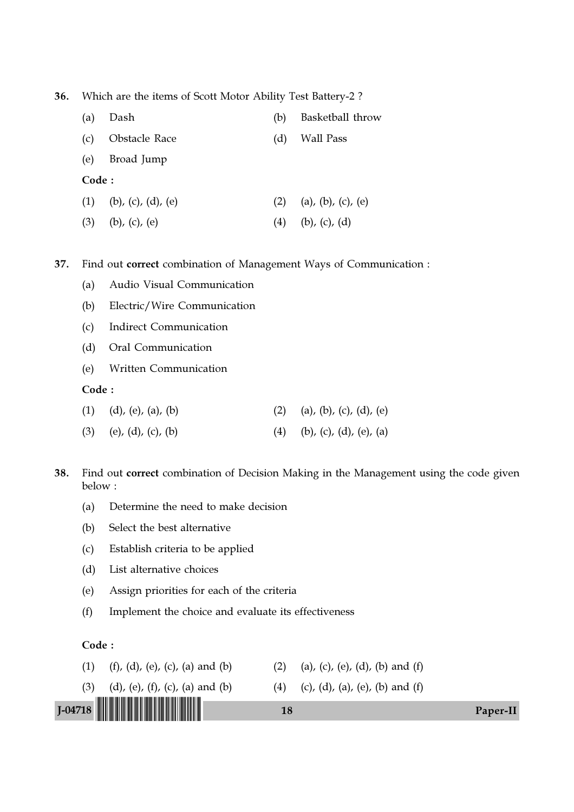36. Which are the items of Scott Motor Ability Test Battery-2 ?

| (a)   | Dash                  | (b) | Basketball throw      |
|-------|-----------------------|-----|-----------------------|
| (c)   | Obstacle Race         | (d) | Wall Pass             |
| (e)   | Broad Jump            |     |                       |
| Code: |                       |     |                       |
| (1)   | (b), (c), (d), (e)    | (2) | (a), (b), (c), (e)    |
| (3)   | $(b)$ , $(c)$ , $(e)$ | (4) | $(b)$ , $(c)$ , $(d)$ |

37. Find out correct combination of Management Ways of Communication :

- (a) Audio Visual Communication
- (b) Electric/Wire Communication
- (c) Indirect Communication
- (d) Oral Communication
- (e) Written Communication

Code :

| $(1)$ $(d)$ , $(e)$ , $(a)$ , $(b)$ | (2) (a), (b), (c), (d), (e) |
|-------------------------------------|-----------------------------|
| $(3)$ (e), (d), (c), (b)            | (4) (b), (c), (d), (e), (a) |

38. Find out correct combination of Decision Making in the Management using the code given below :

- (a) Determine the need to make decision
- (b) Select the best alternative
- (c) Establish criteria to be applied
- (d) List alternative choices
- (e) Assign priorities for each of the criteria
- (f) Implement the choice and evaluate its effectiveness

#### Code :

| (1) (f), (d), (e), (c), (a) and (b) | (2) (a), (c), (e), (d), (b) and (f) |
|-------------------------------------|-------------------------------------|
|-------------------------------------|-------------------------------------|

(3) (d), (e), (f), (c), (a) and (b) (4) (c), (d), (a), (e), (b) and (f)



J-04718 !J-04718-PAPER-II! <sup>18</sup> Paper-II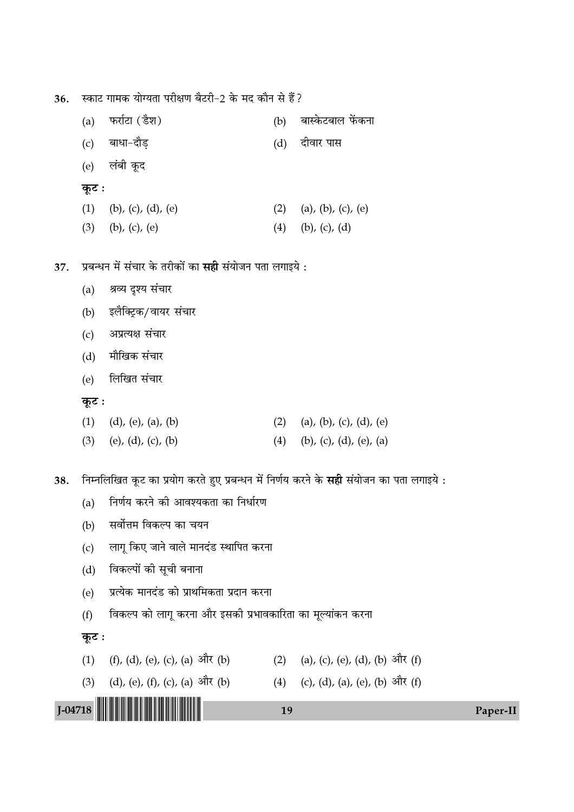स्काट गामक योग्यता परीक्षण बैटरी-2 के मद कौन से हैं? 36.

| फर्राटा (डैश)<br>(a)                                           | (b) | बास्केटबाल फेंकना       |
|----------------------------------------------------------------|-----|-------------------------|
| (c) बाधा-दौड़                                                  |     | (d) दीवार पास           |
| (e) लंबी कूद                                                   |     |                         |
| कूट :                                                          |     |                         |
| (1)<br>(b), (c), (d), (e)                                      | (2) | (a), (b), (c), (e)      |
| (3)<br>(b), $(c)$ , $(e)$                                      | (4) | $(b)$ , $(c)$ , $(d)$   |
|                                                                |     |                         |
| प्रबन्धन में संचार के तरीकों का <b>सही</b> संयोजन पता लगाइये : |     |                         |
| श्रव्य दृश्य संचार<br>(a)                                      |     |                         |
| इलैक्ट्रिक/वायर संचार<br>(b)                                   |     |                         |
| अप्रत्यक्ष संचार<br>(c)                                        |     |                         |
| मौखिक संचार<br>(d)                                             |     |                         |
| लिखित संचार<br>(e)                                             |     |                         |
| कूट :                                                          |     |                         |
| (1)<br>$(d)$ , $(e)$ , $(a)$ , $(b)$                           | (2) | (a), (b), (c), (d), (e) |
| (3)<br>(e), (d), (c), (b)                                      | (4) | (b), (c), (d), (e), (a) |
|                                                                |     |                         |

निम्नलिखित कूट का प्रयोग करते हुए प्रबन्धन में निर्णय करने के **सही** संयोजन का पता लगाइये : 38.

- निर्णय करने की आवश्यकता का निर्धारण  $(a)$
- सर्वोत्तम विकल्प का चयन  $(b)$
- लागू किए जाने वाले मानदंड स्थापित करना  $(c)$
- विकल्पों की सूची बनाना  $(d)$
- प्रत्येक मानदंड को प्राथमिकता प्रदान करना  $(e)$
- विकल्प को लागू करना और इसकी प्रभावकारिता का मूल्यांकन करना  $(f)$

#### कूट:

37.

- (1) (f), (d), (e), (c), (a) और (b) (2) (a), (c), (e), (d), (b) और (f)
- (3) (d), (e), (f), (c), (a) और (b) (4) (c), (d), (a), (e), (b) और (f)

# $J$ -04718

# 19

#### Paper-II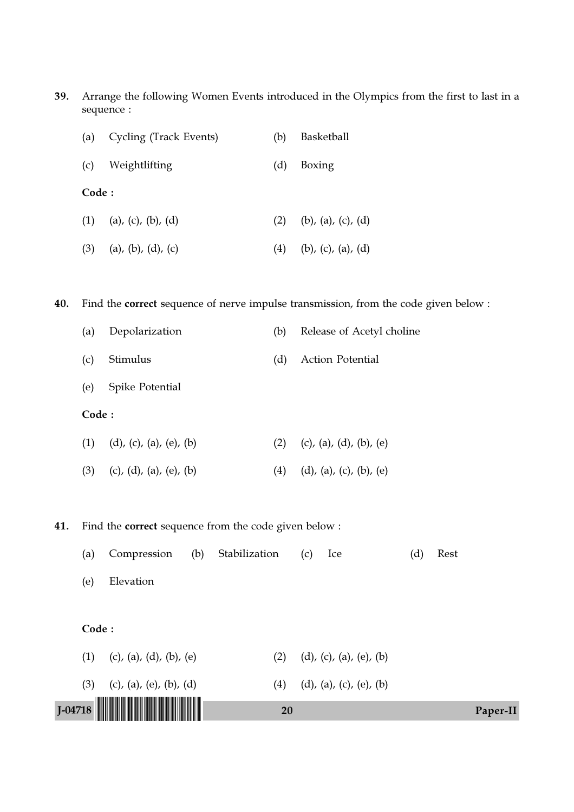39. Arrange the following Women Events introduced in the Olympics from the first to last in a sequence :

| (a)   | Cycling (Track Events)   | (b) | Basketball         |
|-------|--------------------------|-----|--------------------|
| (c)   | Weightlifting            | (d) | Boxing             |
| Code: |                          |     |                    |
|       | $(1)$ (a), (c), (b), (d) | (2) | (b), (a), (c), (d) |
| (3)   | (a), (b), (d), (c)       | (4) | (b), (c), (a), (d) |

40. Find the correct sequence of nerve impulse transmission, from the code given below :

| (a)   | Depolarization         | (b) | Release of Acetyl choline |
|-------|------------------------|-----|---------------------------|
| (c)   | Stimulus               | (d) | Action Potential          |
| (e)   | <b>Spike Potential</b> |     |                           |
| Code: |                        |     |                           |
|       |                        |     |                           |

| $(1)$ $(d)$ , $(c)$ , $(a)$ , $(e)$ , $(b)$ | (2) (c), (a), (d), (b), (e) |
|---------------------------------------------|-----------------------------|
| $(3)$ (c), (d), (a), (e), (b)               | (4) (d), (a), (c), (b), (e) |

41. Find the correct sequence from the code given below :

| (a) | Compression |  | (b) Stabilization |  |  |  | Rest |
|-----|-------------|--|-------------------|--|--|--|------|
|-----|-------------|--|-------------------|--|--|--|------|

(e) Elevation

# Code :

| $J$ -04718 $\blacksquare$     | 20                          | Paper-II |
|-------------------------------|-----------------------------|----------|
| $(3)$ (c), (a), (e), (b), (d) | (4) (d), (a), (c), (e), (b) |          |
| $(1)$ (c), (a), (d), (b), (e) | (d), (c), (a), (e), (b)     |          |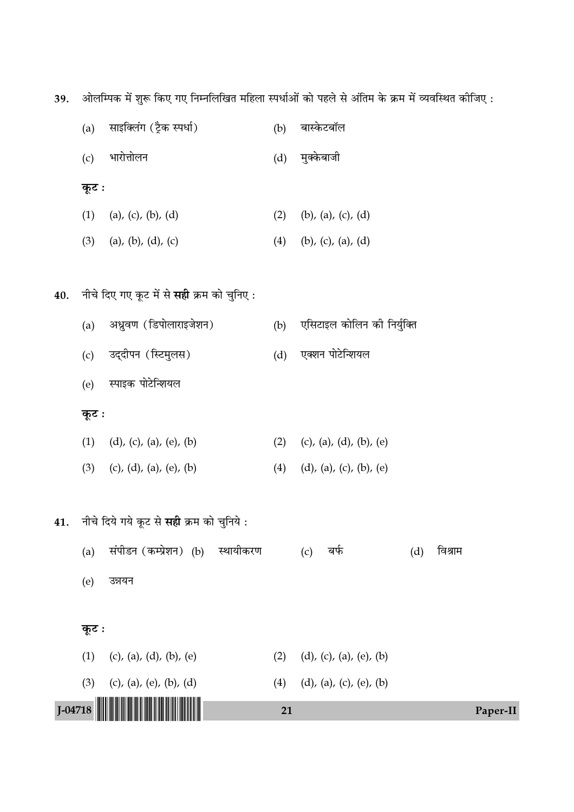39. ओलम्पिक में शुरू किए गए निम्नलिखित महिला स्पर्धाओं को पहले से अंतिम के क्रम में व्यवस्थित कीजिए :

| J-04718 |       |                                           | 21  |                                       | Paper-II |
|---------|-------|-------------------------------------------|-----|---------------------------------------|----------|
|         | (3)   | (c), (a), (e), (b), (d)                   | (4) | $(d)$ , $(a)$ , $(c)$ , $(e)$ , $(b)$ |          |
|         | (1)   | (c), (a), (d), (b), (e)                   | (2) | (d), (c), (a), (e), (b)               |          |
|         | कूट : |                                           |     |                                       |          |
|         | (e)   | उन्नयन                                    |     |                                       |          |
|         | (a)   |                                           |     | (d)<br>(c)                            |          |
|         |       | संपीडन (कम्प्रेशन) (b)<br>स्थायीकरण       |     | विश्राम<br>बर्फ                       |          |
| 41.     |       | नीचे दिये गये कूट से सही क्रम को चुनिये:  |     |                                       |          |
|         | (3)   | (c), (d), (a), (e), (b)                   | (4) | $(d)$ , $(a)$ , $(c)$ , $(b)$ , $(e)$ |          |
|         | (1)   | (d), (c), (a), (e), (b)                   | (2) | (c), (a), (d), (b), (e)               |          |
|         | कूट : |                                           |     |                                       |          |
|         | (e)   | स्पाइक पोटेन्शियल                         |     |                                       |          |
|         | (c)   | उद्दीपन (स्टिमुलस)                        | (d) | एक्शन पोटेन्शियल                      |          |
|         | (a)   | अध्रुवण (डिपोलाराइजेशन)                   | (b) | एसिटाइल कोलिन की निर्युक्ति           |          |
| 40.     |       | नीचे दिए गए कूट में से सही क्रम को चुनिए: |     |                                       |          |
|         | (3)   | (a), (b), (d), (c)                        | (4) | (b), $(c)$ , $(a)$ , $(d)$            |          |
|         | (1)   | (a), (c), (b), (d)                        | (2) | (b), (a), (c), (d)                    |          |
|         | कूट : |                                           |     |                                       |          |
|         | (c)   | भारोत्तोलन                                | (d) | मुक्केबाजी                            |          |
|         | (a)   | साइक्लिंग (ट्रैक स्पर्धा)                 | (b) | बास्केटबॉल                            |          |
|         |       |                                           |     |                                       |          |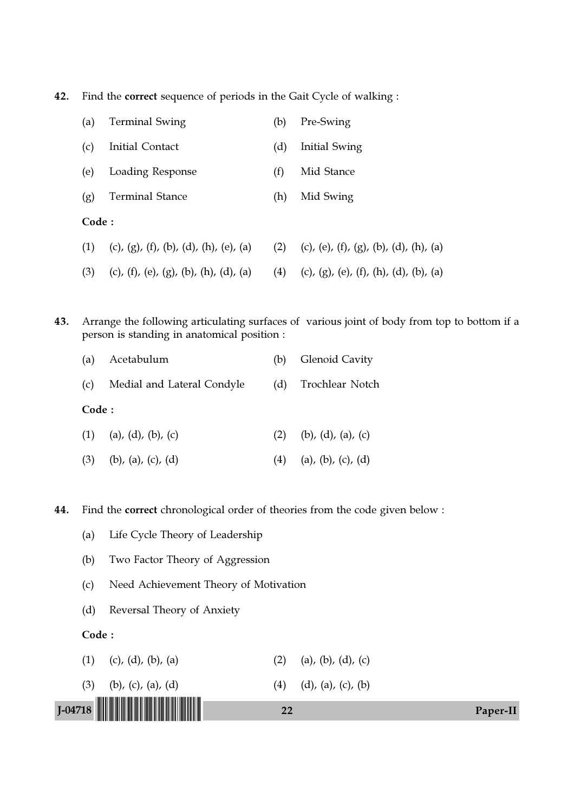42. Find the correct sequence of periods in the Gait Cycle of walking :

| (a)   | <b>Terminal Swing</b>                  | (b) | Pre-Swing                              |
|-------|----------------------------------------|-----|----------------------------------------|
| (c)   | Initial Contact                        | (d) | Initial Swing                          |
| (e)   | Loading Response                       | (f) | Mid Stance                             |
| (g)   | <b>Terminal Stance</b>                 | (h) | Mid Swing                              |
| Code: |                                        |     |                                        |
| (1)   | (c), (g), (f), (b), (d), (h), (e), (a) | (2) | (c), (e), (f), (g), (b), (d), (h), (a) |
| (3)   | (c), (f), (e), (g), (b), (h), (d), (a) | (4) | (c), (g), (e), (f), (h), (d), (b), (a) |

43. Arrange the following articulating surfaces of various joint of body from top to bottom if a person is standing in anatomical position :

|       | (a) Acetabulum             |     | (b) Glenoid Cavity       |
|-------|----------------------------|-----|--------------------------|
| (c)   | Medial and Lateral Condyle | (d) | Trochlear Notch          |
| Code: |                            |     |                          |
|       | $(1)$ (a), (d), (b), (c)   |     | $(2)$ (b), (d), (a), (c) |
|       | $(3)$ (b), (a), (c), (d)   | (4) | (a), (b), (c), (d)       |

44. Find the correct chronological order of theories from the code given below :

- (a) Life Cycle Theory of Leadership
- (b) Two Factor Theory of Aggression
- (c) Need Achievement Theory of Motivation
- (d) Reversal Theory of Anxiety

Code :

- (1) (c), (d), (b), (a) (2) (a), (b), (d), (c)
- J-04718 !J-04718-PAPER-II! <sup>22</sup> Paper-II (3) (b), (c), (a), (d) (4) (d), (a), (c), (b)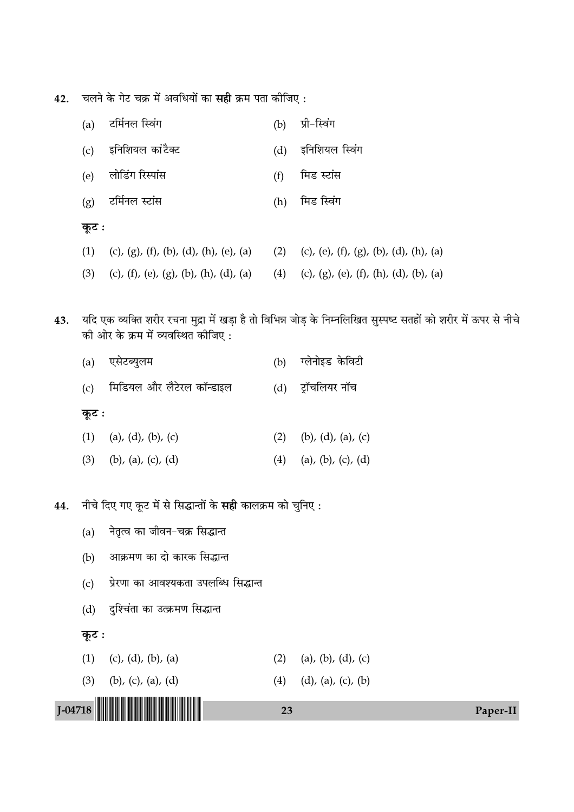42. चलने के गेट चक्र में अवधियों का सही क्रम पता कीजिए:

| (a)   | टर्मिनल स्विंग                                                                        | (b) | प्री-स्विंग    |
|-------|---------------------------------------------------------------------------------------|-----|----------------|
|       | (c) इनिशियल कांटैक्ट                                                                  | (d) | इनिशियल स्विंग |
|       | (e) लोडिंग रिस्पांस                                                                   | (f) | मिड स्टांस     |
|       | (g) टर्मिनल स्टांस                                                                    | (h) | मिड स्विंग     |
| कूट : |                                                                                       |     |                |
|       | (1) (c), (g), (f), (b), (d), (h), (e), (a) (2) (c), (e), (f), (g), (b), (d), (h), (a) |     |                |
|       | (3) (c), (f), (e), (g), (b), (h), (d), (a) (4) (c), (g), (e), (f), (h), (d), (b), (a) |     |                |

43. यदि एक व्यक्ति शरीर रचना मुद्रा में खड़ा है तो विभिन्न जोड़ के निम्नलिखित सुस्पष्ट सतहों को शरीर में ऊपर से नीचे .<br>को ओर के क्रम में व्यवस्थित कीजिए :

|       | (a) एसेटब्युलम            |     | (b) ग्लेनोइड केविटी |
|-------|---------------------------|-----|---------------------|
| (c)   | मिडियल और लैटेरल कॉन्डाइल |     | (d) ट्रॉचलियर नॉच   |
| कूट : |                           |     |                     |
|       | $(1)$ (a), (d), (b), (c)  | (2) | (b), (d), (a), (c)  |
|       | $(3)$ (b), (a), (c), (d)  | (4) | (a), (b), (c), (d)  |
|       |                           |     |                     |

नीचे दिए गए कूट में से सिद्धान्तों के सही कालक्रम को चुनिए: 44.

- नेतृत्व का जीवन-चक्र सिद्धान्त  $(a)$
- आक्रमण का दो कारक सिद्धान्त  $(b)$
- (c) प्रेरणा का आवश्यकता उपलब्धि सिद्धान्त
- (d) दुश्चिंता का उत्क्रमण सिद्धान्त

#### कूट :

 $(1)$  (c), (d), (b), (a) (2) (a), (b), (d), (c)

(3) (b), (c), (a), (d) (4) (d), (a), (c), (b)

23



Paper-II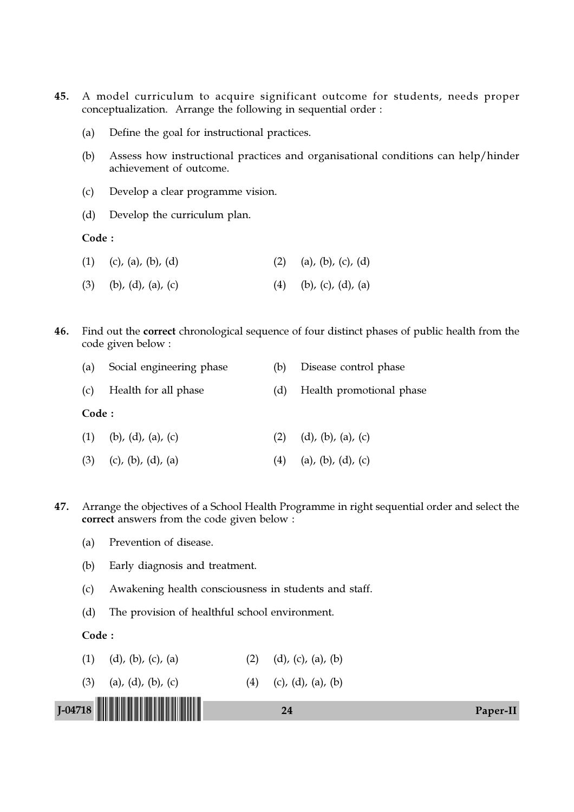- 45. A model curriculum to acquire significant outcome for students, needs proper conceptualization. Arrange the following in sequential order :
	- (a) Define the goal for instructional practices.
	- (b) Assess how instructional practices and organisational conditions can help/hinder achievement of outcome.
	- (c) Develop a clear programme vision.
	- (d) Develop the curriculum plan.

Code :

- (1) (c), (a), (b), (d) (2) (a), (b), (c), (d)
- (3) (b), (d), (a), (c) (4) (b), (c), (d), (a)
- 46. Find out the correct chronological sequence of four distinct phases of public health from the code given below :

| (a)   | Social engineering phase | (b) | Disease control phase         |
|-------|--------------------------|-----|-------------------------------|
|       | (c) Health for all phase | (d) | Health promotional phase      |
| Code: |                          |     |                               |
|       | $(1)$ (b), (d), (a), (c) | (2) | $(d)$ , $(b)$ , $(a)$ , $(c)$ |
|       | $(3)$ (c), (b), (d), (a) |     | $(4)$ (a), (b), (d), (c)      |

- 47. Arrange the objectives of a School Health Programme in right sequential order and select the correct answers from the code given below :
	- (a) Prevention of disease.
	- (b) Early diagnosis and treatment.
	- (c) Awakening health consciousness in students and staff.
	- (d) The provision of healthful school environment.

Code :

- (1) (d), (b), (c), (a) (2) (d), (c), (a), (b)
- (3) (a), (d), (b), (c) (4) (c), (d), (a), (b)

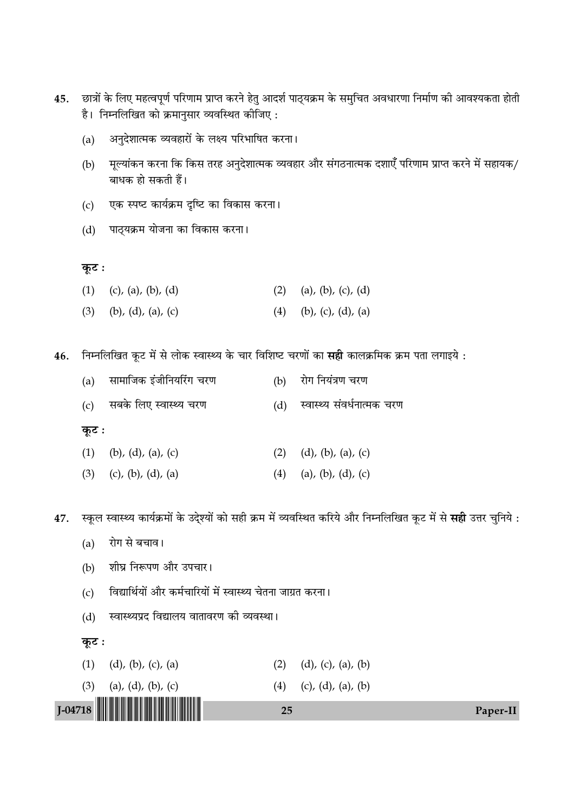- 45. छात्रों के लिए महत्वपूर्ण परिणाम प्राप्त करने हेतु आदर्श पाठ्यक्रम के समुचित अवधारणा निर्माण की आवश्यकता होती है। निम्नलिखित को क्रमानुसार व्यवस्थित कीजिए :
	- (a) अनुदेशात्मक व्यवहारों के लक्ष्य परिभाषित करना।
	- (b) मूल्यांकन करना कि किस तरह अनुदेशात्मक व्यवहार और संगठनात्मक दशाएँ परिणाम प्राप्त करने में सहायक/ बाधक हो सकती हैं।
	- (c) एक स्पष्ट कार्यक्रम दृष्टि का विकास करना।
	- (d) पाठ्यक्रम योजना का विकास करना ।

<u>क</u>ूट :

- (1) (c), (a), (b), (d) (2) (a), (b), (c), (d)
- (3) (b), (d), (a), (c) (4) (b), (c), (d), (a)

46. निम्नलिखित कूट में से लोक स्वास्थ्य के चार विशिष्ट चरणों का सही कालक्रमिक क्रम पता लगाइये :

|       | (a) सामाजिक इंजीनियरिंग चरण |     | (b) रोग नियंत्रण चरण           |
|-------|-----------------------------|-----|--------------------------------|
|       | (c) सबके लिए स्वास्थ्य चरण  |     | (d) स्वास्थ्य संवर्धनात्मक चरण |
| कूट : |                             |     |                                |
|       | $(1)$ (b), (d), (a), (c)    | (2) | $(d)$ , $(b)$ , $(a)$ , $(c)$  |

(3) (c), (b), (d), (a) (4) (a), (b), (d), (c)

47. स्कूल स्वास्थ्य कार्यक्रमों के उदे्श्यों को सही क्रम में व्यवस्थित करिये और निम्नलिखित कूट में से **सही** उत्तर चुनिये :

- (a) रोग से बचाव।
- (b) शीघ्र निरूपण और उपचार।
- (c) विद्यार्थियों और कर्मचारियों में स्वास्थ्य चेतना जाग्रत करना।
- (d) स्वास्थ्यप्रद विद्यालय वातावरण की व्यवस्था।

**कूट**ः

- (1) (d), (b), (c), (a) (2) (d), (c), (a), (b)
- (3) (a), (d), (b), (c) (4) (c), (d), (a), (b)

J-04718 !J-04718-PAPER-II! <sup>25</sup> Paper-II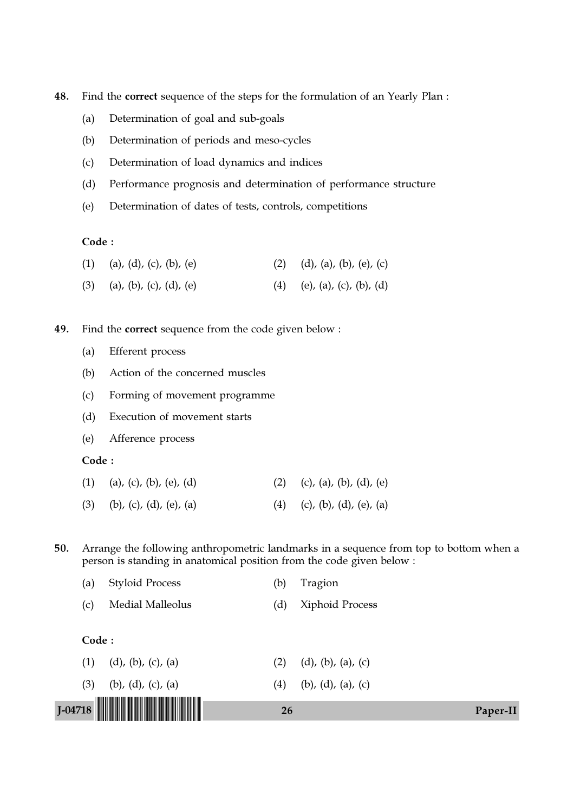- 48. Find the correct sequence of the steps for the formulation of an Yearly Plan :
	- (a) Determination of goal and sub-goals
	- (b) Determination of periods and meso-cycles
	- (c) Determination of load dynamics and indices
	- (d) Performance prognosis and determination of performance structure
	- (e) Determination of dates of tests, controls, competitions

## Code :

| (1) (a), (d), (c), (b), (e)   | (2) (d), (a), (b), (e), (c) |
|-------------------------------|-----------------------------|
| $(3)$ (a), (b), (c), (d), (e) | (4) (e), (a), (c), (b), (d) |

49. Find the correct sequence from the code given below :

- (a) Efferent process
- (b) Action of the concerned muscles
- (c) Forming of movement programme
- (d) Execution of movement starts
- (e) Afference process

#### Code :

- (1) (a), (c), (b), (e), (d) (2) (c), (a), (b), (d), (e)
- (3) (b), (c), (d), (e), (a) (4) (c), (b), (d), (e), (a)

50. Arrange the following anthropometric landmarks in a sequence from top to bottom when a person is standing in anatomical position from the code given below :

|     |       | J-04718 <b>                             </b> | <b>26</b> |                               | Paper-II |
|-----|-------|----------------------------------------------|-----------|-------------------------------|----------|
|     |       |                                              |           |                               |          |
|     | (3)   | (b), (d), (c), (a)                           | (4)       | (b), (d), (a), (c)            |          |
| (1) |       | $(d)$ , $(b)$ , $(c)$ , $(a)$                | (2)       | $(d)$ , $(b)$ , $(a)$ , $(c)$ |          |
|     | Code: |                                              |           |                               |          |
| (c) |       | <b>Medial Malleolus</b>                      | (d)       | Xiphoid Process               |          |
| (a) |       | <b>Styloid Process</b>                       | (b)       | Tragion                       |          |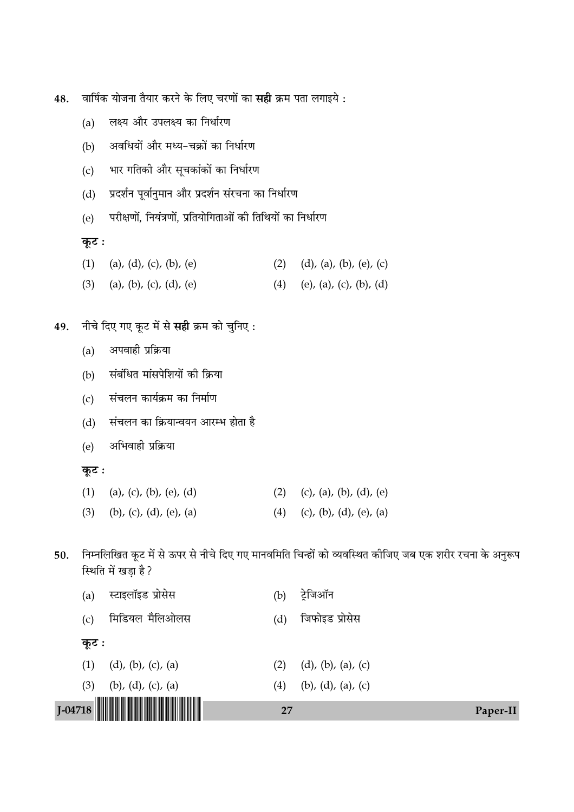- वार्षिक योजना तैयार करने के लिए चरणों का **सही** क्रम पता लगाइये : 48.
	- लक्ष्य और उपलक्ष्य का निर्धारण  $(a)$
	- अवधियों और मध्य-चक्रों का निर्धारण  $(b)$
	- भार गतिकी और सूचकांकों का निर्धारण  $(c)$
	- प्रदर्शन पूर्वानुमान और प्रदर्शन संरचना का निर्धारण  $(d)$
	- परीक्षणों, नियंत्रणों, प्रतियोगिताओं की तिथियों का निर्धारण  $(e)$

कूट :

- (1) (a), (d), (c), (b), (e) (2) (d), (a), (b), (e), (c)
- (3) (a), (b), (c), (d), (e) (4) (e), (a), (c), (b), (d)
- नीचे दिए गए कूट में से सही क्रम को चुनिए: 49.
	- अपवाही प्रक्रिया  $(a)$
	- संबंधित मांसपेशियों की क्रिया  $(b)$
	- संचलन कार्यक्रम का निर्माण  $(c)$
	- संचलन का क्रियान्वयन आरम्भ होता है  $(d)$
	- अभिवाही प्रक्रिया  $(e)$
	- कूट:

| (1) (a), (c), (b), (e), (d) | (2) (c), (a), (b), (d), (e) |
|-----------------------------|-----------------------------|
|                             |                             |

- $(3)$  (b), (c), (d), (e), (a) (4) (c), (b), (d), (e), (a)
- निम्नलिखित कूट में से ऊपर से नीचे दिए गए मानवमिति चिन्हों को व्यवस्थित कीजिए जब एक शरीर रचना के अनुरूप 50. स्थिति में खड़ा है ?

|       |                               | 27  |                               | Paper-II |
|-------|-------------------------------|-----|-------------------------------|----------|
| (3)   | (b), (d), (c), (a)            | (4) | (b), (d), (a), (c)            |          |
| (1)   | $(d)$ , $(b)$ , $(c)$ , $(a)$ | (2) | $(d)$ , $(b)$ , $(a)$ , $(c)$ |          |
| कूट : |                               |     |                               |          |
| (c)   | मिडियल मैलिओलस                | (d) | जिफोइड प्रोसेस                |          |
| (a)   | स्टाइलॉइड प्रोसेस             | (b) | ट्रेजिऑन                      |          |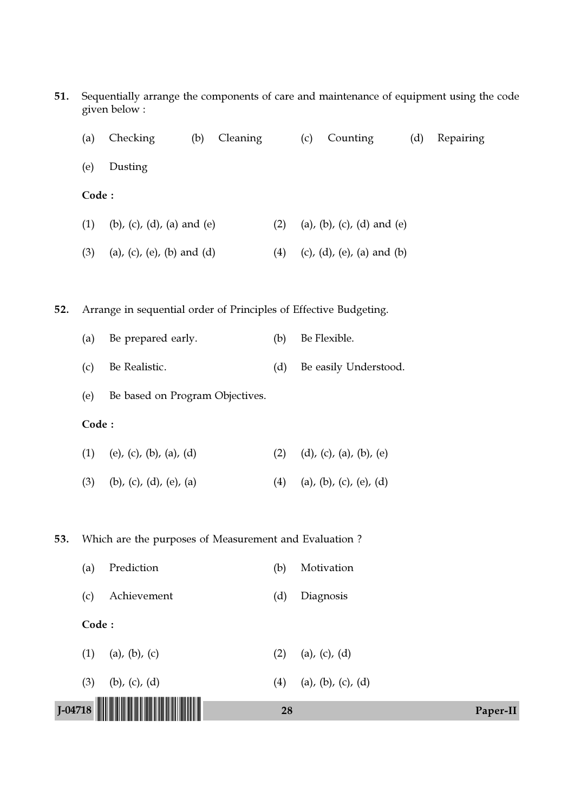| 51.         |       | given below:                                                      |     |          |     |     |                            |     | Sequentially arrange the components of care and maintenance of equipment using the code |
|-------------|-------|-------------------------------------------------------------------|-----|----------|-----|-----|----------------------------|-----|-----------------------------------------------------------------------------------------|
|             | (a)   | Checking                                                          | (b) | Cleaning |     | (c) | Counting                   | (d) | Repairing                                                                               |
|             | (e)   | Dusting                                                           |     |          |     |     |                            |     |                                                                                         |
|             | Code: |                                                                   |     |          |     |     |                            |     |                                                                                         |
|             | (1)   | (b), (c), (d), (a) and (e)                                        |     |          | (2) |     | (a), (b), (c), (d) and (e) |     |                                                                                         |
|             | (3)   | (a), (c), (e), (b) and (d)                                        |     |          | (4) |     | (c), (d), (e), (a) and (b) |     |                                                                                         |
|             |       |                                                                   |     |          |     |     |                            |     |                                                                                         |
| 52.         |       | Arrange in sequential order of Principles of Effective Budgeting. |     |          |     |     |                            |     |                                                                                         |
|             | (a)   | Be prepared early.                                                |     |          | (b) |     | Be Flexible.               |     |                                                                                         |
|             | (c)   | Be Realistic.                                                     |     |          | (d) |     | Be easily Understood.      |     |                                                                                         |
|             | (e)   | Be based on Program Objectives.                                   |     |          |     |     |                            |     |                                                                                         |
|             | Code: |                                                                   |     |          |     |     |                            |     |                                                                                         |
|             | (1)   | (e), (c), (b), (a), (d)                                           |     |          | (2) |     | (d), (c), (a), (b), (e)    |     |                                                                                         |
|             | (3)   | (b), (c), (d), (e), (a)                                           |     |          | (4) |     | (a), (b), (c), (e), (d)    |     |                                                                                         |
|             |       |                                                                   |     |          |     |     |                            |     |                                                                                         |
| 53.         |       | Which are the purposes of Measurement and Evaluation?             |     |          |     |     |                            |     |                                                                                         |
|             | (a)   | Prediction                                                        |     |          | (b) |     | Motivation                 |     |                                                                                         |
|             | (c)   | Achievement                                                       |     |          | (d) |     | Diagnosis                  |     |                                                                                         |
|             | Code: |                                                                   |     |          |     |     |                            |     |                                                                                         |
|             | (1)   | $(a)$ , $(b)$ , $(c)$                                             |     |          | (2) |     | (a), (c), (d)              |     |                                                                                         |
|             | (3)   | $(b)$ , $(c)$ , $(d)$                                             |     |          | (4) |     | (a), (b), (c), (d)         |     |                                                                                         |
| $J - 04718$ |       |                                                                   |     |          | 28  |     |                            |     | Paper-II                                                                                |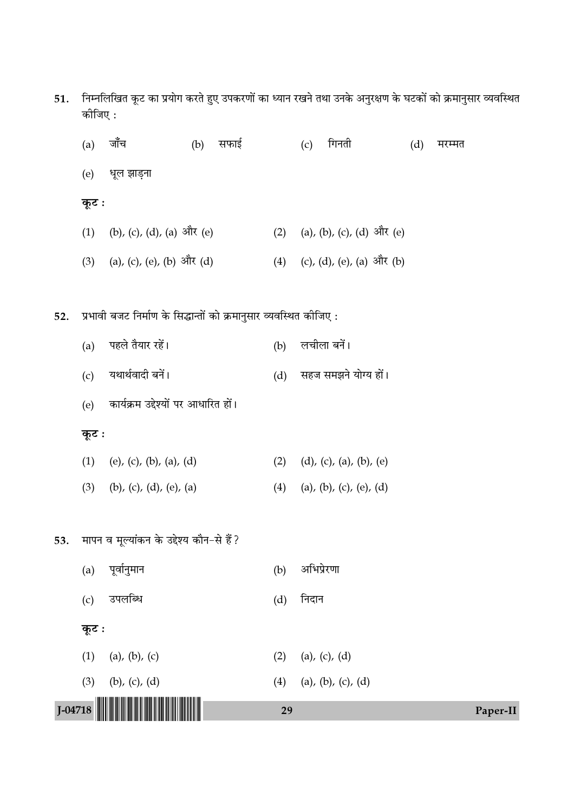| 51.    निम्नलिखित कूट का प्रयोग करते हुए उपकरणों का ध्यान रखने तथा उनके अनुरक्षण के घटकों को क्रमानुसार व्यवस्थित |  |  |  |  |
|-------------------------------------------------------------------------------------------------------------------|--|--|--|--|
| कोजिए :                                                                                                           |  |  |  |  |

| (a)   | जाँच                                                               | सफाई<br>(b) |     | गिनती<br>(c)                  | (d) | मरम्मत |
|-------|--------------------------------------------------------------------|-------------|-----|-------------------------------|-----|--------|
| (e)   | धूल झाड़ना                                                         |             |     |                               |     |        |
| कूट : |                                                                    |             |     |                               |     |        |
| (1)   | (b), (c), (d), (a) और (e)                                          |             | (2) | (a), (b), (c), (d) और (e)     |     |        |
|       | (3) (a), (c), (e), (b) और (d)                                      |             |     | (4) (c), (d), (e), (a) और (b) |     |        |
|       |                                                                    |             |     |                               |     |        |
|       | प्रभावी बजट निर्माण के सिद्धान्तों को क्रमानुसार व्यवस्थित कोजिए : |             |     |                               |     |        |
| (a)   | पहले तैयार रहें।                                                   |             | (b) | लचीला बनें।                   |     |        |
| (c)   | यथार्थवादी बनें।                                                   |             | (d) | सहज समझने योग्य हों।          |     |        |
| (e)   | कार्यक्रम उद्देश्यों पर आधारित हों।                                |             |     |                               |     |        |

# कूट :

52.

| (1) (e), (c), (b), (a), (d)   | $(2)$ $(d)$ , $(c)$ , $(a)$ , $(b)$ , $(e)$ |
|-------------------------------|---------------------------------------------|
| $(3)$ (b), (c), (d), (e), (a) | (4) (a), (b), (c), (e), (d)                 |

# 53. मापन व मूल्यांकन के उद्देश्य कौन-से हैं?

|                           | 29                        | Paper-II |
|---------------------------|---------------------------|----------|
| (3)<br>(b), $(c)$ , $(d)$ | (4)<br>(a), (b), (c), (d) |          |
| (a), (b), (c)<br>(1)      | (a), (c), (d)<br>(2)      |          |
| कूट :                     |                           |          |
| उपलब्धि<br>(c)            | निदान<br>(d)              |          |
| पूर्वानुमान<br>(a)        | अभिप्रेरणा<br>(b)         |          |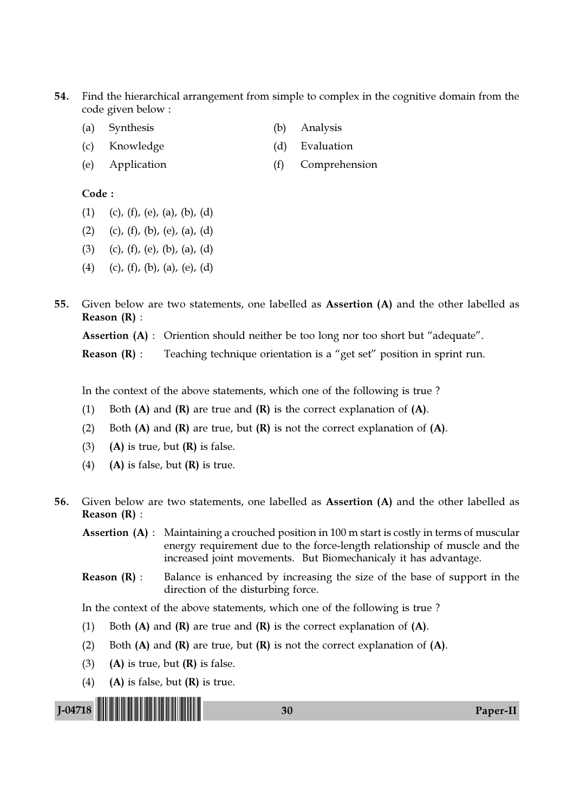- 54. Find the hierarchical arrangement from simple to complex in the cognitive domain from the code given below :
	- (a) Synthesis (b) Analysis
	- (c) Knowledge (d) Evaluation
	- (e) Application (f) Comprehension

### Code :

- $(1)$   $(c)$ ,  $(f)$ ,  $(e)$ ,  $(a)$ ,  $(b)$ ,  $(d)$
- (2) (c), (f), (b), (e), (a), (d)
- (3) (c), (f), (e), (b), (a), (d)
- (4) (c), (f), (b), (a), (e), (d)
- 55. Given below are two statements, one labelled as Assertion (A) and the other labelled as Reason (R) :

Assertion (A) : Oriention should neither be too long nor too short but "adequate".

**Reason**  $(R)$ : Teaching technique orientation is a "get set" position in sprint run.

In the context of the above statements, which one of the following is true ?

- (1) Both  $(A)$  and  $(R)$  are true and  $(R)$  is the correct explanation of  $(A)$ .
- (2) Both  $(A)$  and  $(R)$  are true, but  $(R)$  is not the correct explanation of  $(A)$ .
- (3) (A) is true, but  $(R)$  is false.
- (4) (A) is false, but  $(R)$  is true.
- 56. Given below are two statements, one labelled as Assertion (A) and the other labelled as Reason (R) :

Assertion (A) : Maintaining a crouched position in 100 m start is costly in terms of muscular energy requirement due to the force-length relationship of muscle and the increased joint movements. But Biomechanicaly it has advantage.

**Reason**  $(R)$ **:** Balance is enhanced by increasing the size of the base of support in the direction of the disturbing force.

In the context of the above statements, which one of the following is true ?

- (1) Both  $(A)$  and  $(R)$  are true and  $(R)$  is the correct explanation of  $(A)$ .
- (2) Both  $(A)$  and  $(R)$  are true, but  $(R)$  is not the correct explanation of  $(A)$ .
- (3) (A) is true, but  $(R)$  is false.
- (4) (A) is false, but  $(R)$  is true.

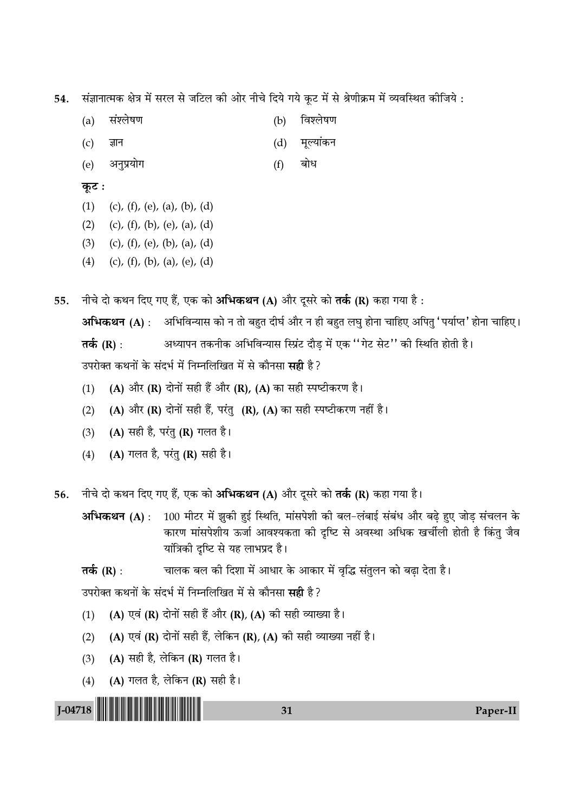संज्ञानात्मक क्षेत्र में सरल से जटिल की ओर नीचे दिये गये कूट में से श्रेणीक्रम में व्यवस्थित कीजिये : 54.

- संश्लेषण  $(a)$  $(b)$ विश्लेषण
- मूल्यांकन ज्ञान  $(d)$  $(c)$
- बोध अनुप्रयोग  $(f)$ (e)

# कूट :

- $(1)$ (c), (f), (e), (a), (b), (d)
- $(2)$ (c), (f), (b), (e), (a), (d)
- $(3)$ (c), (f), (e), (b), (a), (d)
- $(4)$ (c), (f), (b), (a), (e), (d)

नीचे दो कथन दिए गए हैं, एक को अभिकथन (A) और दुसरे को तर्क (R) कहा गया है: 55.

अभिकथन (A) : अभिविन्यास को न तो बहुत दीर्घ और न ही बहुत लघ होना चाहिए अपित 'पर्याप्त' होना चाहिए। अध्यापन तकनीक अभिविन्यास स्प्रिंट दौड में एक ''गेट सेट'' की स्थिति होती है। तर्क (R) : उपरोक्त कथनों के संदर्भ में निम्नलिखित में से कौनसा सही है ?

- (A) और (R) दोनों सही हैं और (R), (A) का सही स्पष्टीकरण है।  $(1)$
- (A) और (R) दोनों सही हैं, परंतु (R), (A) का सही स्पष्टीकरण नहीं है।  $(2)$
- (A) सही है, परंतु (R) गलत है।  $(3)$
- (A) गलत है, परंतु (R) सही है।  $(4)$

नीचे दो कथन दिए गए हैं, एक को अभिकथन (A) और दूसरे को **तर्क (R)** कहा गया है। 56.

100 मीटर में झुकी हुई स्थिति, मांसपेशी की बल-लंबाई संबंध और बढ़े हुए जोड़ संचलन के अभिकथन (A): कारण मांसपेशीय ऊर्जा आवश्यकता की दृष्टि से अवस्था अधिक खर्चीली होती है किंतु जैव यांत्रिकी दृष्टि से यह लाभप्रद है।

चालक बल की दिशा में आधार के आकार में वृद्धि संतुलन को बढ़ा देता है। तर्क (R) :

31

उपरोक्त कथनों के संदर्भ में निम्नलिखित में से कौनसा सही है ?

- (A) एवं (R) दोनों सही हैं और (R), (A) की सही व्याख्या है।  $(1)$
- (A) एवं (R) दोनों सही हैं, लेकिन (R), (A) की सही व्याख्या नहीं है।  $(2)$
- $(3)$ (A) सही है, लेकिन (R) गलत है।
- (A) गलत है, लेकिन (R) सही है।  $(4)$

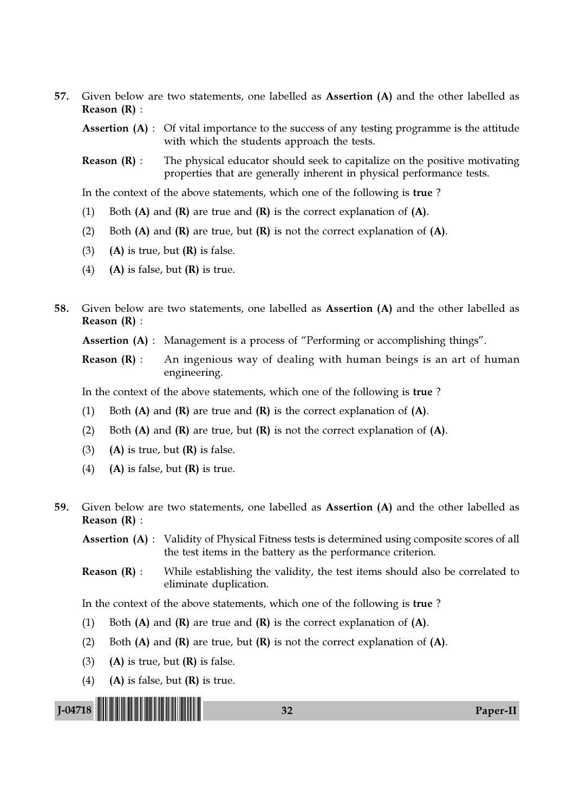57. Given below are two statements, one labelled as Assertion (A) and the other labelled as Reason (R) :

Assertion (A) : Of vital importance to the success of any testing programme is the attitude with which the students approach the tests.

**Reason**  $(R)$ : The physical educator should seek to capitalize on the positive motivating properties that are generally inherent in physical performance tests.

In the context of the above statements, which one of the following is true ?

- (1) Both  $(A)$  and  $(R)$  are true and  $(R)$  is the correct explanation of  $(A)$ .
- (2) Both  $(A)$  and  $(R)$  are true, but  $(R)$  is not the correct explanation of  $(A)$ .
- (3) (A) is true, but  $(R)$  is false.
- (4) (A) is false, but  $(R)$  is true.
- 58. Given below are two statements, one labelled as Assertion (A) and the other labelled as Reason (R) :

Assertion (A) : Management is a process of "Performing or accomplishing things".

**Reason**  $(R)$ **:** An ingenious way of dealing with human beings is an art of human engineering.

In the context of the above statements, which one of the following is true ?

- (1) Both  $(A)$  and  $(R)$  are true and  $(R)$  is the correct explanation of  $(A)$ .
- (2) Both  $(A)$  and  $(R)$  are true, but  $(R)$  is not the correct explanation of  $(A)$ .
- (3) (A) is true, but  $(R)$  is false.
- (4) (A) is false, but  $(R)$  is true.
- 59. Given below are two statements, one labelled as Assertion (A) and the other labelled as Reason (R) :

Assertion (A) : Validity of Physical Fitness tests is determined using composite scores of all the test items in the battery as the performance criterion.

**Reason**  $(R)$ : While establishing the validity, the test items should also be correlated to eliminate duplication.

In the context of the above statements, which one of the following is true ?

- (1) Both  $(A)$  and  $(R)$  are true and  $(R)$  is the correct explanation of  $(A)$ .
- (2) Both  $(A)$  and  $(R)$  are true, but  $(R)$  is not the correct explanation of  $(A)$ .
- (3) (A) is true, but  $(R)$  is false.
- (4) (A) is false, but  $(R)$  is true.

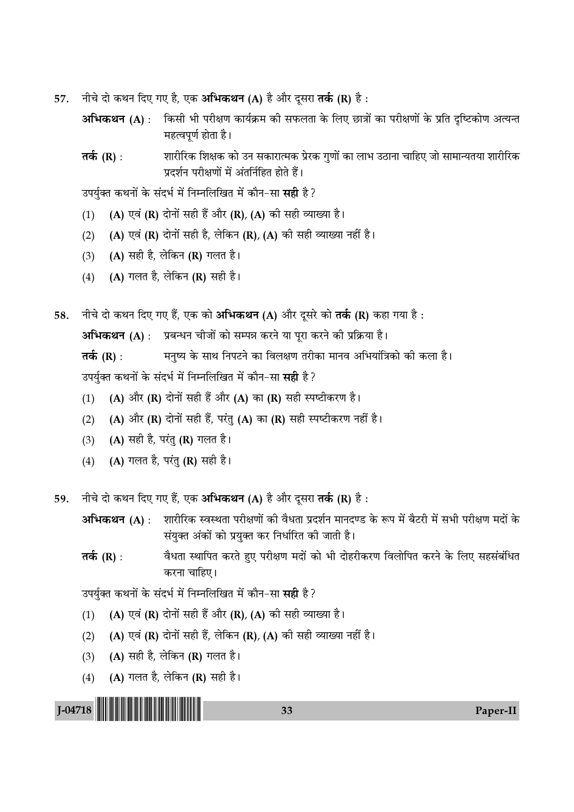- नीचे दो कथन दिए गए है, एक अभिकथन (A) है और दूसरा तर्क (R) है : 57.
	- अभिकथन (A) : किसी भी परीक्षण कार्यक्रम की सफलता के लिए छात्रों का परीक्षणों के प्रति दृष्टिकोण अत्यन्त महत्वपूर्ण होता है।
	- तर्क (R) : शारीरिक शिक्षक को उन सकारात्मक प्रेरक गुणों का लाभ उठाना चाहिए जो सामान्यतया शारीरिक प्रदर्शन परीक्षणों में अंतर्निहित होते हैं।

उपर्युक्त कथनों के संदर्भ में निम्नलिखित में कौन-सा **सही** है?

- (A) एवं (R) दोनों सही हैं और (R), (A) की सही व्याख्या है।  $(1)$
- (A) एवं (R) दोनों सही है, लेकिन (R), (A) की सही व्याख्या नहीं है।  $(2)$
- (A) सही है, लेकिन (R) गलत है।  $(3)$
- (A) गलत है, लेकिन (R) सही है।  $(4)$

नीचे दो कथन दिए गए हैं, एक को अभिकथन (A) और दूसरे को तर्क (R) कहा गया है: 58.

अभिकथन (A) : प्रबन्धन चीजों को सम्पन्न करने या परा करने की प्रक्रिया है।

मनुष्य के साथ निपटने का विलक्षण तरीका मानव अभियांत्रिको की कला है। तर्क (R) : उपर्युक्त कथनों के संदर्भ में निम्नलिखित में कौन-सा सही है?

- (A) और (R) दोनों सही हैं और (A) का (R) सही स्पष्टीकरण है।  $(1)$
- (A) और (R) दोनों सही हैं, परंतु (A) का (R) सही स्पष्टीकरण नहीं है।  $(2)$
- (A) सही है, परंतु (R) गलत है।  $(3)$
- (A) गलत है, परंतु (R) सही है।  $(4)$
- नीचे दो कथन दिए गए हैं, एक अभिकथन (A) है और दूसरा तर्क (R) है: 59

शारीरिक स्वस्थता परीक्षणों की वैधता प्रदर्शन मानदण्ड के रूप में बैटरी में सभी परीक्षण मदों के अभिकथन (A) : संयुक्त अंकों को प्रयुक्त कर निर्धारित की जाती है।

वैधता स्थापित करते हुए परीक्षण मदों को भी दोहरीकरण विलोपित करने के लिए सहसंबंधित तर्क  $(R)$  : करना चाहिए।

उपर्युक्त कथनों के संदर्भ में निम्नलिखित में कौन-सा **सही** है?

- (A) एवं (R) दोनों सही हैं और (R), (A) की सही व्याख्या है।  $(1)$
- (A) एवं (R) दोनों सही हैं, लेकिन (R), (A) की सही व्याख्या नहीं है।  $(2)$
- (A) सही है, लेकिन (R) गलत है।  $(3)$
- (A) गलत है, लेकिन (R) सही है।  $(4)$

 $J$ -04718 || || || || || || || || || || || ||

33

Paper-II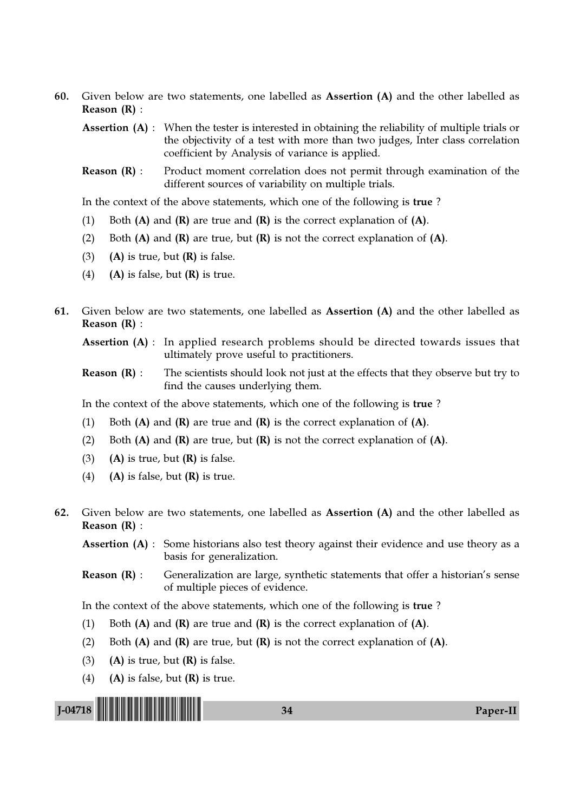60. Given below are two statements, one labelled as Assertion (A) and the other labelled as Reason (R) :

**Assertion (A)**: When the tester is interested in obtaining the reliability of multiple trials or the objectivity of a test with more than two judges, Inter class correlation coefficient by Analysis of variance is applied.

Reason (R) : Product moment correlation does not permit through examination of the different sources of variability on multiple trials.

In the context of the above statements, which one of the following is true ?

- (1) Both  $(A)$  and  $(R)$  are true and  $(R)$  is the correct explanation of  $(A)$ .
- (2) Both  $(A)$  and  $(R)$  are true, but  $(R)$  is not the correct explanation of  $(A)$ .
- (3) (A) is true, but  $(R)$  is false.
- (4) (A) is false, but  $(R)$  is true.
- 61. Given below are two statements, one labelled as Assertion (A) and the other labelled as Reason (R) :

Assertion (A) : In applied research problems should be directed towards issues that ultimately prove useful to practitioners.

**Reason**  $(R)$ : The scientists should look not just at the effects that they observe but try to find the causes underlying them.

In the context of the above statements, which one of the following is true ?

- (1) Both  $(A)$  and  $(R)$  are true and  $(R)$  is the correct explanation of  $(A)$ .
- (2) Both  $(A)$  and  $(R)$  are true, but  $(R)$  is not the correct explanation of  $(A)$ .
- (3) (A) is true, but  $(R)$  is false.
- (4) (A) is false, but  $(R)$  is true.
- 62. Given below are two statements, one labelled as Assertion (A) and the other labelled as Reason (R) :

Assertion (A) : Some historians also test theory against their evidence and use theory as a basis for generalization.

Reason (R) : Generalization are large, synthetic statements that offer a historian's sense of multiple pieces of evidence.

In the context of the above statements, which one of the following is true ?

- (1) Both  $(A)$  and  $(R)$  are true and  $(R)$  is the correct explanation of  $(A)$ .
- (2) Both  $(A)$  and  $(R)$  are true, but  $(R)$  is not the correct explanation of  $(A)$ .
- (3) (A) is true, but  $(R)$  is false.
- (4) (A) is false, but  $(R)$  is true.

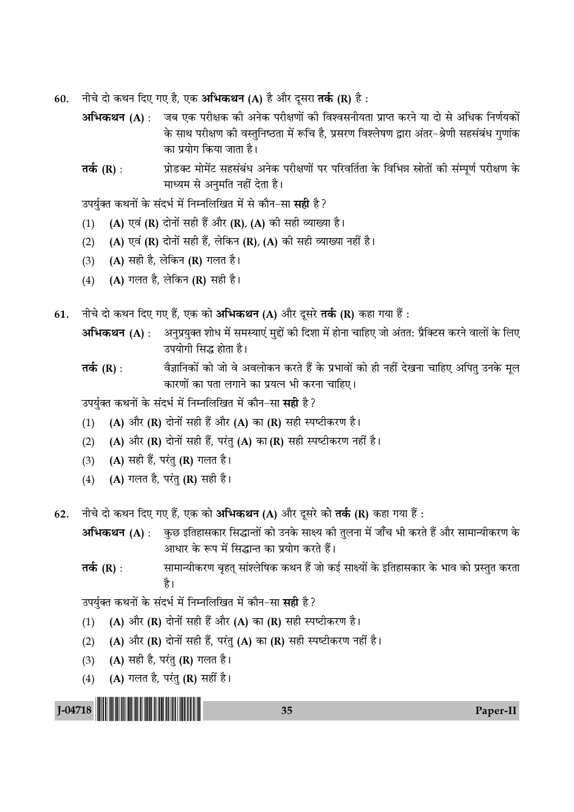- नीचे दो कथन दिए गए है, एक अभिकथन (A) है और दूसरा तर्क (R) है : 60.
	- अभिकथन (A) : जब एक परीक्षक की अनेक परीक्षणों की विश्वसनीयता प्राप्त करने या दो से अधिक निर्णयकों के साथ परीक्षण की वस्तुनिष्ठता में रूचि है, प्रसरण विश्लेषण द्वारा अंतर–श्रेणी सहसंबंध गुणांक का प्रयोग किया जाता है।
	- प्रोडक्ट मोमेंट सहसंबंध अनेक परीक्षणों पर परिवर्तिता के विभिन्न स्रोतों की संम्पूर्ण परीक्षण के तर्क (R) : माध्यम से अनुमति नहीं देता है।

उपर्युक्त कथनों के संदर्भ में निम्नलिखित में से कौन-सा **सही** है ?

- (A) एवं (R) दोनों सही हैं और (R), (A) की सही व्याख्या है।  $(1)$
- (A) एवं (R) दोनों सही हैं, लेकिन (R), (A) की सही व्याख्या नहीं है।  $(2)$
- (A) सही है, लेकिन (R) गलत है।  $(3)$
- $(4)$ (A) गलत है. लेकिन (R) सही है।
- नीचे दो कथन दिए गए हैं, एक को अभिकथन (A) और दूसरे तर्क (R) कहा गया हैं : 61.
	- अभिकथन (A) : अनुप्रयुक्त शोध में समस्याएं मुद्दों की दिशा में होना चाहिए जो अंतत: प्रैक्टिस करने वालों के लिए उपयोगी सिद्ध होता है।
	- वैज्ञानिकों को जो वे अवलोकन करते हैं के प्रभावों को ही नहीं देखना चाहिए अपितु उनके मूल तर्क (R) : कारणों का पता लगाने का प्रयत्न भी करना चाहिए।

उपर्यक्त कथनों के संदर्भ में निम्नलिखित में कौन-सा सही है?

- (A) और (R) दोनों सही हैं और (A) का (R) सही स्पष्टीकरण है।  $(1)$
- (A) और (R) दोनों सही हैं, परंतु (A) का (R) सही स्पष्टीकरण नहीं है।  $(2)$
- (A) सही हैं, परंतु (R) गलत है।  $(3)$
- (A) गलत है, परंतु (R) सही है।  $(4)$

नीचे दो कथन दिए गए हैं, एक को अभिकथन (A) और दूसरे को तर्क (R) कहा गया हैं : 62.

अभिकथन (A) : कुछ इतिहासकार सिद्धान्तों को उनके साक्ष्य की तुलना में जाँच भी करते हैं और सामान्यीकरण के आधार के रूप में सिद्धान्त का प्रयोग करते हैं।

सामान्यीकरण बृहत् सांश्लेषिक कथन हैं जो कई साक्ष्यों के इतिहासकार के भाव को प्रस्तुत करता तर्क (R) : है।

उपर्युक्त कथनों के संदर्भ में निम्नलिखित में कौन-सा **सही** है?

- (A) और (R) दोनों सही हैं और (A) का (R) सही स्पष्टीकरण है।  $(1)$
- (A) और (R) दोनों सही हैं, परंतु (A) का (R) सही स्पष्टीकरण नहीं है।  $(2)$
- (A) सही है, परंतु (R) गलत है।  $(3)$
- (A) गलत है, परंतु (R) सहीं है।  $(4)$

35

Paper-II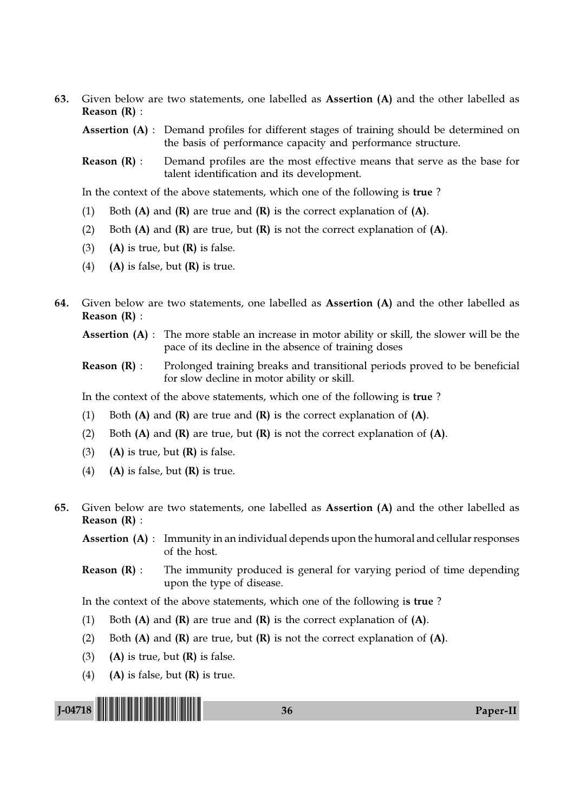63. Given below are two statements, one labelled as Assertion (A) and the other labelled as Reason (R) :

**Assertion (A)** : Demand profiles for different stages of training should be determined on the basis of performance capacity and performance structure.

**Reason**  $(R)$ : Demand profiles are the most effective means that serve as the base for talent identification and its development.

In the context of the above statements, which one of the following is true ?

- (1) Both  $(A)$  and  $(R)$  are true and  $(R)$  is the correct explanation of  $(A)$ .
- (2) Both  $(A)$  and  $(R)$  are true, but  $(R)$  is not the correct explanation of  $(A)$ .
- (3) (A) is true, but  $(R)$  is false.
- (4) (A) is false, but  $(R)$  is true.
- 64. Given below are two statements, one labelled as Assertion (A) and the other labelled as Reason (R) :
	- Assertion (A) : The more stable an increase in motor ability or skill, the slower will be the pace of its decline in the absence of training doses
	- Reason (R) : Prolonged training breaks and transitional periods proved to be beneficial for slow decline in motor ability or skill.

In the context of the above statements, which one of the following is true ?

- (1) Both  $(A)$  and  $(R)$  are true and  $(R)$  is the correct explanation of  $(A)$ .
- (2) Both  $(A)$  and  $(R)$  are true, but  $(R)$  is not the correct explanation of  $(A)$ .
- (3) (A) is true, but  $(R)$  is false.
- (4) (A) is false, but  $(R)$  is true.
- 65. Given below are two statements, one labelled as Assertion (A) and the other labelled as Reason (R) :

Assertion (A) : Immunity in an individual depends upon the humoral and cellular responses of the host.

**Reason**  $(R)$ **:** The immunity produced is general for varying period of time depending upon the type of disease.

In the context of the above statements, which one of the following is true ?

- (1) Both  $(A)$  and  $(R)$  are true and  $(R)$  is the correct explanation of  $(A)$ .
- (2) Both  $(A)$  and  $(R)$  are true, but  $(R)$  is not the correct explanation of  $(A)$ .
- (3) (A) is true, but  $(R)$  is false.
- (4) (A) is false, but  $(R)$  is true.

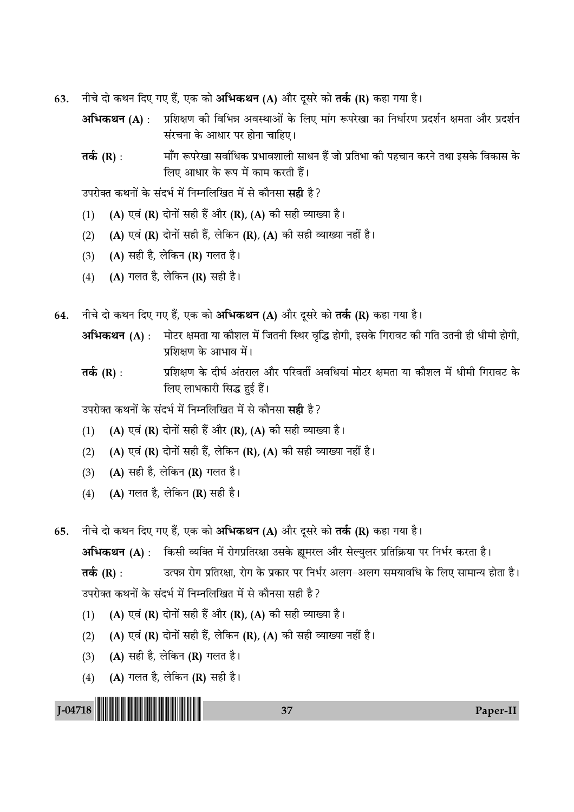- 63. नीचे दो कथन दिए गए हैं, एक को **अभिकथन (A)** और दूसरे को **तर्क (R)** कहा गया है।
	- **अभिकथन (A)** : प्रशिक्षण की विभिन्न अवस्थाओं के लिए मांग रूपरेखा का निर्धारण प्रदर्शन क्षमता और प्रदर्शन संरचना के आधार पर होना चाहिए।
	- **तर्क (R)** : माँग रूपरेखा सर्वाधिक प्रभावशाली साधन हैं जो प्रतिभा की पहचान करने तथा इसके विकास के लिए आधार के रूप में काम करती हैं।

उपरोक्त कथनों के संदर्भ में निम्नलिखित में से कौनसा **सही** है ?

- (1) (A) एवं (R) दोनों सही हैं और (R), (A) की सही व्याख्या है।
- (2) (A) एवं (R) दोनों सही हैं, लेकिन (R), (A) की सही व्याख्या नहीं है।
- (3) (A) सही है, लेकिन (R) गलत है।
- (4) (A) गलत है, लेकिन (R) सही है।

64. नीचे दो कथन दिए गए हैं, एक को अभिकथन (A) और दूसरे को **तर्क (R)** कहा गया है।

- **अभिकथन (A)** : मोटर क्षमता या कौशल में जितनी स्थिर वृद्धि होगी, इसके गिरावट की गति उतनी ही धीमी होगी, प्रशिक्षण के आभाव में।
- **तर्क (R)** : प्रशिक्षण के दीर्घ अंतराल और परिवर्ती अवधियां मोटर क्षमता या कौशल में धीमी गिरावट के लिए लाभकारी सिद्ध हुई हैं।

उपरोक्त कथनों के संदर्भ में निम्नलिखित में से कौनसा **सद्दी** है ?

- (1) (A) एवं (R) दोनों सही हैं और (R), (A) की सही व्याख्या है।
- (2) (A) एवं (R) दोनों सही हैं, लेकिन (R), (A) की सही व्याख्या नहीं है।
- (3) (A) सही है, लेकिन (R) गलत है।
- (4) (A) गलत है, लेकिन (R) सही है।
- 65. नीचे दो कथन दिए गए हैं, एक को **अभिकथन (A)** और दूसरे को **तर्क (R)** कहा गया है।

**अभिकथन (A)** : किसी व्यक्ति में रोगप्रतिरक्षा उसके ह्यूमरल और सेल्युलर प्रतिक्रिया पर निर्भर करता है। **तर्क (R)** : उत्पन्न रोग प्रतिरक्षा, रोग के प्रकार पर निर्भर अलग−अलग समयावधि के लिए सामान्य होता है। उपरोक्त कथनों के संदर्भ में निम्नलिखित में से कौनसा सही है ?

- (1) (A) एवं (R) दोनों सही हैं और (R), (A) की सही व्याख्या है।
- (2) (A) एवं (R) दोनों सही हैं, लेकिन (R), (A) की सही व्याख्या नहीं है।
- (3) (A) सही है, लेकिन (R) गलत है।
- (4) (A) गलत है, लेकिन (R) सही है।

J-04718 !J-04718-PAPER-II! <sup>37</sup> Paper-II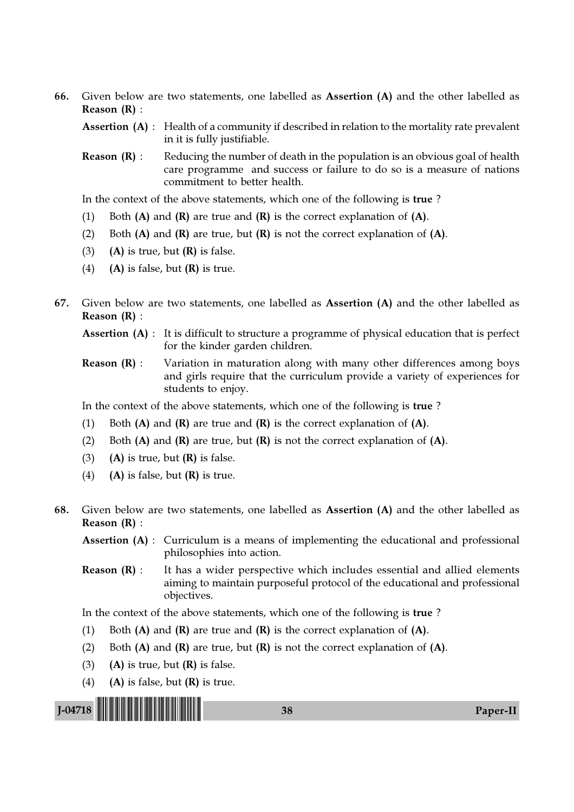66. Given below are two statements, one labelled as Assertion (A) and the other labelled as Reason (R) :

**Assertion (A)** : Health of a community if described in relation to the mortality rate prevalent in it is fully justifiable.

**Reason**  $(R)$  **:** Reducing the number of death in the population is an obvious goal of health care programme and success or failure to do so is a measure of nations commitment to better health.

In the context of the above statements, which one of the following is true ?

- (1) Both  $(A)$  and  $(R)$  are true and  $(R)$  is the correct explanation of  $(A)$ .
- (2) Both  $(A)$  and  $(R)$  are true, but  $(R)$  is not the correct explanation of  $(A)$ .
- (3) (A) is true, but  $(R)$  is false.
- (4) (A) is false, but  $(R)$  is true.
- 67. Given below are two statements, one labelled as Assertion (A) and the other labelled as Reason (R) :

Assertion (A) : It is difficult to structure a programme of physical education that is perfect for the kinder garden children.

Reason (R) : Variation in maturation along with many other differences among boys and girls require that the curriculum provide a variety of experiences for students to enjoy.

In the context of the above statements, which one of the following is true ?

- (1) Both  $(A)$  and  $(R)$  are true and  $(R)$  is the correct explanation of  $(A)$ .
- (2) Both  $(A)$  and  $(R)$  are true, but  $(R)$  is not the correct explanation of  $(A)$ .
- (3) (A) is true, but  $(R)$  is false.
- (4) (A) is false, but  $(R)$  is true.
- 68. Given below are two statements, one labelled as Assertion (A) and the other labelled as Reason (R) :

Assertion (A) : Curriculum is a means of implementing the educational and professional philosophies into action.

**Reason**  $(R)$ **:** It has a wider perspective which includes essential and allied elements aiming to maintain purposeful protocol of the educational and professional objectives.

In the context of the above statements, which one of the following is true ?

- (1) Both  $(A)$  and  $(R)$  are true and  $(R)$  is the correct explanation of  $(A)$ .
- (2) Both  $(A)$  and  $(R)$  are true, but  $(R)$  is not the correct explanation of  $(A)$ .
- (3) (A) is true, but  $(R)$  is false.
- (4) (A) is false, but  $(R)$  is true.

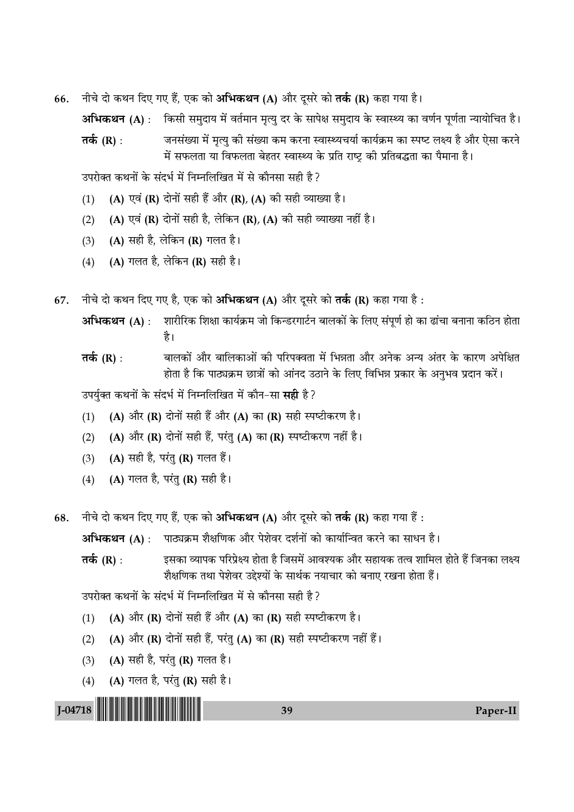66. नीचे दो कथन दिए गए हैं, एक को अभिकथन (A) और दूसरे को **तर्क (R)** कहा गया है।

**अभिकथन (A)** : किसी समुदाय में वर्तमान मृत्यु दर के सापेक्ष समुदाय के स्वास्थ्य का वर्णन पूर्णता न्यायोचित है।

**तर्क (R)** : जनसंख्या में मृत्यु की संख्या कम करना स्वास्थ्यचर्या कार्यक्रम का स्पष्ट लक्ष्य है और ऐसा करने में सफलता या विफलता बेहतर स्वास्थ्य के प्रति राष्ट्र की प्रतिबद्धता का पैमाना है।

उपरोक्त कथनों के संदर्भ में निम्नलिखित में से कौनसा सही है ?

- (1) (A) एवं (R) दोनों सही हैं और (R), (A) की सही व्याख्या है।
- (2) (A) एवं (R) दोनों सही है, लेकिन (R), (A) की सही व्याख्या नहीं है।
- (3) (A) सही है, लेकिन (R) गलत है।
- (4) (A) गलत है, लेकिन (R) सही है।
- 67. नीचे दो कथन दिए गए है, एक को अभिकथन (A) और दूसरे को तर्क (R) कहा गया है :
	- **अभिकथन (A)** : शारीरिक शिक्षा कार्यक्रम जो किन्डरगार्टन बालकों के लिए संपूर्ण हो का ढांचा बनाना कठिन होता है।
	- **Ã∑¸§** (R) : 'Ê‹∑§Ê¥ •ÊÒ⁄U 'ÊÁ‹∑§Ê•Ê¥ ∑§Ë ¬Á⁄U¬Ä√ÊÃÊ ◊¥ Á÷ÛÊÃÊ •ÊÒ⁄U •Ÿ∑§ •ãÿ •¥Ã⁄U ∑§ ∑§Ê⁄UáÊ •¬ÁˇÊÃ होता है कि पाठ्यक्रम छात्रों को आंनद उठाने के लिए विभिन्न प्रकार के अनुभव प्रदान करें।

उपर्युक्त कथनों के संदर्भ में निम्नलिखित में कौन−सा **सही** है?

- (1) (A) और (R) दोनों सही हैं और (A) का (R) सही स्पष्टीकरण है।
- (2) (A) और (R) दोनों सही हैं, परंतु (A) का (R) स्पष्टीकरण नहीं है।
- (3)  $(A)$  सही है, परंतु (R) गलत हैं।
- (4) (A) गलत है, परंतु (R) सही है।

68. नीचे दो कथन दिए गए हैं, एक को अभिकथन (A) और दूसरे को तर्क (R) कहा गया हैं :

**अभिकथन (A) : पाठ्यक्रम शैक्षणिक और पेशेवर दर्शनों को कार्यान्वित करने का साधन है।** 

**Ã∑¸§** (R) : ß'∑§Ê √ÿʬ∑§ ¬Á⁄U¬˝ˇÿ "ÊÃÊ "Ò Á¡'◊¥ •Êfl‡ÿ∑§ •ÊÒ⁄U '"Êÿ∑§ Ãàfl ‡ÊÊÁ◊‹ "Êà "Ò¥ Á¡Ÿ∑§Ê ‹ˇÿ <u>शैक्षणिक तथा पेशेवर उद्देश्यों के सार्थक नयाचार को बनाए रखना होता हैं।</u>

उपरोक्त कथनों के संदर्भ में निम्नलिखित में से कौनसा सही है ?

- (1) (A) और (R) दोनों सही हैं और (A) का (R) सही स्पष्टीकरण है।
- (2) (A) और (R) दोनों सही हैं, परंतु (A) का (R) सही स्पष्टीकरण नहीं हैं।
- (3)  $(A)$  सही है, परंतु (R) गलत है।
- (4) (A) गलत है, परंतु (R) सही है।

J-04718 !J-04718-PAPER-II! <sup>39</sup> Paper-II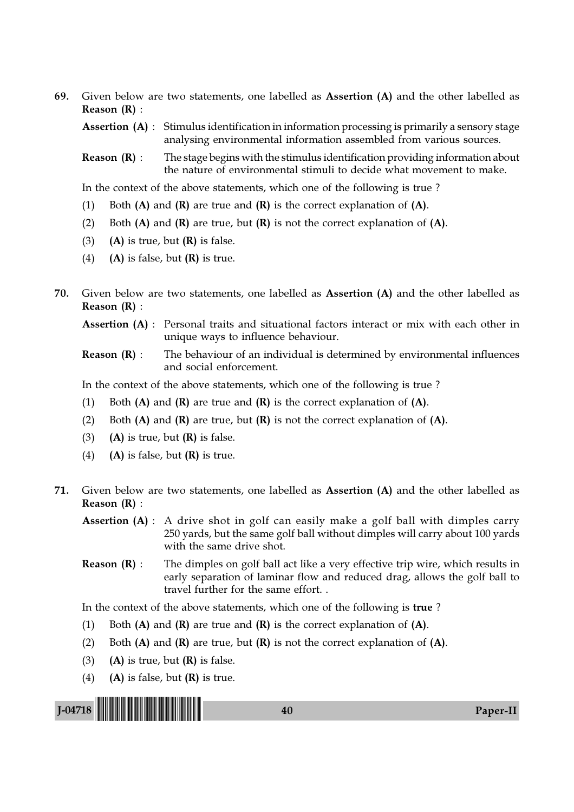69. Given below are two statements, one labelled as Assertion (A) and the other labelled as Reason (R) :

Assertion (A) : Stimulus identification in information processing is primarily a sensory stage analysing environmental information assembled from various sources.

Reason (R) : The stage begins with the stimulus identification providing information about the nature of environmental stimuli to decide what movement to make.

In the context of the above statements, which one of the following is true ?

- (1) Both  $(A)$  and  $(R)$  are true and  $(R)$  is the correct explanation of  $(A)$ .
- (2) Both  $(A)$  and  $(R)$  are true, but  $(R)$  is not the correct explanation of  $(A)$ .
- (3) (A) is true, but  $(R)$  is false.
- (4) (A) is false, but  $(R)$  is true.
- 70. Given below are two statements, one labelled as Assertion (A) and the other labelled as Reason (R) :

Assertion (A) : Personal traits and situational factors interact or mix with each other in unique ways to influence behaviour.

**Reason (R)**: The behaviour of an individual is determined by environmental influences and social enforcement.

In the context of the above statements, which one of the following is true ?

- (1) Both  $(A)$  and  $(R)$  are true and  $(R)$  is the correct explanation of  $(A)$ .
- (2) Both  $(A)$  and  $(R)$  are true, but  $(R)$  is not the correct explanation of  $(A)$ .
- (3) (A) is true, but  $(R)$  is false.
- (4) (A) is false, but  $(R)$  is true.
- 71. Given below are two statements, one labelled as Assertion (A) and the other labelled as Reason (R) :
	- Assertion (A) : A drive shot in golf can easily make a golf ball with dimples carry 250 yards, but the same golf ball without dimples will carry about 100 yards with the same drive shot.
	- **Reason**  $(R)$ **:** The dimples on golf ball act like a very effective trip wire, which results in early separation of laminar flow and reduced drag, allows the golf ball to travel further for the same effort. .

In the context of the above statements, which one of the following is true ?

- (1) Both  $(A)$  and  $(R)$  are true and  $(R)$  is the correct explanation of  $(A)$ .
- (2) Both  $(A)$  and  $(R)$  are true, but  $(R)$  is not the correct explanation of  $(A)$ .
- (3) (A) is true, but  $(R)$  is false.
- (4) (A) is false, but  $(R)$  is true.

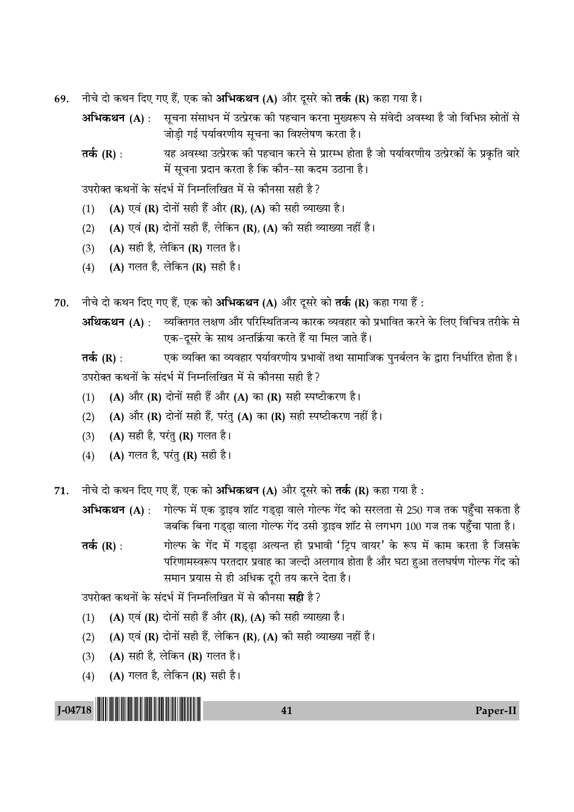- 69. नीचे दो कथन दिए गए हैं, एक को अभिकथन (A) और दूसरे को **तर्क (R)** कहा गया है।
	- **अभिकथन (A)** : सूचना संसाधन में उत्प्रेरक की पहचान करना मुख्यरूप से संवेदी अवस्था है जो विभिन्न स्रोतों से जोड़ी गई पर्यावरणीय सूचना का विश्लेषण करता है।
	- **तर्क (R)** : यह अवस्था उत्प्रेरक की पहचान करने से प्रारम्भ होता है जो पर्यावरणीय उत्प्रेरकों के प्रकृति बारे में सूचना प्रदान करता है कि कौन−सा कदम उठाना है।

उपरोक्त कथनों के संदर्भ में निम्नलिखित में से कौनसा सही है ?

- (1) (A) एवं (R) दोनों सही हैं और (R), (A) की सही व्याख्या है।
- (2) (A) एवं (R) दोनों सही हैं, लेकिन (R), (A) की सही व्याख्या नहीं है।
- (3) (A) सही है, लेकिन (R) गलत है।
- (4) (A) गलत है, लेकिन (R) सही है।
- 70. नीचे दो कथन दिए गए हैं, एक को अभिकथन (A) और दूसरे को तर्क (R) कहा गया हैं :

**•अथिकथन (A)** : व्यक्तिगत लक्षण और परिस्थितिजन्य कारक व्यवहार को प्रभावित करने के लिए विचित्र तरीके से एक−दूसरे के साथ अन्तर्क्रिया करते हैं या मिल जाते हैं।

**तर्क (R)** : एक व्यक्ति का व्यवहार पर्यावरणीय प्रभावों तथा सामाजिक पुनर्बलन के द्वारा निर्धारित होता है। उपरोक्त कथनों के संदर्भ में निम्नलिखित में से कौनसा सही है ?

- (1) (A) और (R) दोनों सही हैं और (A) का (R) सही स्पष्टीकरण है।
- (2) (A) और (R) दोनों सही हैं, परंतु (A) का (R) सही स्पष्टीकरण नहीं है।
- (3)  $(A)$  सही है, परंतु (R) गलत है।
- (4) (A) गलत है, परंतु (R) सही है।
- 71. नीचे दो कथन दिए गए हैं, एक को अभिकथन (A) और दूसरे को तर्क (R) कहा गया है :

**अभिकथन (A)** : गोल्फ में एक ड्राइव शॉट गड्ढ़ा वाले गोल्फ गेंद को सरलता से 250 गज तक पहुँचा सकता है जबकि बिना गड्ढ़ा वाला गोल्फ गेंद उसी ड्राइव शॉट से लगभग 100 गज तक पहुँचा पाता है।

**तर्क (R)** : <sup>1</sup> • गोल्फ के गेंद में गडढा अत्यन्त ही प्रभावी 'टिप वायर' के रूप में काम करता है जिसके परिणामस्वरूप परतदार प्रवाह का जल्दी अलगाव होता है और घटा हुआ तलघर्षण गोल्फ गेंद को समान प्रयास से ही अधिक दूरी तय करने देता है।

उपरोक्त कथनों के संदर्भ में निम्नलिखित में से कौनसा **सद्री** है ?

- (1) (A) एवं (R) दोनों सही हैं और (R), (A) की सही व्याख्या है।
- (2) (A) एवं (R) दोनों सही हैं, लेकिन (R), (A) की सही व्याख्या नहीं है।
- (3) (A) सही है, लेकिन (R) गलत है।
- (4) (A) गलत है, लेकिन (R) सही है।

J-04718 !J-04718-PAPER-II! <sup>41</sup> Paper-II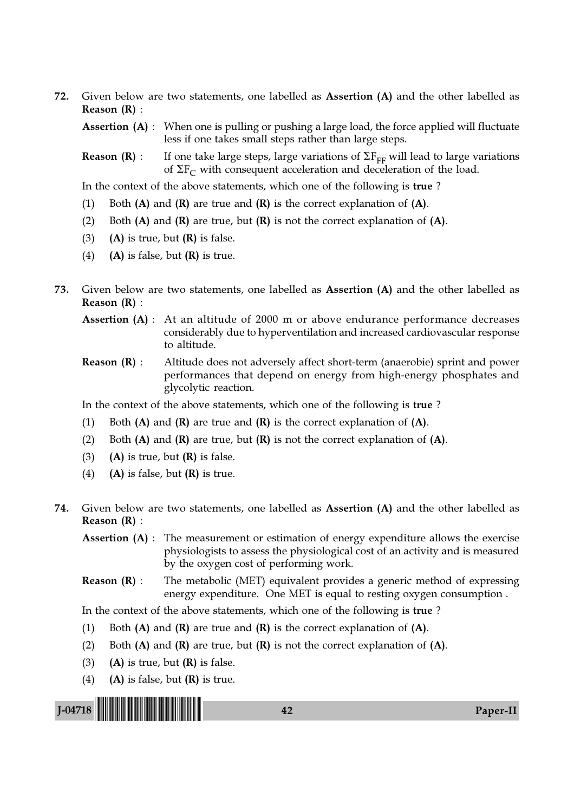72. Given below are two statements, one labelled as Assertion (A) and the other labelled as Reason (R) :

**Assertion (A)** : When one is pulling or pushing a large load, the force applied will fluctuate less if one takes small steps rather than large steps.

**Reason (R)** : If one take large steps, large variations of  $\Sigma F_{FF}$  will lead to large variations of  $\Sigma F_C$  with consequent acceleration and deceleration of the load.

In the context of the above statements, which one of the following is true ?

- (1) Both  $(A)$  and  $(R)$  are true and  $(R)$  is the correct explanation of  $(A)$ .
- (2) Both  $(A)$  and  $(R)$  are true, but  $(R)$  is not the correct explanation of  $(A)$ .
- (3) (A) is true, but  $(R)$  is false.
- (4) (A) is false, but  $(R)$  is true.
- 73. Given below are two statements, one labelled as Assertion (A) and the other labelled as Reason (R) :
	- Assertion (A) : At an altitude of 2000 m or above endurance performance decreases considerably due to hyperventilation and increased cardiovascular response to altitude.
	- Reason (R) : Altitude does not adversely affect short-term (anaerobie) sprint and power performances that depend on energy from high-energy phosphates and glycolytic reaction.

In the context of the above statements, which one of the following is true ?

- (1) Both  $(A)$  and  $(R)$  are true and  $(R)$  is the correct explanation of  $(A)$ .
- (2) Both  $(A)$  and  $(R)$  are true, but  $(R)$  is not the correct explanation of  $(A)$ .
- (3) (A) is true, but  $(R)$  is false.
- (4) (A) is false, but  $(R)$  is true.
- 74. Given below are two statements, one labelled as Assertion (A) and the other labelled as Reason (R) :

Assertion (A) : The measurement or estimation of energy expenditure allows the exercise physiologists to assess the physiological cost of an activity and is measured by the oxygen cost of performing work.

**Reason (R)**: The metabolic (MET) equivalent provides a generic method of expressing energy expenditure. One MET is equal to resting oxygen consumption .

In the context of the above statements, which one of the following is true ?

- (1) Both  $(A)$  and  $(R)$  are true and  $(R)$  is the correct explanation of  $(A)$ .
- (2) Both  $(A)$  and  $(R)$  are true, but  $(R)$  is not the correct explanation of  $(A)$ .
- (3) (A) is true, but  $(R)$  is false.
- (4) (A) is false, but  $(R)$  is true.

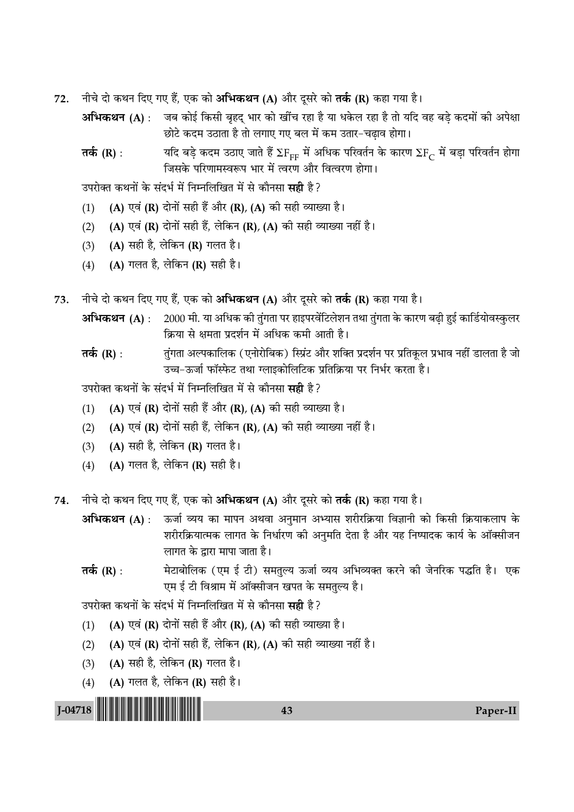- नीचे दो कथन दिए गए हैं, एक को **अभिकथन (A)** और दूसरे को **तर्क (R)** कहा गया है। 72.
	- अभिकथन (A) : जब कोई किसी बृहद भार को खींच रहा है या धकेल रहा है तो यदि वह बडे कदमों की अपेक्षा छोटे कदम उठाता है तो लगाए गए बल में कम उतार-चढ़ाव होगा।
	- यदि बड़े कदम उठाए जाते हैं  $\Sigma \mathrm{F}_{\mathrm{FF}}$  में अधिक परिवर्तन के कारण  $\Sigma \mathrm{F}_{\mathrm{C}}$  में बड़ा परिवर्तन होगा तर्क  $(R)$  : जिसके परिणामस्वरूप भार में त्वरण और वित्वरण होगा।

उपरोक्त कथनों के संदर्भ में निम्नलिखित में से कौनसा **सही** है ?

- (A) एवं (R) दोनों सही हैं और (R), (A) की सही व्याख्या है।  $(1)$
- $(2)$ (A) एवं (R) दोनों सही हैं, लेकिन (R), (A) की सही व्याख्या नहीं है।
- (A) सही है, लेकिन (R) गलत है।  $(3)$
- (A) गलत है, लेकिन (R) सही है।  $(4)$
- नीचे दो कथन दिए गए हैं, एक को अभिकथन (A) और दूसरे को तर्क (R) कहा गया है। 73.
	- 2000 मी. या अधिक की तुंगता पर हाइपरवेंटिलेशन तथा तुंगता के कारण बढ़ी हुई कार्डियोवस्कुलर अभिकथन (A) : क्रिया से क्षमता प्रदर्शन में अधिक कमी आती है।
	- तुंगता अल्पकालिक (एनोरोबिक) स्प्रिंट और शक्ति प्रदर्शन पर प्रतिकृल प्रभाव नहीं डालता है जो तर्क (R) : उच्च-ऊर्जा फॉस्फेट तथा ग्लाइकोलिटिक प्रतिक्रिया पर निर्भर करता है।

उपरोक्त कथनों के संदर्भ में निम्नलिखित में से कौनसा **सही** है ?

- (A) एवं (R) दोनों सही हैं और (R), (A) की सही व्याख्या है।  $(1)$
- $(2)$ (A) एवं (R) दोनों सही हैं, लेकिन (R), (A) की सही व्याख्या नहीं है।
- (A) सही है, लेकिन (R) गलत है।  $(3)$
- (A) गलत है, लेकिन (R) सही है।  $(4)$
- नीचे दो कथन दिए गए हैं, एक को अभिकथन (A) और दूसरे को तर्क (R) कहा गया है। 74.
	- अभिकथन (A) : ऊर्जा व्यय का मापन अथवा अनुमान अभ्यास शरीरक्रिया विज्ञानी को किसी क्रियाकलाप के शरीरक्रियात्मक लागत के निर्धारण की अनुमति देता है और यह निष्पादक कार्य के ऑक्सीजन लागत के द्वारा मापा जाता है।
	- मेटाबोलिक (एम ई टी) समतुल्य ऊर्जा व्यय अभिव्यक्त करने की जेनरिक पद्धति है। एक तर्क  $(R)$  : एम ई टी विश्राम में ऑक्सीजन खपत के समतुल्य है।

43

उपरोक्त कथनों के संदर्भ में निम्नलिखित में से कौनसा **सही** है?

- (A) एवं (R) दोनों सही हैं और (R), (A) की सही व्याख्या है।  $(1)$
- (A) एवं (R) दोनों सही हैं, लेकिन (R), (A) की सही व्याख्या नहीं है।  $(2)$
- (A) सही है, लेकिन (R) गलत है।  $(3)$
- (A) गलत है, लेकिन (R) सही है।  $(4)$

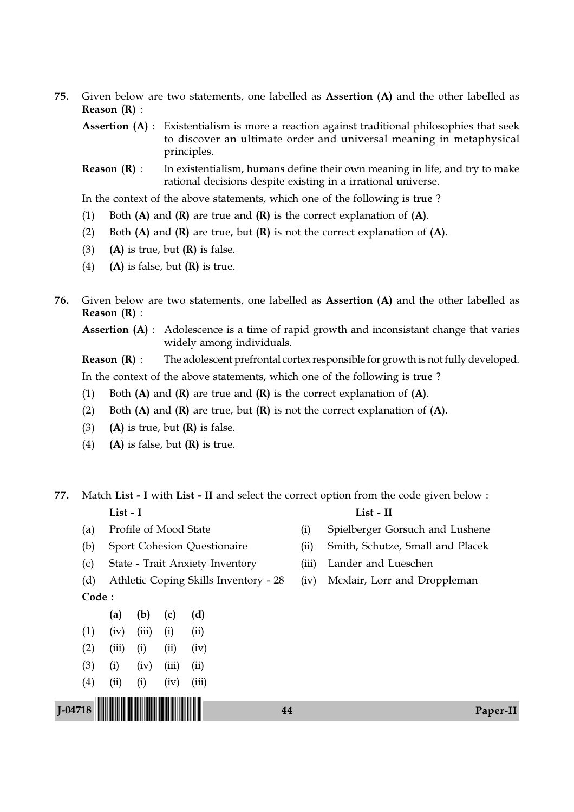- 75. Given below are two statements, one labelled as Assertion (A) and the other labelled as Reason (R) :
	- Assertion (A) : Existentialism is more a reaction against traditional philosophies that seek to discover an ultimate order and universal meaning in metaphysical principles.
	- **Reason (R)**: In existentialism, humans define their own meaning in life, and try to make rational decisions despite existing in a irrational universe.

In the context of the above statements, which one of the following is true ?

- (1) Both  $(A)$  and  $(R)$  are true and  $(R)$  is the correct explanation of  $(A)$ .
- (2) Both  $(A)$  and  $(R)$  are true, but  $(R)$  is not the correct explanation of  $(A)$ .
- (3) (A) is true, but  $(R)$  is false.
- (4) (A) is false, but  $(R)$  is true.
- 76. Given below are two statements, one labelled as Assertion (A) and the other labelled as Reason (R) :

Assertion (A) : Adolescence is a time of rapid growth and inconsistant change that varies widely among individuals.

**Reason**  $(R)$ **:** The adolescent prefrontal cortex responsible for growth is not fully developed.

In the context of the above statements, which one of the following is true ?

- (1) Both  $(A)$  and  $(R)$  are true and  $(R)$  is the correct explanation of  $(A)$ .
- (2) Both  $(A)$  and  $(R)$  are true, but  $(R)$  is not the correct explanation of  $(A)$ .
- (3) (A) is true, but  $(R)$  is false.
- (4) (A) is false, but  $(R)$  is true.

77. Match List - I with List - II and select the correct option from the code given below : List - I List - II

- 
- 
- (c) State Trait Anxiety Inventory (iii) Lander and Lueschen
- (d) Athletic Coping Skills Inventory 28 (iv) Mcxlair, Lorr and Droppleman

Code :

- (a) (b) (c) (d)  $(1)$   $(iv)$   $(iii)$   $(i)$   $(ii)$  $(2)$   $(iii)$   $(i)$   $(ii)$   $(iv)$  $(3)$  (i) (iv) (iii) (ii)
- $(4)$   $(ii)$   $(i)$   $(iv)$   $(iii)$
- 
- (a) Profile of Mood State (i) Spielberger Gorsuch and Lushene
- (b) Sport Cohesion Questionaire (ii) Smith, Schutze, Small and Placek
	-
	-

J-04718 !J-04718-PAPER-II! <sup>44</sup> Paper-II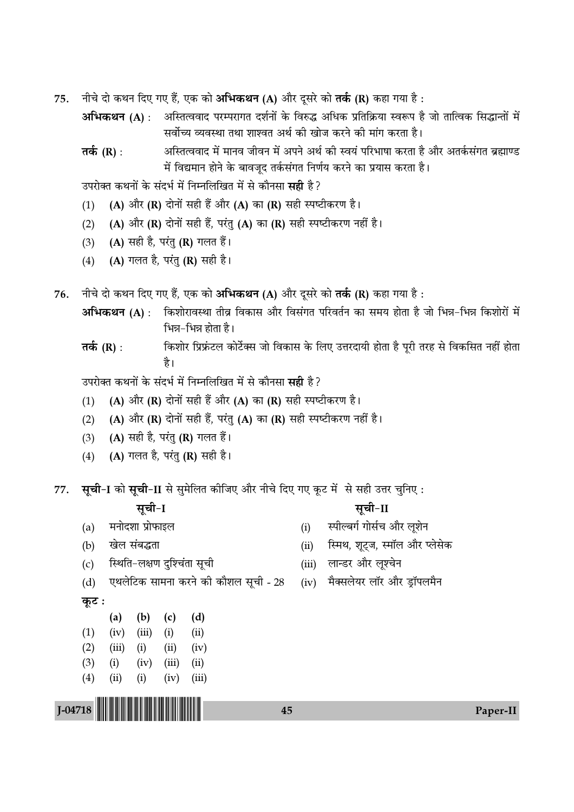- नीचे दो कथन दिए गए हैं, एक को अभिकथन (A) और दूसरे को तर्क (R) कहा गया है : 75.
	- अभिकथन (A) : अस्तित्ववाद परम्परागत दर्शनों के विरुद्ध अधिक प्रतिक्रिया स्वरूप है जो तात्विक सिद्धान्तों में सर्वोच्य व्यवस्था तथा शाश्वत अर्थ की खोज करने की मांग करता है।
	- अस्तित्ववाद में मानव जीवन में अपने अर्थ की स्वयं परिभाषा करता है और अतर्कसंगत ब्रह्माण्ड तर्क (R) : में विद्यमान होने के बावजूद तर्कसंगत निर्णय करने का प्रयास करता है।

उपरोक्त कथनों के संदर्भ में निम्नलिखित में से कौनसा **सही** है ?

- (A) और (R) दोनों सही हैं और (A) का (R) सही स्पष्टीकरण है।  $(1)$
- (A) और (R) दोनों सही हैं, परंतु (A) का (R) सही स्पष्टीकरण नहीं है।  $(2)$
- (A) सही है, परंतु (R) गलत हैं।  $(3)$
- (A) गलत है, परंतु (R) सही है।  $(4)$
- नीचे दो कथन दिए गए हैं, एक को अभिकथन (A) और दूसरे को तर्क (R) कहा गया है: 76.
	- अभिकथन (A) : किशोरावस्था तीव्र विकास और विसंगत परिवर्तन का समय होता है जो भिन्न-भिन्न किशोरों में भिन्न-भिन्न होता है।
	- किशोर प्रिफ़ंटल कोर्टेक्स जो विकास के लिए उत्तरदायी होता है पूरी तरह से विकसित नहीं होता तर्क (R) : है।

उपरोक्त कथनों के संदर्भ में निम्नलिखित में से कौनसा **सही** है ?

- (A) और (R) दोनों सही हैं और (A) का (R) सही स्पष्टीकरण है।  $(1)$
- (A) और (R) दोनों सही हैं, परंतु (A) का (R) सही स्पष्टीकरण नहीं है।  $(2)$
- (A) सही है, परंतु (R) गलत हैं।  $(3)$
- (A) गलत है, परंतु (R) सही है।  $(4)$

सूची-I को सूची-II से सुमेलित कीजिए और नीचे दिए गए कूट में से सही उत्तर चुनिए: 77.

### सूची-I

सूची-II

 $(i)$ 

- मनोदशा प्रोफाइल  $(a)$
- खेल संबद्धता  $(b)$
- स्थिति-लक्षण दुश्चिंता सूची  $(c)$

(ii) स्मिथ, शुट्ज, स्मॉल और प्लेसेक

स्पील्बर्ग गोर्सच और लूशेन

- (iii) लान्डर और लूश्चेन
- एथलेटिक सामना करने को कौशल सूची 28  $(d)$

## कूट:

|     | (a)       | (b)      | (c)   | (d)   |
|-----|-----------|----------|-------|-------|
| (1) | (iv)      | (iii)    | (i)   | (ii)  |
| (2) | (iii)     | (i)      | (ii)  | (iv)  |
| (3) | (i)       | (iv)     | (iii) | (ii)  |
| (4) | $\rm(ii)$ | $\rm(i)$ | (iv)  | (iii) |

 $J-04718$ 

(iv) मैक्सलेयर लॉर और ड़ॉपलमैन

45

Paper-II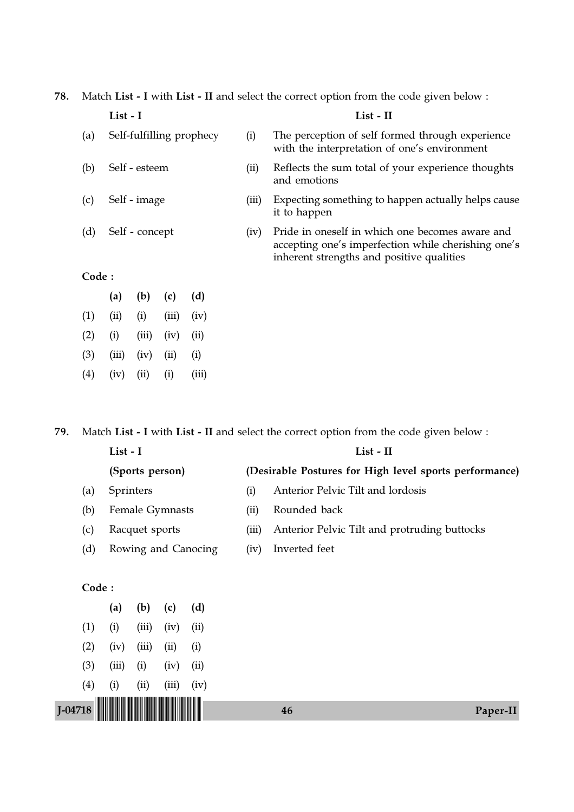78. Match List - I with List - II and select the correct option from the code given below :

|       | List - I                 |       |       |           |       | $List - II$                                                                                                                                         |
|-------|--------------------------|-------|-------|-----------|-------|-----------------------------------------------------------------------------------------------------------------------------------------------------|
| (a)   | Self-fulfilling prophecy |       |       |           | (i)   | The perception of self formed through experience<br>with the interpretation of one's environment                                                    |
| (b)   | Self - esteem            |       |       |           |       | Reflects the sum total of your experience thoughts<br>and emotions                                                                                  |
| (c)   | Self - image             |       |       |           | (iii) | Expecting something to happen actually helps cause<br>it to happen                                                                                  |
| (d)   | Self - concept           |       |       |           | (iv)  | Pride in oneself in which one becomes aware and<br>accepting one's imperfection while cherishing one's<br>inherent strengths and positive qualities |
| Code: |                          |       |       |           |       |                                                                                                                                                     |
|       | (a)                      | (b)   | (c)   | (d)       |       |                                                                                                                                                     |
| (1)   | (ii)                     | (i)   | (iii) | (iv)      |       |                                                                                                                                                     |
| (2)   | $\left( i\right)$        | (iii) | (iv)  | $\rm(ii)$ |       |                                                                                                                                                     |

79. Match List - I with List - II and select the correct option from the code given below :

(3) (iii) (iv) (ii) (i)

(4) (iv) (ii) (i) (iii)

|           |          |                |                 |                     |       | $\bf\omega$                                            |          |  |  |  |
|-----------|----------|----------------|-----------------|---------------------|-------|--------------------------------------------------------|----------|--|--|--|
|           | List - I |                |                 |                     |       | List - II                                              |          |  |  |  |
|           |          |                | (Sports person) |                     |       | (Desirable Postures for High level sports performance) |          |  |  |  |
| (a)       |          | Sprinters      |                 |                     | (i)   | Anterior Pelvic Tilt and lordosis                      |          |  |  |  |
| (b)       |          |                | Female Gymnasts |                     | (ii)  | Rounded back                                           |          |  |  |  |
| (c)       |          | Racquet sports |                 |                     | (iii) | Anterior Pelvic Tilt and protruding buttocks           |          |  |  |  |
| (d)       |          |                |                 | Rowing and Canocing | (iv)  | Inverted feet                                          |          |  |  |  |
|           |          |                |                 |                     |       |                                                        |          |  |  |  |
| Code:     |          |                |                 |                     |       |                                                        |          |  |  |  |
|           | (a)      | (b)            | (c)             | (d)                 |       |                                                        |          |  |  |  |
| (1)       | (i)      | (iii)          | (iv)            | (ii)                |       |                                                        |          |  |  |  |
| (2)       | (iv)     | (iii)          | (ii)            | (i)                 |       |                                                        |          |  |  |  |
| (3)       | (iii)    | (i)            | (iv)            | (ii)                |       |                                                        |          |  |  |  |
| (4)       | (i)      | (ii)           | (iii)           | (iv)                |       |                                                        |          |  |  |  |
| $I-04718$ |          |                |                 |                     |       | 46                                                     | Paper-II |  |  |  |
|           |          |                |                 |                     |       |                                                        |          |  |  |  |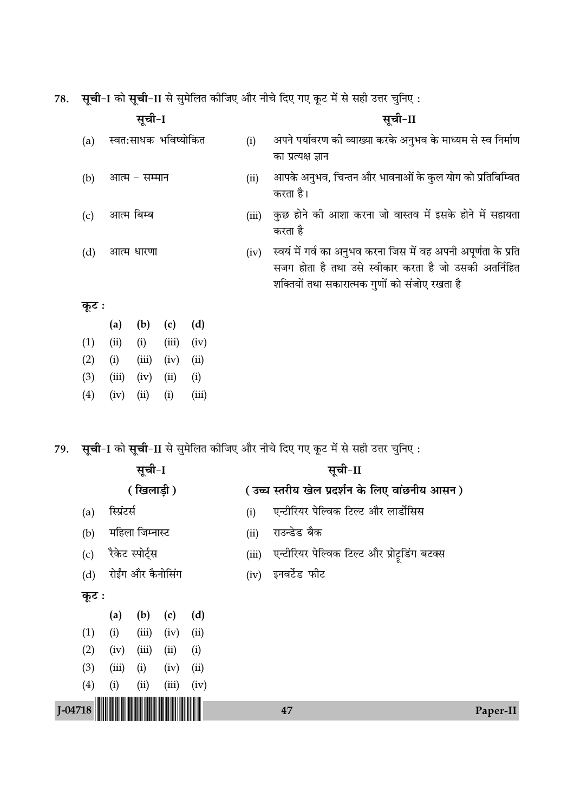78. सूची-I को सूची-II से सुमेलित कीजिए और नीचे दिए गए कूट में से सही उत्तर चुनिए :

| सूची-I |               |       |                      |       |       | सूची-II                                                                                                                                                                  |  |  |  |
|--------|---------------|-------|----------------------|-------|-------|--------------------------------------------------------------------------------------------------------------------------------------------------------------------------|--|--|--|
| (a)    |               |       | स्वत:साधक भविष्योकित |       | (i)   | अपने पर्यावरण की व्याख्या करके अनुभव के माध्यम से स्व निर्माण                                                                                                            |  |  |  |
|        |               |       |                      |       |       | का प्रत्यक्ष ज्ञान                                                                                                                                                       |  |  |  |
| (b)    | आत्म – सम्मान |       |                      |       | (ii)  | आपके अनुभव, चिन्तन और भावनाओं के कुल योग को प्रतिबिम्बित<br>करता है।                                                                                                     |  |  |  |
| (c)    | आत्म बिम्ब    |       |                      |       | (iii) | कुछ होने की आशा करना जो वास्तव में इसके होने में सहायता<br>करता है                                                                                                       |  |  |  |
| (d)    | आत्म धारणा    |       |                      |       | (iv)  | स्वयं में गर्व का अनुभव करना जिस में वह अपनी अपूर्णता के प्रति<br>सजग होता है तथा उसे स्वीकार करता है जो उसकी अतर्निहित<br>शक्तियों तथा सकारात्मक गुणों को संजोए रखता है |  |  |  |
| कूट :  |               |       |                      |       |       |                                                                                                                                                                          |  |  |  |
|        | (a)           | (b)   | (c)                  | (d)   |       |                                                                                                                                                                          |  |  |  |
| (1)    | (ii)          | (i)   | (iii)                | (iv)  |       |                                                                                                                                                                          |  |  |  |
| (2)    | (i)           | (iii) | (iv)                 | (ii)  |       |                                                                                                                                                                          |  |  |  |
| (3)    | (iii)         | (iv)  | (ii)                 | (i)   |       |                                                                                                                                                                          |  |  |  |
| (4)    | (iv)          | (ii)  | (i)                  | (iii) |       |                                                                                                                                                                          |  |  |  |

79. सूची-I को सूची-II से सुमेलित कीजिए और नीचे दिए गए कूट में से सही उत्तर चुनिए :

|         |             | सूची-I            |       |      | सूची-II                                               |
|---------|-------------|-------------------|-------|------|-------------------------------------------------------|
|         |             | (खिलाड़ी)         |       |      | (उच्च स्तरीय खेल प्रदर्शन के लिए वांछनीय आसन)         |
| (a)     | स्प्रिंटर्स |                   |       |      | एन्टीरियर पेल्विक टिल्ट और लार्डोसिस<br>(i)           |
| (b)     |             | महिला जिम्नास्ट   |       |      | राउन्डेड बैक<br>(ii)                                  |
| (c)     |             | रैकेट स्पोर्ट्स   |       |      | एन्टीरियर पेल्विक टिल्ट और प्रोट्रडिंग बटक्स<br>(iii) |
| (d)     |             | रोईंग और कैनोसिंग |       |      | इनवर्टेड फीट<br>(iv)                                  |
| कूट :   |             |                   |       |      |                                                       |
|         | (a)         | (b)               | (c)   | (d)  |                                                       |
| (1)     | (i)         | (iii)             | (iv)  | (ii) |                                                       |
| (2)     | (iv)        | (iii)             | (ii)  | (i)  |                                                       |
| (3)     | (iii)       | (i)               | (iv)  | (ii) |                                                       |
| (4)     | (i)         | (ii)              | (iii) | (iv) |                                                       |
| J-04718 |             |                   |       |      | 47<br>Paper-II                                        |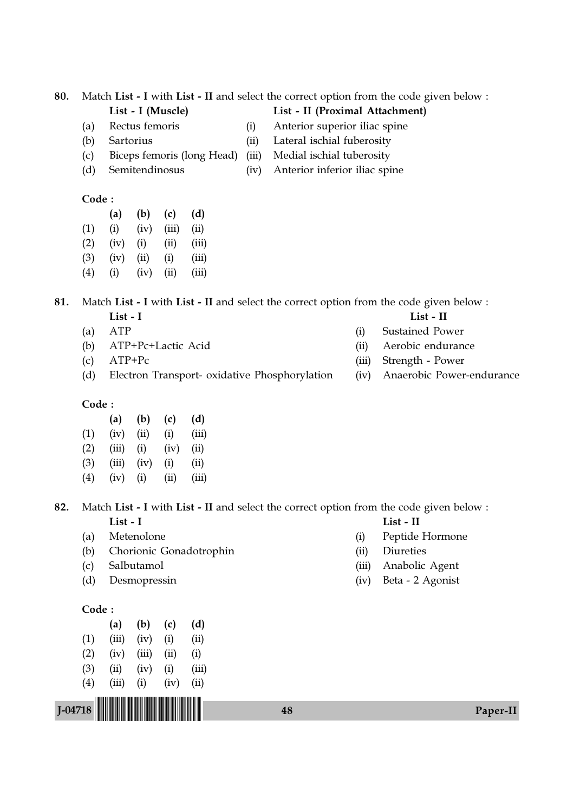- 
- 
- (c) Biceps femoris (long Head) (iii) Medial ischial tuberosity
- 

# Code :

- (a) (b) (c) (d)
- $(1)$   $(ii)$   $(iv)$   $(iii)$   $(ii)$
- $(2)$   $(iv)$   $(i)$   $(ii)$   $(iii)$
- $(3)$   $(iv)$   $(ii)$   $(i)$   $(iii)$  $(4)$  (i) (iv) (ii) (iii)

# 81. Match List - I with List - II and select the correct option from the code given below :

# List - I List - II

- (a) ATP (i) Sustained Power
- (b) ATP+Pc+Lactic Acid (ii) Aerobic endurance
- (c) ATP+Pc (iii) Strength Power
- (d) Electron Transport- oxidative Phosphorylation (iv) Anaerobic Power-endurance

# Code :

|                   | (a)   | (b)  | (c)  | (d)   |
|-------------------|-------|------|------|-------|
| (1)               | (iv)  | (ii) | (i)  | (iii) |
| (2)               | (iii) | (i)  | (iv) | (ii)  |
| (3)               | (iii) | (iv) | (i)  | (ii)  |
| $\left( 4\right)$ | (iv)  | (i)  | (ii) | (iii) |

# 82. Match List - I with List - II and select the correct option from the code given below : List - I List - II

J-04718 !J-04718-PAPER-II! <sup>48</sup> Paper-II

- 
- (b) Chorionic Gonadotrophin (ii) Diureties
- 
- 

# Code :

|     | (a)   | (b)   | (c)  | (d)   |
|-----|-------|-------|------|-------|
| (1) | (iii) | (iv)  | (i)  | (ii)  |
| (2) | (iv)  | (iii) | (ii) | (i)   |
| (3) | (ii)  | (iv)  | (i)  | (iii) |
| (4) | (iii) | (i)   | (iv) | (ii)  |

- 
- (a) Metenolone (i) Peptide Hormone
	-
- (c) Salbutamol (iii) Anabolic Agent
- (d) Desmopressin (iv) Beta 2 Agonist
- List I (Muscle) List II (Proximal Attachment)
- (a) Rectus femoris (i) Anterior superior iliac spine
- (b) Sartorius (ii) Lateral ischial fuberosity
	-
- (d) Semitendinosus (iv) Anterior inferior iliac spine
- 80. Match List I with List II and select the correct option from the code given below :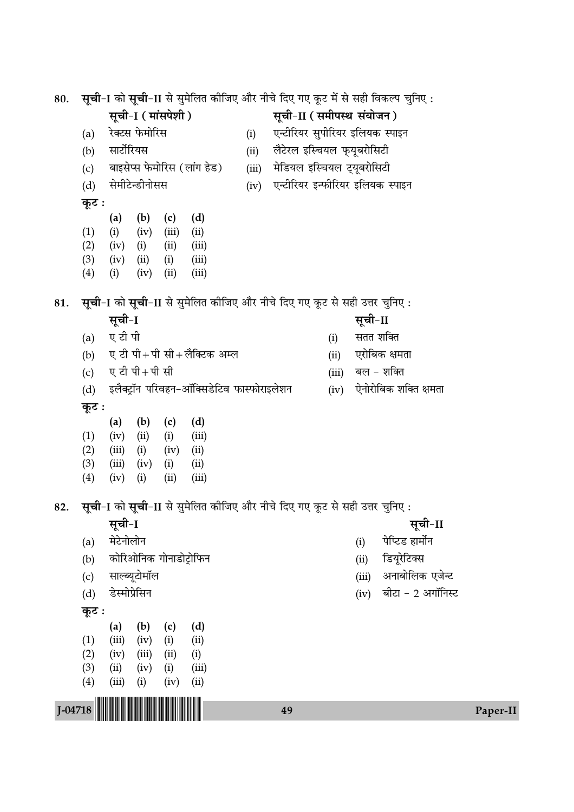80. **सूची-I** को सूची-II से सुमेलित कीजिए और नीचे दिए गए कूट में से सही विकल्प चुनिए:  $\overline{R}$ सूची-I ( मांसपेशी ) सूची-II ( समीपस्थ संयोजन ) (a) रेक्टस फेमोरिस (i) एन्टीरियर सुपीरियर इलियक स्पाइन (b) सार्टोरियस (ii) लैटेरल इस्चियल फुयूबरोसिटी (c) बाइसेप्स फेमोरिस (लांग हेड) (iii) मेडियल इस्चियल ट्यूबरोसिटी (d) सेमीटेन्डीनोसस (iv) एन्टीरियर इन्फीरियर इलियक स्पाइन **कूट**: (a) (b) (c) (d)  $(1)$   $(ii)$   $(iv)$   $(iii)$   $(ii)$  $(2)$   $(iv)$   $(i)$   $(ii)$   $(iii)$ (3) (iv) (ii) (i) (iii) (4) (i) (iv) (ii) (iii) 81. **सूची-I** को सूची-II से सुमेलित कीजिए और नीचे दिए गए कूट से सही उत्तर चुनिए : **'ÍøË-**I **'ÍøË-**II (a) ए टी पी  $($ i) सतत शक्ति (b) ए टी पी+पी सी+लैक्टिक अम्ल (ii) एरोबिक क्षमता (c) ए टी पी + पी सी (d) ß‹ÒÄ≈˛UÊÚŸ ¬Á⁄Ufl"Ÿ-•ÊÚÁÄ'«UÁ≈Ufl »§ÊS»§Ê⁄UÊß‹‡ÊŸ (iv) ∞ŸÊ⁄UÊÁ'∑§ ‡ÊÁÄàÊ ˇÊ◊ÃÊ <u>क</u>ूट : (a) (b) (c) (d)  $(1)$   $(iv)$   $(ii)$   $(i)$   $(iii)$  $(2)$   $(iii)$   $(i)$   $(iv)$   $(ii)$  $(3)$   $(iii)$   $(iv)$   $(i)$   $(ii)$ (4) (iv) (i) (ii) (iii) 82. सूची-I को सूची-II से सुमेलित कीजिए और नीचे दिए गए कूट से सही उत्तर चुनिए: **'ÍøË-**I **'ÍøË-**II (a) ◊≈UŸÊ‹ÊŸ (i) ¬Áå≈U«U "Ê◊ʸŸ (b) ∑§ÊÁ⁄U•ÊÁŸ∑§ ªÊŸÊ«UÊ≈˛UÊÁ»§Ÿ (ii) Á«UÿÍ⁄Á≈UÄ' (c) 'ÊÀéÿÍ≈UÊ◊ÊÚ‹ (iii) •ŸÊ'ÊÁ‹∑§ ∞¡ã≈U (d) «US◊ʬ˝Á'Ÿ (iv) 'Ë≈UÊ - 2 •ªÊÚÁŸS≈U **कूट**ः (a) (b) (c) (d)  $(1)$   $(iii)$   $(iv)$   $(i)$   $(ii)$  $(2)$   $(iv)$   $(iii)$   $(ii)$   $(i)$  $(3)$   $(ii)$   $(iv)$   $(i)$   $(iii)$  $(4)$   $(iii)$   $(i)$   $(iv)$   $(ii)$ 

J-04718 !J-04718-PAPER-II! <sup>49</sup> Paper-II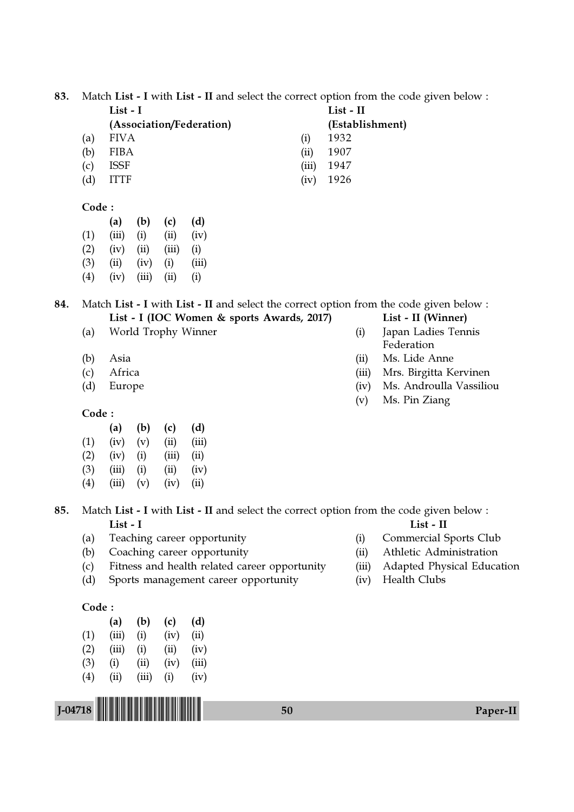83. Match List - I with List - II and select the correct option from the code given below :

|     | $List - I$               |       | List - II       |  |
|-----|--------------------------|-------|-----------------|--|
|     | (Association/Federation) |       | (Establishment) |  |
| (a) | <b>FIVA</b>              | (1)   | 1932            |  |
| (b) | FIBA                     | (ii)  | 1907            |  |
| (c) | <b>ISSF</b>              | (iii) | 1947            |  |
| (d) | ITTF                     | (iv)  | 1926            |  |

#### Code :

|                   | (a)   | (b)   | (c)   | (d)   |
|-------------------|-------|-------|-------|-------|
| (1)               | (iii) | (i)   | (ii)  | (iv)  |
| (2)               | (iv)  | (ii)  | (iii) | (i)   |
| (3)               | (ii)  | (iv)  | (i)   | (iii) |
| $\left( 4\right)$ | (iv)  | (iii) | (ii)  | (i)   |

84. Match List - I with List - II and select the correct option from the code given below : List - I (IOC Women & sports Awards, 2017) List - II (Winner)

- (a) World Trophy Winner (i) Japan Ladies Tennis
- 
- 
- 

# Code :

|     | (a)   | (b) | (c)   | (d)   |
|-----|-------|-----|-------|-------|
| (1) | (iv)  | (v) | (ii)  | (iii) |
| (2) | (iv)  | (i) | (iii) | (ii)  |
| (3) | (iii) | (i) | (ii)  | (iv)  |
| (4) | (iii) | (v) | (iv)  | (ii)  |

- 85. Match List I with List II and select the correct option from the code given below : List - I List - II
	- (a) Teaching career opportunity (i) Commercial Sports Club
	- (b) Coaching career opportunity (ii) Athletic Administration
	- (c) Fitness and health related career opportunity (iii) Adapted Physical Education
	- (d) Sports management career opportunity (iv) Health Clubs

#### Code :

|                   | (a)   | (b)   | (c)  | (d)   |
|-------------------|-------|-------|------|-------|
| (1)               | (iii) | (i)   | (iv) | (ii)  |
| (2)               | (iii) | (i)   | (ii) | (iv)  |
| (3)               | (i)   | (ii)  | (iv) | (iii) |
| $\left( 4\right)$ | (ii)  | (iii) | (i)  | (iv)  |

|            | (Establishment |
|------------|----------------|
| $\bf{(i)}$ | 1932           |
| $\rm (ii)$ | 1907           |
| (iii       | 1947           |

- Federation
- (b) Asia (ii) Ms. Lide Anne
- (c) Africa (iii) Mrs. Birgitta Kervinen
- (d) Europe (iv) Ms. Androulla Vassiliou
	- (v) Ms. Pin Ziang

- 
- 
- 
- 

J-04718 !J-04718-PAPER-II! <sup>50</sup> Paper-II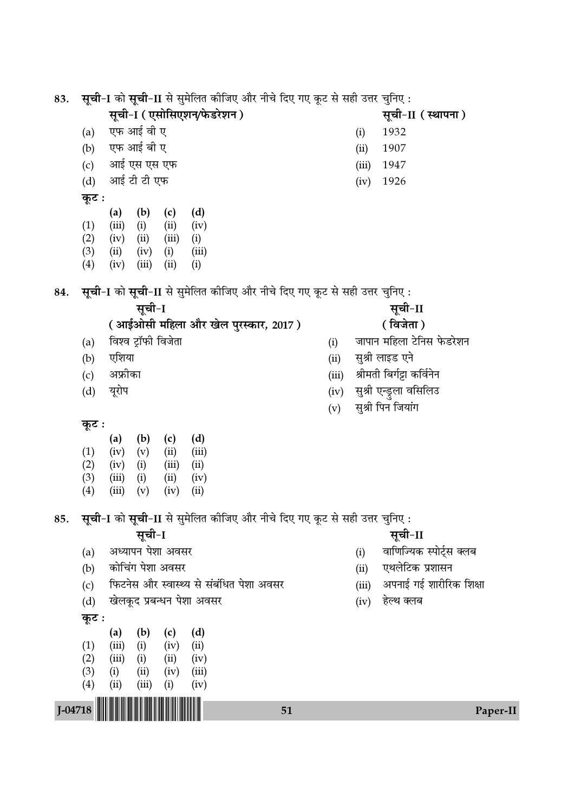सूची-I को सूची-II से सुमेलित कीजिए और नीचे दिए गए कूट से सही उत्तर चुनिए: 83.

सूची-I (एसोसिएशन/फेडरेशन)

सूची-II (स्थापना)

1932

1907

1947

1926

 $(i)$ 

 $(ii)$ 

 $(iii)$ 

 $(iv)$ 

- एफ आई वी ए
- एफ आई बी ए  $(b)$
- आई एस एस एफ  $(c)$
- आई टी टी एफ  $(d)$
- कूट :

 $(a)$ 

 $(b)$  $(c)$  $(d)$  $(a)$  $(1)$  $(iii)$   $(i)$  $(ii)$  $(iv)$  $(2)$  $(iv)$   $(ii)$  $(iii)$  $(i)$  $(3)$  $(ii)$  $(iv)$  (i)  $(iii)$  $(4)$  $(iv)$   $(iii)$  $(ii)$  $(i)$ 

सूची-I को सूची-II से सुमेलित कीजिए और नीचे दिए गए कूट से सही उत्तर चुनिए: 84.

- सूची-I
- (आईओसी महिला और खेल पुरस्कार, 2017)
- विश्व ट्रॉफी विजेता  $(a)$
- $(b)$ एशिया
- अफ्रीका  $(c)$
- $(d)$ यूरोप
- सूची-II
- (विजेता)
- जापान महिला टेनिस फेडरेशन  $(i)$
- सुश्री लाइड एने  $(ii)$
- श्रीमती बिर्गट्टा कर्विनेन  $(iii)$
- सुश्री एन्ड्रुला वसिलिउ  $(iv)$
- सुश्री पिन जियांग  $(v)$

# कूट :

|     | (a)   | (b) | (c)   | (d)   |
|-----|-------|-----|-------|-------|
| (1) | (iv)  | (v) | (ii)  | (iii) |
| (2) | (iv)  | (i) | (iii) | (ii)  |
| (3) | (iii) | (i) | (ii)  | (iv)  |
| (4) | (iii) | (v) | (iv)  | (ii)  |

सूची-I को सूची-II से सुमेलित कीजिए और नीचे दिए गए कूट से सही उत्तर चुनिए: 85.

सूची-I

- अध्यापन पेशा अवसर  $(a)$
- $(b)$ कोचिंग पेशा अवसर
- फिटनेस और स्वास्थ्य से संबंधित पेशा अवसर  $(c)$
- खेलकूद प्रबन्धन पेशा अवसर  $(d)$
- कूट :

J-04718

|                   | (a)   | (b)   | (c)  | (d)   |
|-------------------|-------|-------|------|-------|
| $\left(1\right)$  | (iii) | (i)   | (iv) | (ii)  |
| $\left( 2\right)$ | (iii) | (i)   | (ii) | (iv)  |
| (3)               | (i)   | (ii)  | (iv) | (iii) |
| $\left( 4\right)$ | (ii)  | (iii) | (i)  | (iv)  |

<u> Hill Hill Hill</u>

- सूची-II
- वाणिज्यिक स्पोर्ट्स क्लब  $(i)$
- $(ii)$ एथलेटिक प्रशासन
- अपनाई गई शारीरिक शिक्षा  $(iii)$
- $(iv)$ हेल्थ क्लब

51

Paper-II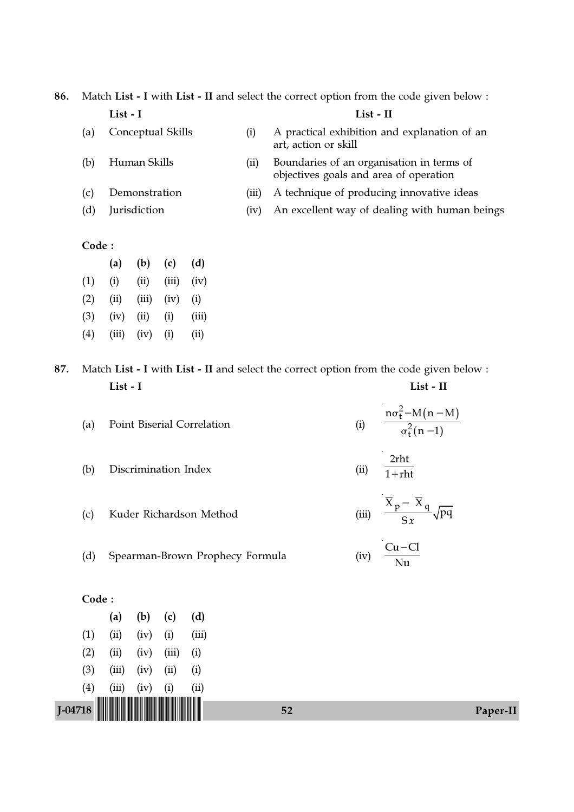86. Match List - I with List - II and select the correct option from the code given below : List - I List - II

- 
- (a) Conceptual Skills (i) A practical exhibition and explanation of an art, action or skill
- (b) Human Skills (ii) Boundaries of an organisation in terms of objectives goals and area of operation
- (c) Demonstration (iii) A technique of producing innovative ideas
- (d) Jurisdiction (iv) An excellent way of dealing with human beings

### Code :

|                   | (a)   | (b)   | (c)   | (d)   |
|-------------------|-------|-------|-------|-------|
| (1)               | (i)   | (ii)  | (iii) | (iv)  |
| (2)               | (ii)  | (iii) | (iv)  | (i)   |
| (3)               | (iv)  | (ii)  | (i)   | (iii) |
| $\left( 4\right)$ | (iii) | (iv)  | (i)   | (ii)  |

87. Match List - I with List - II and select the correct option from the code given below : List - I List - II

| (a) Point Biserial Correlation |  | $n\sigma_t^2 - M(n-M)$<br>$\sigma_{\rm t}^2(n-1)$ |
|--------------------------------|--|---------------------------------------------------|
|                                |  |                                                   |

- (b) Discrimination Index (ii) 2rht  $\frac{1}{1 + \text{rht}}$
- (c) Kuder Richardson Method  $\frac{X_p - X_q}{Sx} \sqrt{pq}$ −
- (d) Spearman-Brown Prophecy Formula (iv)  $Cu - Cl$ Nu −

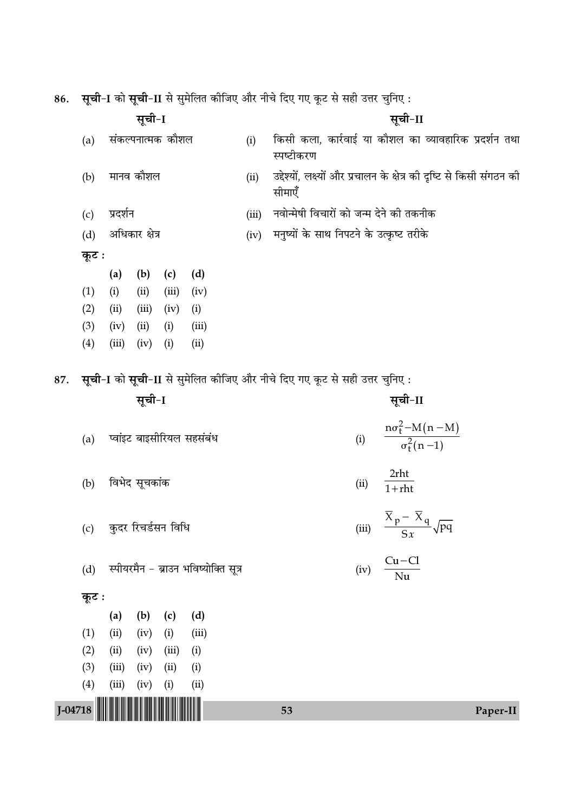| 86.     | सूची-I<br>संकल्पनात्मक कौशल<br>(a) |             |               |                    |                                      | सूची-I को सूची-II से सुमेलित कीजिए और नीचे दिए गए कूट से सही उत्तर चुनिए :     |                                                                                       |  |  |
|---------|------------------------------------|-------------|---------------|--------------------|--------------------------------------|--------------------------------------------------------------------------------|---------------------------------------------------------------------------------------|--|--|
|         |                                    |             |               |                    | (i)                                  | सूची-II<br>किसी कला, कार्रवाई या कौशल का व्यावहारिक प्रदर्शन तथा<br>स्पष्टीकरण |                                                                                       |  |  |
|         | मानव कौशल<br>(b)                   |             |               |                    |                                      | (ii)                                                                           | उद्देश्यों, लक्ष्यों और प्रचालन के क्षेत्र की दृष्टि से किसी संगठन की<br>सीमाएँ       |  |  |
|         | प्रदर्शन<br>(c)                    |             |               |                    |                                      | (iii)                                                                          | नवोन्मेषी विचारों को जन्म देने की तकनीक                                               |  |  |
|         | अधिकार क्षेत्र<br>(d)              |             |               |                    |                                      | (iv)                                                                           | मनुष्यों के साथ निपटने के उत्कृष्ट तरीके                                              |  |  |
|         | कूट :                              |             |               |                    |                                      |                                                                                |                                                                                       |  |  |
|         |                                    | (a)         | (b)           | (c)                | (d)                                  |                                                                                |                                                                                       |  |  |
|         | (1)                                | (i)         | (ii)          | (iii)              | (iv)                                 |                                                                                |                                                                                       |  |  |
|         | (2)                                | (ii)        | (iii)         | (iv)               | (i)                                  |                                                                                |                                                                                       |  |  |
|         | (3)                                | (iv)        | (ii)          | (i)                | (iii)                                |                                                                                |                                                                                       |  |  |
|         | (4)                                | (iii)       | (iv)          | (i)                | (ii)                                 |                                                                                |                                                                                       |  |  |
| 87.     |                                    |             | सूची-I        |                    |                                      |                                                                                | सूची-I को सूची-II से सुमेलित कीजिए और नीचे दिए गए कूट से सही उत्तर चुनिए :<br>सूची-II |  |  |
|         | (a)                                |             |               |                    | प्वांइट बाइसीरियल सहसंबंध            |                                                                                | $\frac{n\sigma_t^2 - M(n-M)}{\sigma_t^2(n-1)}$<br>(i)                                 |  |  |
|         | (b)                                |             | विभेद सूचकांक |                    |                                      |                                                                                | 2rht<br>(ii)<br>$1 + r$ ht                                                            |  |  |
|         | (c)                                |             |               | कुदर रिचर्डसन विधि |                                      |                                                                                | $\frac{\overline{X}_{p} - \overline{X}_{q}}{Sx}$<br>(iii)                             |  |  |
|         | (d)                                |             |               |                    | स्पीयरमैन - ब्राउन भविष्योक्ति सूत्र |                                                                                | $Cu - Cl$<br>(iv)<br>$\overline{\text{Nu}}$                                           |  |  |
|         | कूट :                              |             |               |                    |                                      |                                                                                |                                                                                       |  |  |
|         | (1)                                | (a)<br>(ii) | (b)<br>(iv)   | (c)                | (d)                                  |                                                                                |                                                                                       |  |  |
|         | (2)                                | (ii)        | (iv)          | (i)<br>(iii)       | (iii)<br>(i)                         |                                                                                |                                                                                       |  |  |
|         | (3)                                | (iii)       | (iv)          | (ii)               | (i)                                  |                                                                                |                                                                                       |  |  |
|         |                                    |             |               |                    |                                      |                                                                                |                                                                                       |  |  |
|         |                                    |             |               |                    |                                      |                                                                                |                                                                                       |  |  |
| J-04718 | (4)                                | (iii)       | (iv)          | (i)                | (ii)                                 |                                                                                | 53<br>Paper-II                                                                        |  |  |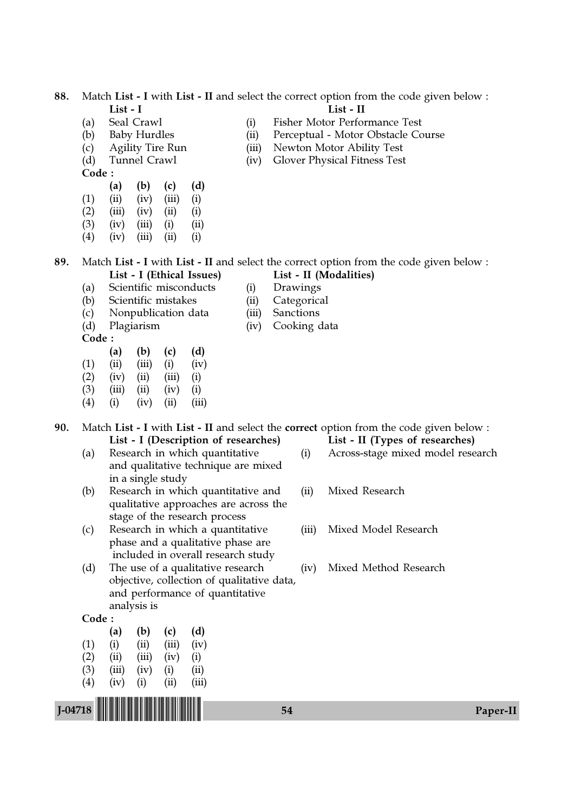88. Match List - I with List - II and select the correct option from the code given below : List - I List - II

- 
- 
- 
- 
- Code :
- (a) (b) (c) (d)  $(1)$   $(ii)$   $(iv)$   $(iii)$   $(i)$  $(2)$   $(iii)$   $(iv)$   $(ii)$   $(i)$
- $(3)$   $(iv)$   $(iii)$   $(i)$   $(ii)$
- $(4)$   $(iv)$   $(iii)$   $(ii)$   $(i)$

- (a) Seal Crawl (i) Fisher Motor Performance Test
- (b) Baby Hurdles (ii) Perceptual Motor Obstacle Course
- (c) Agility Tire Run (iii) Newton Motor Ability Test
- (d) Tunnel Crawl (iv) Glover Physical Fitness Test

89. Match List - I with List - II and select the correct option from the code given below : List - I (Ethical Issues) List - II (Modalities)

- 
- (a) Scientific misconducts (i) Drawings
- (b) Scientific mistakes (ii) Categorical<br>
(c) Nonpublication data (iii) Sanctions
- (c) Nonpublication data (iii) Sanctions
- 
- Code :
- (a) (b) (c) (d)  $(1)$   $(ii)$   $(iii)$   $(i)$   $(iv)$
- $(2)$   $(iv)$   $(ii)$   $(iii)$   $(i)$
- $(3)$   $(iii)$   $(ii)$   $(iv)$   $(i)$
- $(4)$  (i) (iv) (ii) (iii)

90. Match List - I with List - II and select the correct option from the code given below : List - I (Description of researches) List - II (Types of researches)

- and qualitative technique are mixed in a single study
- (b) Research in which quantitative and (ii) Mixed Research qualitative approaches are across the stage of the research process
- (c) Research in which a quantitative (iii) Mixed Model Research phase and a qualitative phase are included in overall research study
- (d) The use of a qualitative research (iv) Mixed Method Research objective, collection of qualitative data, and performance of quantitative analysis is

#### Code :

|                   | (a)   | (b)   | (c)       | (d)   |
|-------------------|-------|-------|-----------|-------|
| (1)               | (i)   | (ii)  | (iii)     | (iv)  |
| (2)               | (ii)  | (iii) | (iv)      | (i)   |
| (3)               | (iii) | (iv)  | (i)       | (ii)  |
| $\left( 4\right)$ | (iv)  | (i)   | $\rm(ii)$ | (iii) |

- 
- 
- (d) Plagiarism (iv) Cooking data

- (a) Research in which quantitative (i) Across-stage mixed model research
	-
	-
	-

J-04718 !J-04718-PAPER-II! <sup>54</sup> Paper-II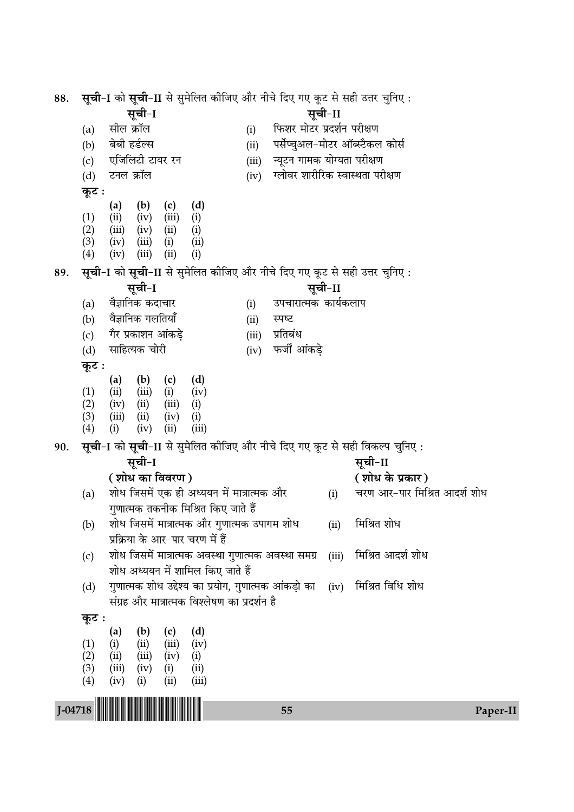| 88.     | <b>सूची-I</b> को <b>सूची-II</b> से सुमेलित कीजिए और नीचे दिए गए कूट से सही उत्तर चुनिए : |                                 |                                                                            |       |                                  |       |                                                                                        |
|---------|------------------------------------------------------------------------------------------|---------------------------------|----------------------------------------------------------------------------|-------|----------------------------------|-------|----------------------------------------------------------------------------------------|
|         |                                                                                          | सूची-I                          |                                                                            |       | सूची-II                          |       |                                                                                        |
|         | सील क्रॉल<br>(a)                                                                         |                                 | (i)                                                                        |       | फिशर मोटर प्रदर्शन परीक्षण       |       |                                                                                        |
|         | बेबी हर्डल्स<br>(b)                                                                      |                                 |                                                                            | (ii)  |                                  |       | पर्सेप्चुअल-मोटर ऑब्स्टैकल कोर्स                                                       |
|         | (c)                                                                                      | एजिलिटी टायर रन                 |                                                                            | (iii) | न्यूटन गामक योग्यता परीक्षण      |       |                                                                                        |
|         | टनल क्रॉल<br>(d)                                                                         |                                 |                                                                            | (iv)  | ग्लोवर शारीरिक स्वास्थता परीक्षण |       |                                                                                        |
|         | कूट :                                                                                    |                                 |                                                                            |       |                                  |       |                                                                                        |
|         | (a)                                                                                      | (b)<br>(c)                      | (d)                                                                        |       |                                  |       |                                                                                        |
|         | (ii)<br>(1)                                                                              | (iii)<br>(iv)                   | (i)                                                                        |       |                                  |       |                                                                                        |
|         | (2)<br>(iii)<br>(3)<br>(iv)                                                              | (ii)<br>(iv)<br>(i)<br>(iii)    | (i)<br>(ii)                                                                |       |                                  |       |                                                                                        |
|         | $\left( 4\right)$<br>(iv)                                                                | (ii)<br>(iii)                   | (i)                                                                        |       |                                  |       |                                                                                        |
| 89.     |                                                                                          |                                 | सूची-I को सूची-II से सुमेलित कीजिए और नीचे दिए गए कूट से सही उत्तर चुनिए : |       |                                  |       |                                                                                        |
|         |                                                                                          | सूची-I                          |                                                                            |       | सूची-II                          |       |                                                                                        |
|         | (a)                                                                                      | वैज्ञानिक कदाचार                | (i)                                                                        |       | उपचारात्मक कार्यकलाप             |       |                                                                                        |
|         | वैज्ञानिक गलतियाँ<br>(b)                                                                 |                                 | (ii)                                                                       |       | स्पष्ट                           |       |                                                                                        |
|         | (c)                                                                                      | गैर प्रकाशन आंकडे               |                                                                            | (iii) | प्रतिबंध                         |       |                                                                                        |
|         | साहित्यक चोरी<br>(d)                                                                     |                                 |                                                                            | (iv)  | फर्जी आंकड़े                     |       |                                                                                        |
|         | कूट :                                                                                    |                                 |                                                                            |       |                                  |       |                                                                                        |
|         | (a)                                                                                      | (b)<br>(c)                      | (d)                                                                        |       |                                  |       |                                                                                        |
|         | (1)<br>(ii)                                                                              | (iii)<br>(i)                    | (iv)                                                                       |       |                                  |       |                                                                                        |
|         | (2)<br>(iv)                                                                              | (iii)<br>(ii)                   | (i)                                                                        |       |                                  |       |                                                                                        |
|         | (3)<br>(iii)<br>(4)<br>(i)                                                               | (iv)<br>(ii)<br>(ii)<br>(iv)    | (i)<br>(iii)                                                               |       |                                  |       |                                                                                        |
|         |                                                                                          |                                 |                                                                            |       |                                  |       |                                                                                        |
| 90.     |                                                                                          | सूची-I                          |                                                                            |       |                                  |       | सूची-I को सूची-II से सुमेलित कीजिए और नीचे दिए गए कूट से सही विकल्प चुनिए :<br>सूची-II |
|         |                                                                                          | ( शोध का विवरण )                |                                                                            |       |                                  |       | ( शोध के प्रकार )                                                                      |
|         |                                                                                          |                                 | शोध जिसमें एक ही अध्ययन में मात्रात्मक और                                  |       |                                  |       | चरण आर-पार मिश्रित आदर्श शोध                                                           |
|         | (a)                                                                                      |                                 | गुणात्मक तकनीक मिश्रित किए जाते हैं                                        |       |                                  | (i)   |                                                                                        |
|         |                                                                                          |                                 | शोध जिसमें मात्रात्मक और गुणात्मक उपागम शोध                                |       |                                  | (ii)  | मिश्रित शोध                                                                            |
|         | (b)                                                                                      | प्रक्रिया के आर-पार चरण में हैं |                                                                            |       |                                  |       |                                                                                        |
|         |                                                                                          |                                 | शोध जिसमें मात्रात्मक अवस्था गुणात्मक अवस्था समग्र                         |       |                                  | (iii) | मिश्रित आदर्श शोध                                                                      |
|         | (c)                                                                                      |                                 | शोध अध्ययन में शामिल किए जाते हैं                                          |       |                                  |       |                                                                                        |
|         | (d)                                                                                      |                                 | गुणात्मक शोध उद्देश्य का प्रयोग, गुणात्मक आंकड़ो का                        |       |                                  | (iv)  | मिश्रित विधि शोध                                                                       |
|         |                                                                                          |                                 | संग्रह और मात्रात्मक विश्लेषण का प्रदर्शन है                               |       |                                  |       |                                                                                        |
|         | कूट :                                                                                    |                                 |                                                                            |       |                                  |       |                                                                                        |
|         | (a)                                                                                      | (b)<br>(c)                      | (d)                                                                        |       |                                  |       |                                                                                        |
|         | (1)<br>(i)                                                                               | (iii)<br>(ii)                   | (iv)                                                                       |       |                                  |       |                                                                                        |
|         | (2)<br>(ii)                                                                              | (iv)<br>(iii)                   | (i)                                                                        |       |                                  |       |                                                                                        |
|         | (3)<br>(iii)                                                                             | (iv)<br>(i)                     | (ii)                                                                       |       |                                  |       |                                                                                        |
|         | (4)<br>(iv)                                                                              | (ii)<br>(i)                     | (iii)                                                                      |       |                                  |       |                                                                                        |
| J-04718 |                                                                                          |                                 |                                                                            |       | 55                               |       | Paper-II                                                                               |
|         |                                                                                          |                                 |                                                                            |       |                                  |       |                                                                                        |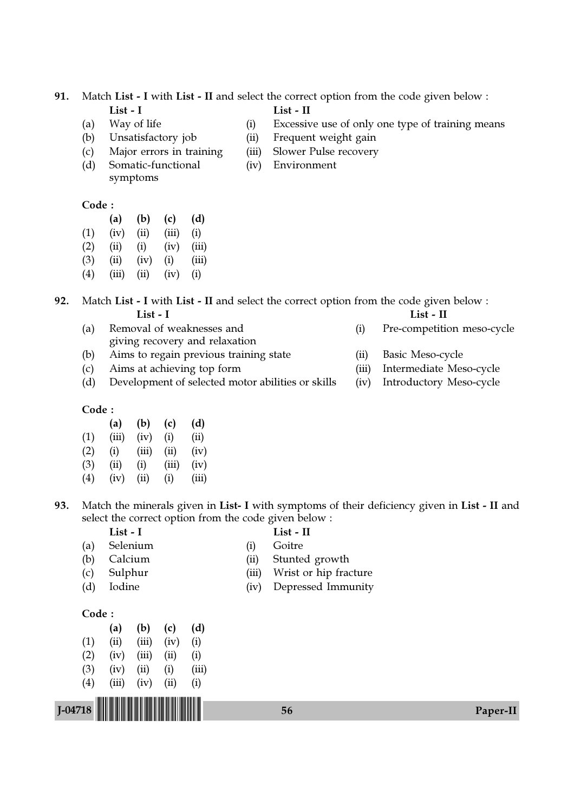91. Match List - I with List - II and select the correct option from the code given below :

- 
- 
- 
- 
- (d) Somatic-functional (iv) Environment symptoms

## Code :

|     | (a)  | (b)  | (c)   | (d) |
|-----|------|------|-------|-----|
| (1) | (iv) | (ii) | (iii) | (i) |
|     |      |      |       |     |

- $(2)$   $(ii)$   $(i)$   $(iv)$   $(iii)$
- (3) (ii) (iv) (i) (iii)
- $(4)$   $(iii)$   $(ii)$   $(iv)$   $(i)$

# 92. Match List - I with List - II and select the correct option from the code given below : List - I List - II

- (a) Removal of weaknesses and (i) Pre-competition meso-cycle giving recovery and relaxation
- (b) Aims to regain previous training state (ii) Basic Meso-cycle
- (c) Aims at achieving top form (iii) Intermediate Meso-cycle
- (d) Development of selected motor abilities or skills (iv) Introductory Meso-cycle

#### Code :

|                   | (a)   | (b)   | (c)   | (d)   |
|-------------------|-------|-------|-------|-------|
| (1)               | (iii) | (iv)  | (i)   | (ii)  |
| (2)               | (i)   | (iii) | (ii)  | (iv)  |
| (3)               | (ii)  | (i)   | (iii) | (iv)  |
| $\left( 4\right)$ | (iv)  | (ii)  | (i)   | (iii) |

93. Match the minerals given in List- I with symptoms of their deficiency given in List - II and select the correct option from the code given below :

- List I list II
- (a) Selenium (i) Goitre
- 
- (b) Calcium (ii) Stunted growth
- (c) Sulphur (iii) Wrist or hip fracture
- (d) Iodine (iv) Depressed Immunity

#### Code :

|                               | (a)   | (b)   | (c)  | (d)   |  |  |
|-------------------------------|-------|-------|------|-------|--|--|
| (1)                           | (ii)  | (iii) | (iv) | (i)   |  |  |
| (2)                           | (iv)  | (iii) | (ii) | (i)   |  |  |
| (3)                           | (iv)  | (ii)  | (i)  | (iii) |  |  |
| (4)                           | (iii) | (iv)  | (ii) | (i)   |  |  |
| <u> HENRI HAN HAN HAN HAN</u> |       |       |      |       |  |  |

# J-04718 !J-04718-PAPER-II! <sup>56</sup> Paper-II

- 
- 
- 
- 
- (a) Way of life (i) Excessive use of only one type of training means
- (b) Unsatisfactory job (ii) Frequent weight gain
- (c) Major errors in training (iii) Slower Pulse recovery
	-

List - I List - II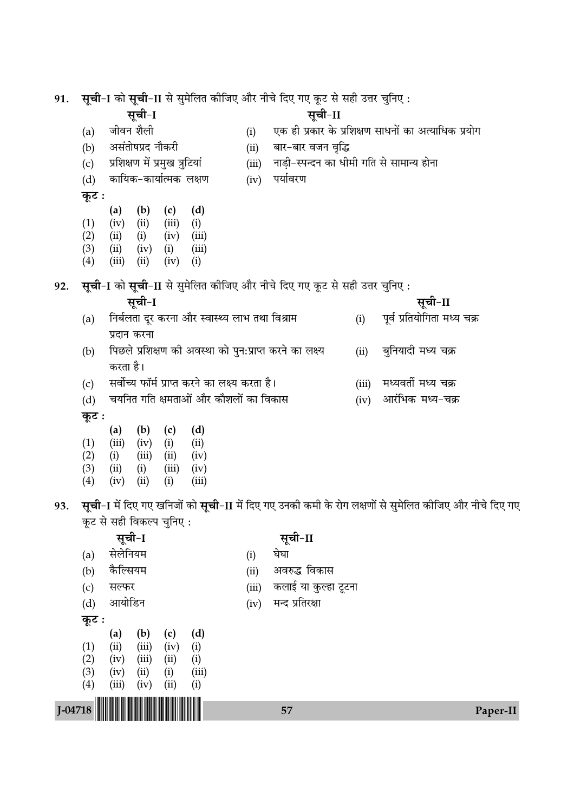| 91.       |            |                          |                  |                                |              |                                                |       | <b>सूची-I</b> को <b>सूची-II</b> से सुमेलित कीजिए और नीचे दिए गए कूट से सही उत्तर चुनिए : |       |                                                                                                        |
|-----------|------------|--------------------------|------------------|--------------------------------|--------------|------------------------------------------------|-------|------------------------------------------------------------------------------------------|-------|--------------------------------------------------------------------------------------------------------|
|           |            |                          | सूची-I           |                                |              |                                                |       | सूची-II                                                                                  |       |                                                                                                        |
|           | (a)        | जीवन शैली                |                  |                                |              |                                                | (i)   |                                                                                          |       | एक ही प्रकार के प्रशिक्षण साधनों का अत्याधिक प्रयोग                                                    |
|           | (b)        |                          | असंतोषप्रद नौकरी |                                |              |                                                | (ii)  | बार-बार वजन वृद्धि                                                                       |       |                                                                                                        |
|           | (c)        |                          |                  | प्रशिक्षण में प्रमुख त्रुटियां |              |                                                | (iii) |                                                                                          |       | नाड़ी-स्पन्दन का धीमी गति से सामान्य होना                                                              |
|           | (d)        |                          |                  | कायिक-कार्यात्मक लक्षण         |              |                                                | (iv)  | पर्यावरण                                                                                 |       |                                                                                                        |
|           | कूट :      |                          |                  |                                |              |                                                |       |                                                                                          |       |                                                                                                        |
|           |            | (a)                      | (b)              | (c)                            | (d)          |                                                |       |                                                                                          |       |                                                                                                        |
|           | (1)<br>(2) | (iv)<br>(ii)             | (ii)<br>(i)      | (iii)<br>(iv)                  | (i)<br>(iii) |                                                |       |                                                                                          |       |                                                                                                        |
|           | (3)        | (ii)                     | (iv)             | (i)                            | (iii)        |                                                |       |                                                                                          |       |                                                                                                        |
|           | (4)        | (iii)                    | (ii)             | (iv)                           | (i)          |                                                |       |                                                                                          |       |                                                                                                        |
| 92.       |            |                          |                  |                                |              |                                                |       | सूची-I को सूची-II से सुमेलित कीजिए और नीचे दिए गए कूट से सही उत्तर चुनिए :               |       |                                                                                                        |
|           |            |                          | सूची-I           |                                |              |                                                |       |                                                                                          |       | सूची-II                                                                                                |
|           | (a)        |                          |                  |                                |              | निर्बलता दूर करना और स्वास्थ्य लाभ तथा विश्राम |       |                                                                                          | (i)   | पूर्व प्रतियोगिता मध्य चक्र                                                                            |
|           |            | प्रदान करना              |                  |                                |              |                                                |       |                                                                                          |       |                                                                                                        |
|           | (b)        |                          |                  |                                |              |                                                |       | पिछले प्रशिक्षण की अवस्था को पुन:प्राप्त करने का लक्ष्य                                  | (ii)  | बुनियादी मध्य चक्र                                                                                     |
|           |            | करता है।                 |                  |                                |              |                                                |       |                                                                                          |       |                                                                                                        |
|           | (c)        |                          |                  |                                |              | सर्वोच्य फॉर्म प्राप्त करने का लक्ष्य करता है। |       |                                                                                          | (iii) | मध्यवर्ती मध्य चक्र                                                                                    |
|           | (d)        |                          |                  |                                |              | चयनित गति क्षमताओं और कौशलों का विकास          |       |                                                                                          | (iv)  | आरंभिक मध्य-चक्र                                                                                       |
|           | कूट :      |                          |                  |                                |              |                                                |       |                                                                                          |       |                                                                                                        |
|           | (1)        | (a)<br>(iii)             | (b)<br>(iv)      | (c)<br>(i)                     | (d)<br>(ii)  |                                                |       |                                                                                          |       |                                                                                                        |
|           | (2)        | (i)                      | (iii)            | (ii)                           | (iv)         |                                                |       |                                                                                          |       |                                                                                                        |
|           | (3)        | (ii)                     | (i)              | (iii)                          | (iv)         |                                                |       |                                                                                          |       |                                                                                                        |
|           | (4)        | (iv)                     | (ii)             | (i)                            | (iii)        |                                                |       |                                                                                          |       |                                                                                                        |
| 93.       |            |                          |                  |                                |              |                                                |       |                                                                                          |       | सूची-I में दिए गए खनिजों को सूची-II में दिए गए उनकी कमी के रोग लक्षणों से सुमेलित कीजिए और नीचे दिए गए |
|           |            | कूट से सही विकल्प चुनिए: |                  |                                |              |                                                |       |                                                                                          |       |                                                                                                        |
|           |            | सूची-I                   |                  |                                |              |                                                |       | सूची-II                                                                                  |       |                                                                                                        |
|           | (a)        | सेलेनियम                 |                  |                                |              |                                                | (i)   | घेघा                                                                                     |       |                                                                                                        |
|           | (b)        | कैल्सियम                 |                  |                                |              |                                                | (ii)  | अवरुद्ध विकास                                                                            |       |                                                                                                        |
|           | (c)        | सल्फर                    |                  |                                |              |                                                | (iii) | कलाई या कुल्हा टूटना                                                                     |       |                                                                                                        |
|           | (d)        | आयोडिन                   |                  |                                |              |                                                | (iv)  | मन्द प्रतिरक्षा                                                                          |       |                                                                                                        |
|           | कूट :      |                          |                  |                                |              |                                                |       |                                                                                          |       |                                                                                                        |
|           |            | (a)                      | (b)              | (c)                            | (d)          |                                                |       |                                                                                          |       |                                                                                                        |
|           | (1)<br>(2) | (ii)<br>(iv)             | (iii)<br>(iii)   | (iv)<br>(ii)                   | (i)<br>(i)   |                                                |       |                                                                                          |       |                                                                                                        |
|           | (3)        | (iv)                     | (ii)             | (i)                            | (iii)        |                                                |       |                                                                                          |       |                                                                                                        |
|           | (4)        | (iii)                    | (iv)             | (ii)                           | (i)          |                                                |       |                                                                                          |       |                                                                                                        |
| $J-04718$ |            |                          |                  |                                |              |                                                |       | 57                                                                                       |       | Paper-II                                                                                               |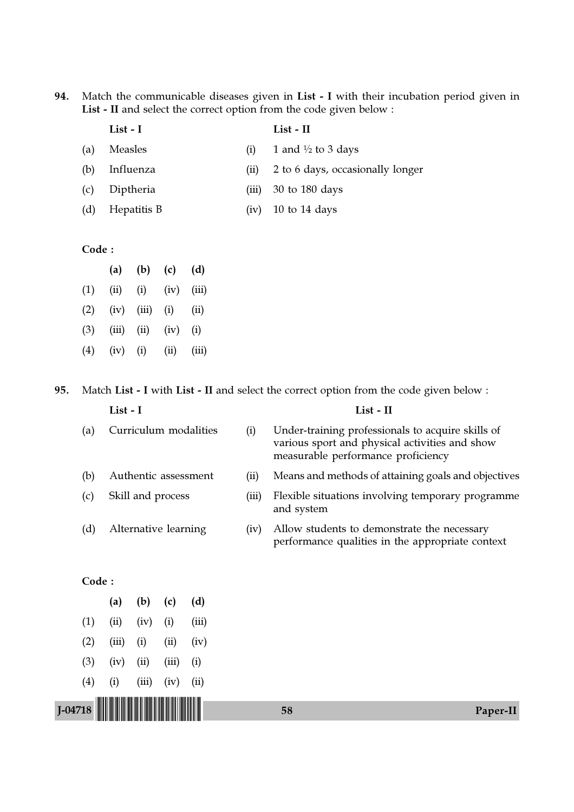94. Match the communicable diseases given in List - I with their incubation period given in List - II and select the correct option from the code given below :

|     | List - I    |      | List - II                        |
|-----|-------------|------|----------------------------------|
| (a) | Measles     | (1)  | 1 and $\frac{1}{2}$ to 3 days    |
| (b) | Influenza   | (11) | 2 to 6 days, occasionally longer |
| (c) | Diptheria   |      | $(iii)$ 30 to 180 days           |
| (d) | Hepatitis B |      | $(iv)$ 10 to 14 days             |

# Code :

|     | (a)   | (b)      | (c)  | (d)   |
|-----|-------|----------|------|-------|
| (1) | (ii)  | (i)      | (iv) | (iii) |
| (2) | (iv)  | (iii)    | (i)  | (ii)  |
| (3) | (iii) | (ii)     | (iv) | (i)   |
| (4) | (iv)  | $\rm(i)$ | (ii) | (iii) |

95. Match List - I with List - II and select the correct option from the code given below :

|           |       | List - I              |       |       |                                                                                                 |       | List - II                                                                                                                                 |
|-----------|-------|-----------------------|-------|-------|-------------------------------------------------------------------------------------------------|-------|-------------------------------------------------------------------------------------------------------------------------------------------|
|           | (a)   | Curriculum modalities |       |       |                                                                                                 | (i)   | Under-training professionals to acquire skills of<br>various sport and physical activities and show<br>measurable performance proficiency |
|           | (b)   |                       |       |       | Authentic assessment                                                                            | (ii)  | Means and methods of attaining goals and objectives                                                                                       |
|           | (c)   | Skill and process     |       |       |                                                                                                 | (iii) | Flexible situations involving temporary programme<br>and system                                                                           |
|           | (d)   | Alternative learning  |       | (iv)  | Allow students to demonstrate the necessary<br>performance qualities in the appropriate context |       |                                                                                                                                           |
|           | Code: |                       |       |       |                                                                                                 |       |                                                                                                                                           |
|           |       | (a)                   | (b)   | (c)   | (d)                                                                                             |       |                                                                                                                                           |
|           | (1)   | (ii)                  | (iv)  | (i)   | (iii)                                                                                           |       |                                                                                                                                           |
|           | (2)   | (iii)                 | (i)   | (ii)  | (iv)                                                                                            |       |                                                                                                                                           |
|           | (3)   | (iv)                  | (ii)  | (iii) | (i)                                                                                             |       |                                                                                                                                           |
|           | (4)   | (i)                   | (iii) | (iv)  | (ii)                                                                                            |       |                                                                                                                                           |
| $I-04718$ |       |                       |       |       |                                                                                                 |       | 58<br>Paper-II                                                                                                                            |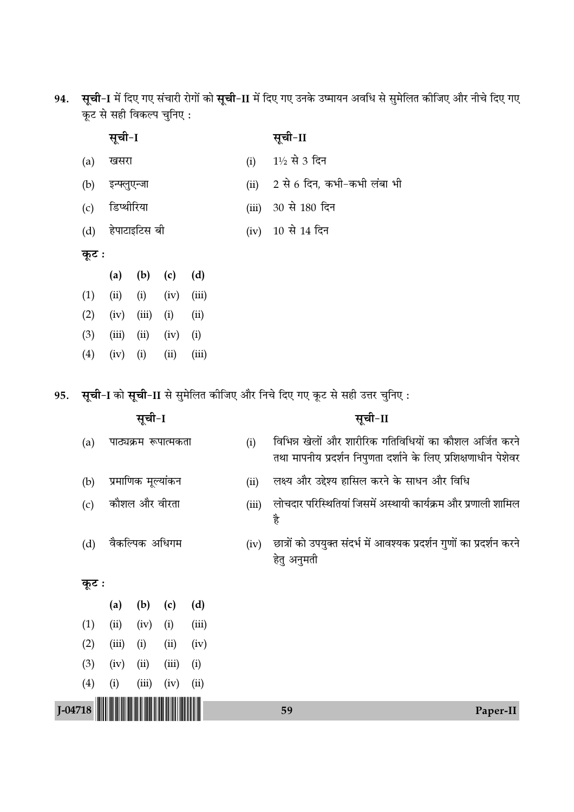94. **सूची-I** में दिए गए संचारी रोगों को **सूची-II** में दिए गए उनके उष्मायन अवधि से सुमेलित कीजिए और नीचे दिए गए ∑ͧ≈U ' '"Ë Áfl∑§À¬ øÈÁŸ∞ —

| सूची-I | सूची-II |
|--------|---------|
|--------|---------|

| (a) खसरा         | (i) $1\frac{1}{2}$ से 3 दिन      |
|------------------|----------------------------------|
| (b) इन्फ्लुएन्जा | (ii) 2 से 6 दिन, कभी-कभी लंबा भी |

- (c) डिप्थीरिया (iii) 30 से 180 दिन
- (d) हेपाटाइटिस बी (iv) 10 से 14 दिन

# **कूट**ः

|                   | (a)   | (b)      | (c)  | (d)   |
|-------------------|-------|----------|------|-------|
| (1)               | (ii)  | (i)      | (iv) | (iii) |
| (2)               | (iv)  | (iii)    | (i)  | (ii)  |
| (3)               | (iii) | (ii)     | (iv) | (i)   |
| $\left( 4\right)$ | (iv)  | $\rm(i)$ | (ii) | (iii) |

95. **सूची-I** को सूची-II से सुमेलित कीजिए और निचे दिए गए कूट से सही उत्तर चुनिए:

| सूची-I    |       |                      |                    |       |                                                                                     |       | सूची-II                                                                                                                    |
|-----------|-------|----------------------|--------------------|-------|-------------------------------------------------------------------------------------|-------|----------------------------------------------------------------------------------------------------------------------------|
|           | (a)   | पाठ्यक्रम रूपात्मकता |                    |       |                                                                                     | (i)   | विभिन्न खेलों और शारीरिक गतिविधियों का कौशल अर्जित करने<br>तथा मापनीय प्रदर्शन निपुणता दर्शाने के लिए प्रशिक्षणाधीन पेशेवर |
|           | (b)   |                      | प्रमाणिक मूल्यांकन |       |                                                                                     | (ii)  | लक्ष्य और उद्देश्य हासिल करने के साधन और विधि                                                                              |
|           | (c)   | कौशल और वीरता        |                    |       |                                                                                     | (iii) | लोचदार परिस्थितियां जिसमें अस्थायी कार्यक्रम और प्रणाली शामिल<br>है                                                        |
|           | (d)   | वैकल्पिक अधिगम       |                    | (iv)  | छात्रों को उपयुक्त संदर्भ में आवश्यक प्रदर्शन गुणों का प्रदर्शन करने<br>हेतु अनुमती |       |                                                                                                                            |
|           | कूट : |                      |                    |       |                                                                                     |       |                                                                                                                            |
|           |       | (a)                  | (b)                | (c)   | (d)                                                                                 |       |                                                                                                                            |
|           | (1)   | (ii)                 | (iv)               | (i)   | (iii)                                                                               |       |                                                                                                                            |
|           | (2)   | (iii)                | (i)                | (ii)  | (iv)                                                                                |       |                                                                                                                            |
|           | (3)   | (iv)                 | (ii)               | (iii) | (i)                                                                                 |       |                                                                                                                            |
|           | (4)   | (i)                  | (iii)              | (iv)  | (ii)                                                                                |       |                                                                                                                            |
| $I-04718$ |       |                      |                    |       |                                                                                     |       | 59<br>Paper-II                                                                                                             |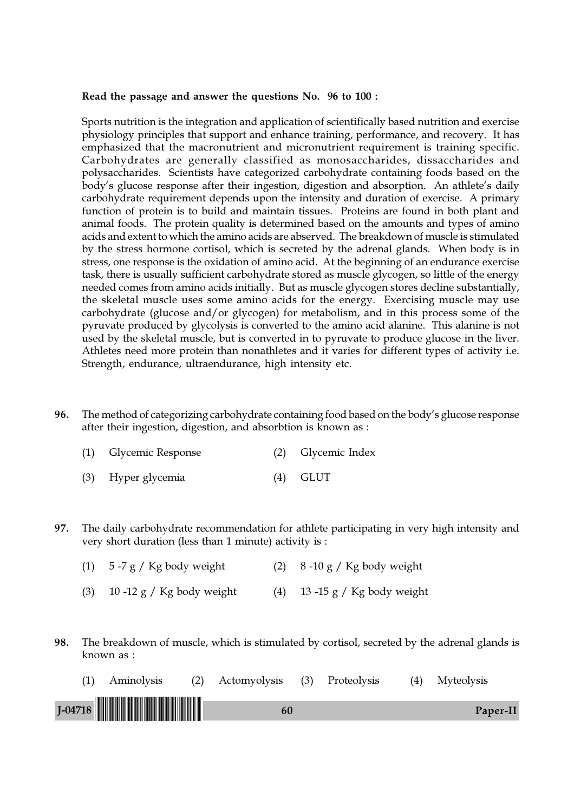#### Read the passage and answer the questions No. 96 to 100 :

Sports nutrition is the integration and application of scientifically based nutrition and exercise physiology principles that support and enhance training, performance, and recovery. It has emphasized that the macronutrient and micronutrient requirement is training specific. Carbohydrates are generally classified as monosaccharides, dissaccharides and polysaccharides. Scientists have categorized carbohydrate containing foods based on the body's glucose response after their ingestion, digestion and absorption. An athlete's daily carbohydrate requirement depends upon the intensity and duration of exercise. A primary function of protein is to build and maintain tissues. Proteins are found in both plant and animal foods. The protein quality is determined based on the amounts and types of amino acids and extent to which the amino acids are abserved. The breakdown of muscle is stimulated by the stress hormone cortisol, which is secreted by the adrenal glands. When body is in stress, one response is the oxidation of amino acid. At the beginning of an endurance exercise task, there is usually sufficient carbohydrate stored as muscle glycogen, so little of the energy needed comes from amino acids initially. But as muscle glycogen stores decline substantially, the skeletal muscle uses some amino acids for the energy. Exercising muscle may use carbohydrate (glucose and/or glycogen) for metabolism, and in this process some of the pyruvate produced by glycolysis is converted to the amino acid alanine. This alanine is not used by the skeletal muscle, but is converted in to pyruvate to produce glucose in the liver. Athletes need more protein than nonathletes and it varies for different types of activity i.e. Strength, endurance, ultraendurance, high intensity etc.

96. The method of categorizing carbohydrate containing food based on the body's glucose response after their ingestion, digestion, and absorbtion is known as :

| (1) Glycemic Response | (2) Glycemic Index |
|-----------------------|--------------------|
|                       |                    |

- (3) Hyper glycemia (4) GLUT
- 97. The daily carbohydrate recommendation for athlete participating in very high intensity and very short duration (less than 1 minute) activity is :
	- (1)  $5-7 g / Kg$  body weight (2)  $8-10 g / Kg$  body weight
	- (3) 10 -12 g / Kg body weight (4) 13 -15 g / Kg body weight
- 98. The breakdown of muscle, which is stimulated by cortisol, secreted by the adrenal glands is known as :

| Aminolysis | (2) Actomyolysis (3) Proteolysis |  | (4) Myteolysis |
|------------|----------------------------------|--|----------------|
| $J$ -04718 | 60                               |  | Paper-II       |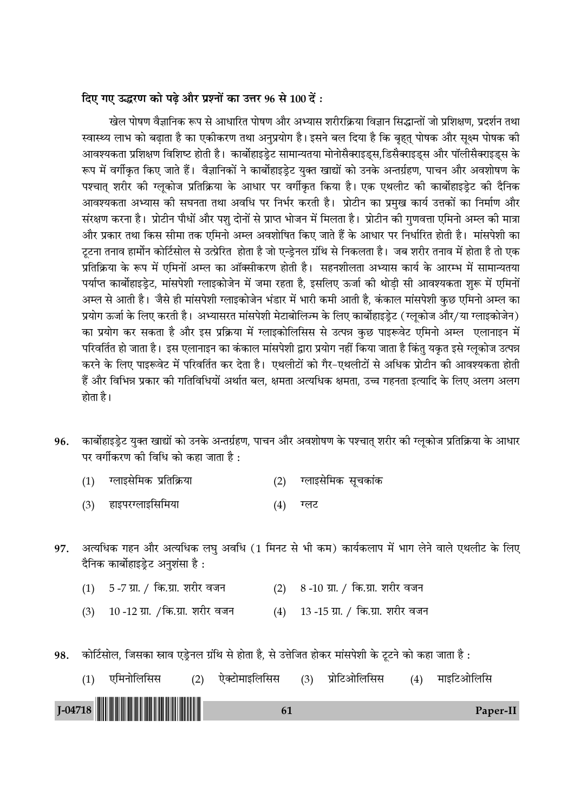# दिए गए उद्धरण को पढ़े और प्रश्नों का उत्तर 96 से 100 दें:

खेल पोषण वैज्ञानिक रूप से आधारित पोषण और अभ्यास शरीरक्रिया विज्ञान सिद्धान्तों जो प्रशिक्षण, प्रदर्शन तथा स्वास्थ्य लाभ को बढ़ाता है का एकीकरण तथा अनुप्रयोग है। इसने बल दिया है कि बृहत् पोषक और सूक्ष्म पोषक की आवश्यकता प्रशिक्षण विशिष्ट होती है। कार्बोहाइडेट सामान्यतया मोनोसैक्साइड्स,डिसैक्साइड्स और पॉलीसैक्साइड्स के रूप में वर्गीकृत किए जाते हैं। वैज्ञानिकों ने कार्बोहाइड्रेट युक्त खाद्यों को उनके अन्तर्ग्रहण, पाचन और अवशोषण के पश्चात् शरीर की ग्लूकोज प्रतिक्रिया के आधार पर वर्गीकृत किया है। एक एथलीट की कार्बोहाइड़ेट की दैनिक आवश्यकता अभ्यास की सघनता तथा अवधि पर निर्भर करती है। प्रोटीन का प्रमुख कार्य उत्तकों का निर्माण और संरक्षण करना है। प्रोटीन पौधों और पशु दोनों से प्राप्त भोजन में मिलता है। प्रोटीन की गुणवत्ता एमिनो अम्ल की मात्रा और प्रकार तथा किस सीमा तक एमिनो अम्ल अवशोषित किए जाते हैं के आधार पर निर्धारित होती है। मांसपेशी का टटना तनाव हार्मोन कोर्टिसोल से उत्प्रेरित होता है जो एन्डेनल ग्रंथि से निकलता है। जब शरीर तनाव में होता है तो एक प्रतिक्रिया के रूप में एमिनों अम्ल का ऑक्सीकरण होती है। सहनशीलता अभ्यास कार्य के आरम्भ में सामान्यतया पर्याप्त कार्बोहाइडेट, मांसपेशी ग्लाइकोजेन में जमा रहता है. इसलिए ऊर्जा की थोडी सी आवश्यकता शरू में एमिनों अम्ल से आती है। जैसे ही मांसपेशी ग्लाइकोजेन भंडार में भारी कमी आती है, कंकाल मांसपेशी कुछ एमिनो अम्ल का प्रयोग ऊर्जा के लिए करती है। अभ्यासरत मांसपेशी मेटाबोलिज्म के लिए कार्बोहाइड़ेट (ग्लुकोज और/या ग्लाइकोजेन) का प्रयोग कर सकता है और इस प्रक्रिया में ग्लाइकोलिसिस से उत्पन्न कछ पाइरूवेट एमिनो अम्ल एलानाइन में परिवर्तित हो जाता है। इस एलानाइन का कंकाल मांसपेशी द्वारा प्रयोग नहीं किया जाता है किंतु यकृत इसे ग्लुकोज उत्पन्न करने के लिए पाइरूवेट में परिवर्तित कर देता है। एथलीटों को गैर-एथलीटों से अधिक प्रोटीन की आवश्यकता होती हैं और विभिन्न प्रकार की गतिविधियों अर्थात बल. क्षमता अत्यधिक क्षमता. उच्च गहनता इत्यादि के लिए अलग अलग होता है।

- कार्बोहाइड्रेट युक्त खाद्यों को उनके अन्तर्ग्रहण, पाचन और अवशोषण के पश्चात् शरीर की ग्लूकोज प्रतिक्रिया के आधार 96. पर वर्गीकरण की विधि को कहा जाता है :
	- ग्लाइसेमिक प्रतिक्रिया ग्लाइसेमिक सूचकांक  $(1)$  $(2)$
	- हाइपरग्लाइसिमिया  $(3)$  $(4)$ ग्लट
- अत्यधिक गहन और अत्यधिक लघु अवधि (1 मिनट से भी कम) कार्यकलाप में भाग लेने वाले एथलीट के लिए 97. दैनिक कार्बोहाइडेट अनुशंसा है:
	- 5 -7 ग्रा. / कि.ग्रा. शरीर वजन (2) 8-10 ग्रा. / कि.ग्रा. शरीर वजन  $(1)$
	- 10 -12 ग्रा. /कि.ग्रा. शरीर वजन (4) 13-15 ग्रा. / कि.ग्रा. शरीर वजन  $(3)$
- कोर्टिसोल, जिसका स्राव एड्रेनल ग्रंथि से होता है, से उत्तेजित होकर मांसपेशी के टूटने को कहा जाता है : 98.

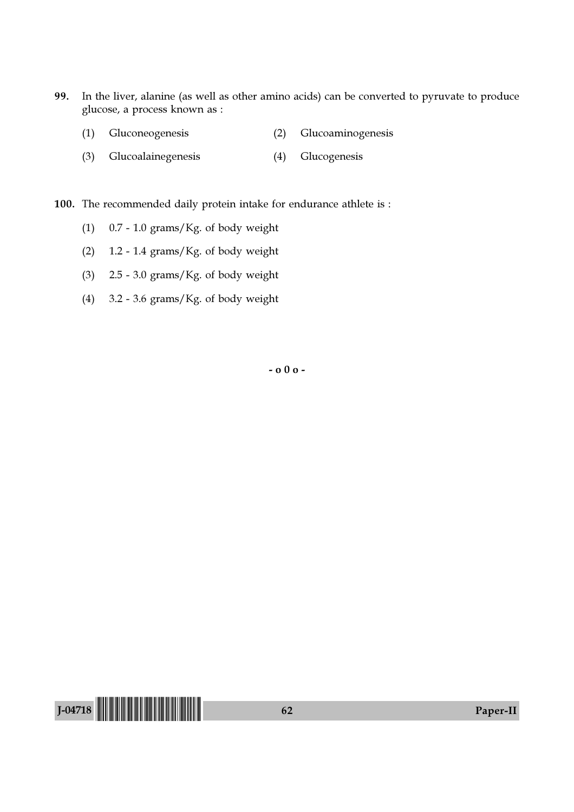- 99. In the liver, alanine (as well as other amino acids) can be converted to pyruvate to produce glucose, a process known as :
	- (1) Gluconeogenesis (2) Glucoaminogenesis
	- (3) Glucoalainegenesis (4) Glucogenesis
- 100. The recommended daily protein intake for endurance athlete is :
	- (1)  $0.7 1.0$  grams/Kg. of body weight
	- (2)  $1.2 1.4$  grams/Kg. of body weight
	- (3)  $2.5 3.0$  grams/Kg. of body weight
	- (4) 3.2 3.6 grams/Kg. of body weight

- o 0 o -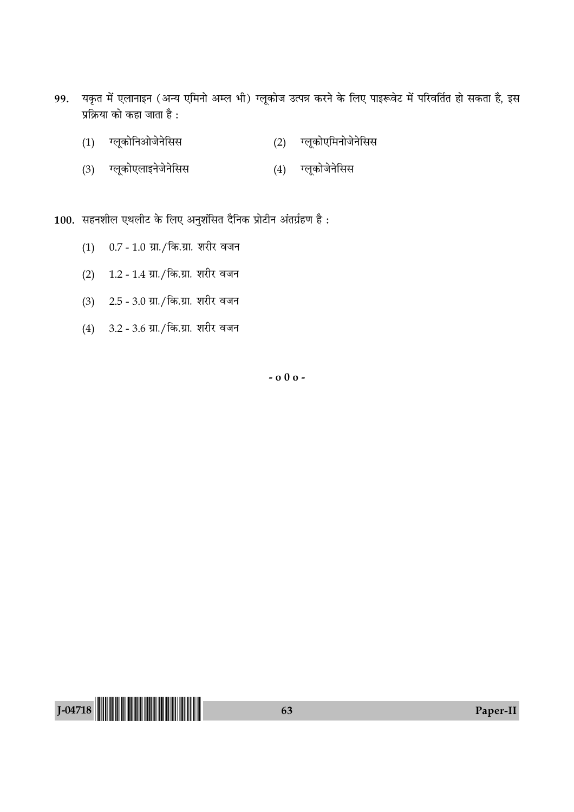- 99. यकृत में एलानाइन (अन्य एमिनो अम्ल भी) ग्लूकोज उत्पन्न करने के लिए पाइरूवेट में परिवर्तित हो सकता है, इस प्रक्रिया को कहा जाता है :
	- (1) ग्लूकोनिओजेनेसिस (2) ग्लूकोएमिनोजेनेसिस
	- (3) ग्लूकोएलाइनेजेनेसिस (4) ग्लूकोजेनेसिस

100. सहनशील एथलीट के लिए अनुशंसित दैनिक प्रोटीन अंतर्ग्रहण है:

- (1) 0.7 1.0 ग्रा./कि.ग्रा. शरीर वजन
- (2) 1.2 1.4 ग्रा./कि.ग्रा. शरीर वजन
- (3) 2.5 3.0 ग्रा./कि.ग्रा. शरीर वजन
- (4) 3.2 3.6 ग्रा./कि.ग्रा. शरीर वजन

 $-000 -$